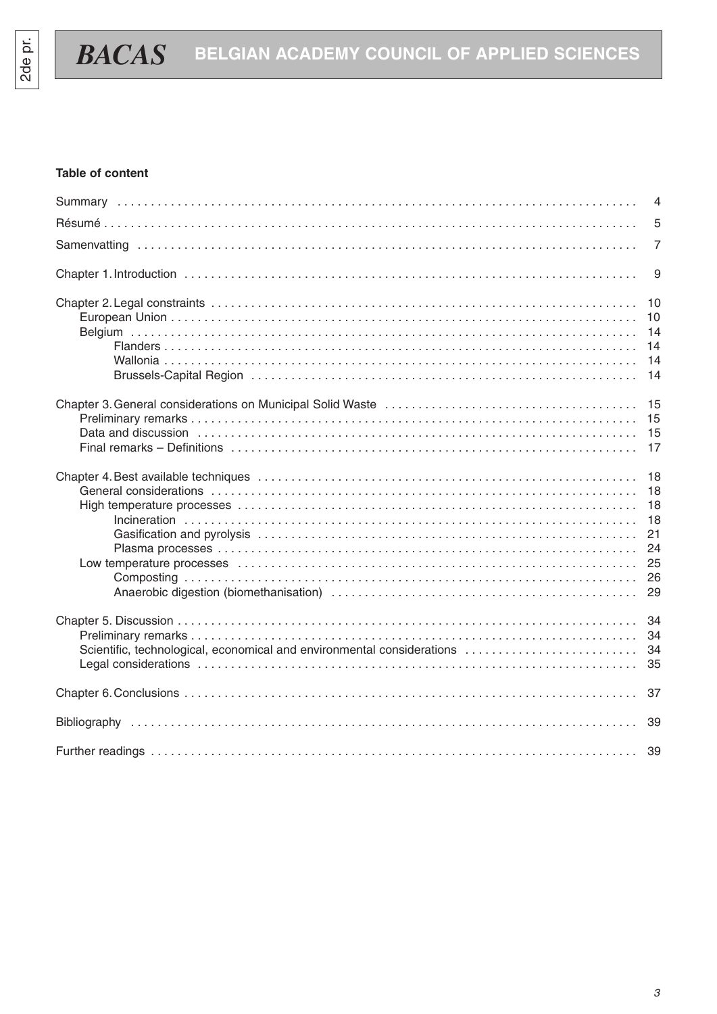# Table of content

|                                                                        | $\overline{4}$                                     |
|------------------------------------------------------------------------|----------------------------------------------------|
|                                                                        | 5                                                  |
|                                                                        | $\overline{7}$                                     |
|                                                                        | 9                                                  |
|                                                                        | 10<br>10<br>14<br>14<br>14<br>14                   |
|                                                                        | 15<br>15<br>15<br>17                               |
|                                                                        | 18<br>18<br>18<br>18<br>21<br>24<br>25<br>26<br>29 |
| Scientific, technological, economical and environmental considerations | 34<br>34<br>34<br>35                               |
|                                                                        |                                                    |
|                                                                        |                                                    |
|                                                                        |                                                    |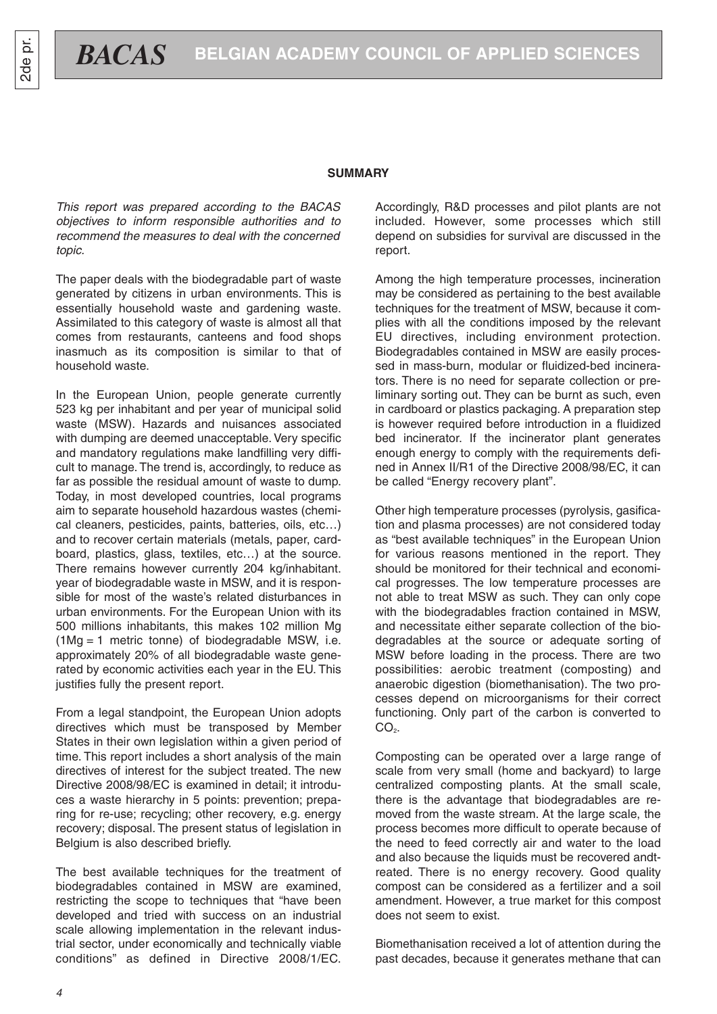ਨੂ  $\overline{\mathsf{e}}$  $\overline{\circ}$ 

# **SUMMARY**

*This report was prepared according to the BACAS objectives to inform responsible authorities and to recommend the measures to deal with the concerned topic.*

The paper deals with the biodegradable part of waste generated by citizens in urban environments. This is essentially household waste and gardening waste. Assimilated to this category of waste is almost all that comes from restaurants, canteens and food shops inasmuch as its composition is similar to that of household waste.

In the European Union, people generate currently 523 kg per inhabitant and per year of municipal solid waste (MSW). Hazards and nuisances associated with dumping are deemed unacceptable. Very specific and mandatory regulations make landfilling very difficult to manage. The trend is, accordingly, to reduce as far as possible the residual amount of waste to dump. Today, in most developed countries, local programs aim to separate household hazardous wastes (chemical cleaners, pesticides, paints, batteries, oils, etc…) and to recover certain materials (metals, paper, cardboard, plastics, glass, textiles, etc…) at the source. There remains however currently 204 kg/inhabitant. year of biodegradable waste in MSW, and it is responsible for most of the waste's related disturbances in urban environments. For the European Union with its 500 millions inhabitants, this makes 102 million Mg  $(1Mq = 1$  metric tonne) of biodegradable MSW, i.e. approximately 20% of all biodegradable waste generated by economic activities each year in the EU. This justifies fully the present report.

From a legal standpoint, the European Union adopts directives which must be transposed by Member States in their own legislation within a given period of time. This report includes a short analysis of the main directives of interest for the subject treated. The new Directive 2008/98/EC is examined in detail; it introduces a waste hierarchy in 5 points: prevention; preparing for re-use; recycling; other recovery, e.g. energy recovery; disposal. The present status of legislation in Belgium is also described briefly.

The best available techniques for the treatment of biodegradables contained in MSW are examined, restricting the scope to techniques that "have been developed and tried with success on an industrial scale allowing implementation in the relevant industrial sector, under economically and technically viable conditions" as defined in Directive 2008/1/EC. Accordingly, R&D processes and pilot plants are not included. However, some processes which still depend on subsidies for survival are discussed in the report.

Among the high temperature processes, incineration may be considered as pertaining to the best available techniques for the treatment of MSW, because it complies with all the conditions imposed by the relevant EU directives, including environment protection. Biodegradables contained in MSW are easily processed in mass-burn, modular or fluidized-bed incinerators. There is no need for separate collection or preliminary sorting out. They can be burnt as such, even in cardboard or plastics packaging. A preparation step is however required before introduction in a fluidized bed incinerator. If the incinerator plant generates enough energy to comply with the requirements defined in Annex II/R1 of the Directive 2008/98/EC, it can be called "Energy recovery plant".

Other high temperature processes (pyrolysis, gasification and plasma processes) are not considered today as "best available techniques" in the European Union for various reasons mentioned in the report. They should be monitored for their technical and economical progresses. The low temperature processes are not able to treat MSW as such. They can only cope with the biodegradables fraction contained in MSW, and necessitate either separate collection of the biodegradables at the source or adequate sorting of MSW before loading in the process. There are two possibilities: aerobic treatment (composting) and anaerobic digestion (biomethanisation). The two processes depend on microorganisms for their correct functioning. Only part of the carbon is converted to CO<sub>2</sub>.

Composting can be operated over a large range of scale from very small (home and backyard) to large centralized composting plants. At the small scale, there is the advantage that biodegradables are removed from the waste stream. At the large scale, the process becomes more difficult to operate because of the need to feed correctly air and water to the load and also because the liquids must be recovered andtreated. There is no energy recovery. Good quality compost can be considered as a fertilizer and a soil amendment. However, a true market for this compost does not seem to exist.

Biomethanisation received a lot of attention during the past decades, because it generates methane that can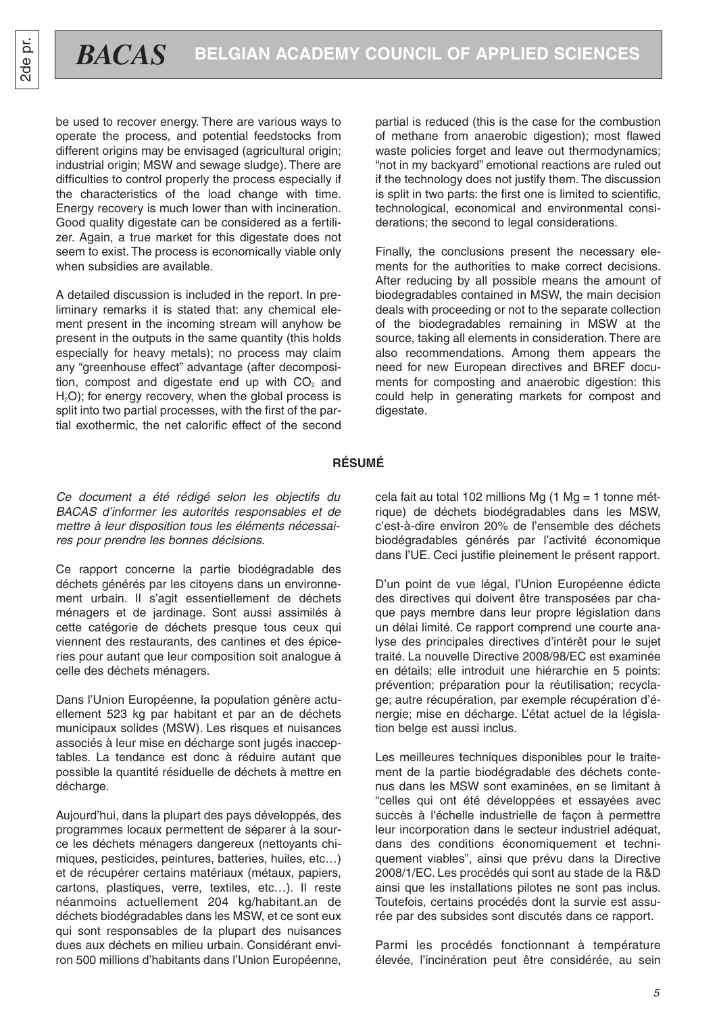be used to recover energy. There are various ways to operate the process, and potential feedstocks from different origins may be envisaged (agricultural origin; industrial origin; MSW and sewage sludge). There are difficulties to control properly the process especially if the characteristics of the load change with time. Energy recovery is much lower than with incineration. Good quality digestate can be considered as a fertilizer. Again, a true market for this digestate does not seem to exist.The process is economically viable only when subsidies are available.

ਨੂ  $\overline{\mathsf{e}}$ pr.

> A detailed discussion is included in the report. In preliminary remarks it is stated that: any chemical element present in the incoming stream will anyhow be present in the outputs in the same quantity (this holds especially for heavy metals); no process may claim any "greenhouse effect" advantage (after decomposition, compost and digestate end up with  $CO<sub>2</sub>$  and H<sub>2</sub>O); for energy recovery, when the global process is split into two partial processes, with the first of the partial exothermic, the net calorific effect of the second

partial is reduced (this is the case for the combustion of methane from anaerobic digestion); most flawed waste policies forget and leave out thermodynamics; "not in my backyard" emotional reactions are ruled out if the technology does not justify them. The discussion is split in two parts: the first one is limited to scientific, technological, economical and environmental considerations; the second to legal considerations.

Finally, the conclusions present the necessary elements for the authorities to make correct decisions. After reducing by all possible means the amount of biodegradables contained in MSW, the main decision deals with proceeding or not to the separate collection of the biodegradables remaining in MSW at the source, taking all elements in consideration.There are also recommendations. Among them appears the need for new European directives and BREF documents for composting and anaerobic digestion: this could help in generating markets for compost and digestate.

# **RÉSUMÉ**

*Ce document a été rédigé selon les objectifs du BACAS d'informer les autorités responsables et de mettre à leur disposition tous les éléments nécessaires pour prendre les bonnes décisions.*

Ce rapport concerne la partie biodégradable des déchets générés par les citoyens dans un environnement urbain. Il s'agit essentiellement de déchets ménagers et de jardinage. Sont aussi assimilés à cette catégorie de déchets presque tous ceux qui viennent des restaurants, des cantines et des épiceries pour autant que leur composition soit analogue à celle des déchets ménagers.

Dans l'Union Européenne, la population génère actuellement 523 kg par habitant et par an de déchets municipaux solides (MSW). Les risques et nuisances associés à leur mise en décharge sont jugés inacceptables. La tendance est donc à réduire autant que possible la quantité résiduelle de déchets à mettre en décharge.

Aujourd'hui, dans la plupart des pays développés, des programmes locaux permettent de séparer à la source les déchets ménagers dangereux (nettoyants chimiques, pesticides, peintures, batteries, huiles, etc…) et de récupérer certains matériaux (métaux, papiers, cartons, plastiques, verre, textiles, etc…). Il reste néanmoins actuellement 204 kg/habitant.an de déchets biodégradables dans les MSW, et ce sont eux qui sont responsables de la plupart des nuisances dues aux déchets en milieu urbain. Considérant environ 500 millions d'habitants dans l'Union Européenne, cela fait au total 102 millions Mg (1 Mg = 1 tonne métrique) de déchets biodégradables dans les MSW, c'est-à-dire environ 20% de l'ensemble des déchets biodégradables générés par l'activité économique dans l'UE. Ceci justifie pleinement le présent rapport.

D'un point de vue légal, l'Union Européenne édicte des directives qui doivent être transposées par chaque pays membre dans leur propre législation dans un délai limité. Ce rapport comprend une courte analyse des principales directives d'intérêt pour le sujet traité. La nouvelle Directive 2008/98/EC est examinée en détails; elle introduit une hiérarchie en 5 points: prévention; préparation pour la réutilisation; recyclage; autre récupération, par exemple récupération d'énergie; mise en décharge. L'état actuel de la législation belge est aussi inclus.

Les meilleures techniques disponibles pour le traitement de la partie biodégradable des déchets contenus dans les MSW sont examinées, en se limitant à "celles qui ont été développées et essayées avec succès à l'échelle industrielle de façon à permettre leur incorporation dans le secteur industriel adéquat, dans des conditions économiquement et techniquement viables", ainsi que prévu dans la Directive 2008/1/EC. Les procédés qui sont au stade de la R&D ainsi que les installations pilotes ne sont pas inclus. Toutefois, certains procédés dont la survie est assurée par des subsides sont discutés dans ce rapport.

Parmi les procédés fonctionnant à température élevée, l'incinération peut être considérée, au sein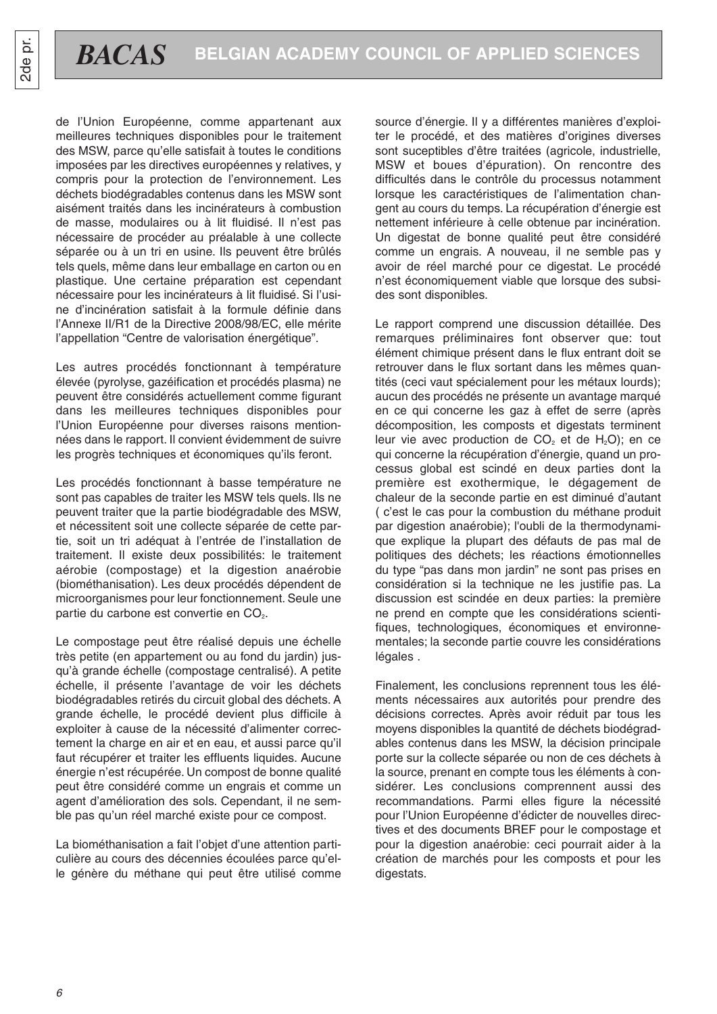de l'Union Européenne, comme appartenant aux meilleures techniques disponibles pour le traitement des MSW, parce qu'elle satisfait à toutes le conditions imposées par les directives européennes y relatives, y compris pour la protection de l'environnement. Les déchets biodégradables contenus dans les MSW sont aisément traités dans les incinérateurs à combustion de masse, modulaires ou à lit fluidisé. Il n'est pas nécessaire de procéder au préalable à une collecte séparée ou à un tri en usine. Ils peuvent être brûlés tels quels, même dans leur emballage en carton ou en plastique. Une certaine préparation est cependant nécessaire pour les incinérateurs à lit fluidisé. Si l'usine d'incinération satisfait à la formule définie dans l'Annexe II/R1 de la Directive 2008/98/EC, elle mérite l'appellation "Centre de valorisation énergétique".

ਨੂ  $\overline{\mathsf{e}}$ pr.

> Les autres procédés fonctionnant à température élevée (pyrolyse, gazéification et procédés plasma) ne peuvent être considérés actuellement comme figurant dans les meilleures techniques disponibles pour l'Union Européenne pour diverses raisons mentionnées dans le rapport. Il convient évidemment de suivre les progrès techniques et économiques qu'ils feront.

> Les procédés fonctionnant à basse température ne sont pas capables de traiter les MSW tels quels. Ils ne peuvent traiter que la partie biodégradable des MSW, et nécessitent soit une collecte séparée de cette partie, soit un tri adéquat à l'entrée de l'installation de traitement. Il existe deux possibilités: le traitement aérobie (compostage) et la digestion anaérobie (biométhanisation). Les deux procédés dépendent de microorganismes pour leur fonctionnement. Seule une partie du carbone est convertie en CO<sub>2</sub>.

> Le compostage peut être réalisé depuis une échelle très petite (en appartement ou au fond du jardin) jusqu'à grande échelle (compostage centralisé). A petite échelle, il présente l'avantage de voir les déchets biodégradables retirés du circuit global des déchets. A grande échelle, le procédé devient plus difficile à exploiter à cause de la nécessité d'alimenter correctement la charge en air et en eau, et aussi parce qu'il faut récupérer et traiter les effluents liquides. Aucune énergie n'est récupérée. Un compost de bonne qualité peut être considéré comme un engrais et comme un agent d'amélioration des sols. Cependant, il ne semble pas qu'un réel marché existe pour ce compost.

> La biométhanisation a fait l'objet d'une attention particulière au cours des décennies écoulées parce qu'elle génère du méthane qui peut être utilisé comme

source d'énergie. Il y a différentes manières d'exploiter le procédé, et des matières d'origines diverses sont suceptibles d'être traitées (agricole, industrielle, MSW et boues d'épuration). On rencontre des difficultés dans le contrôle du processus notamment lorsque les caractéristiques de l'alimentation changent au cours du temps. La récupération d'énergie est nettement inférieure à celle obtenue par incinération. Un digestat de bonne qualité peut être considéré comme un engrais. A nouveau, il ne semble pas y avoir de réel marché pour ce digestat. Le procédé n'est économiquement viable que lorsque des subsides sont disponibles.

Le rapport comprend une discussion détaillée. Des remarques préliminaires font observer que: tout élément chimique présent dans le flux entrant doit se retrouver dans le flux sortant dans les mêmes quantités (ceci vaut spécialement pour les métaux lourds); aucun des procédés ne présente un avantage marqué en ce qui concerne les gaz à effet de serre (après décomposition, les composts et digestats terminent leur vie avec production de  $CO<sub>2</sub>$  et de H<sub>2</sub>O); en ce qui concerne la récupération d'énergie, quand un processus global est scindé en deux parties dont la première est exothermique, le dégagement de chaleur de la seconde partie en est diminué d'autant ( c'est le cas pour la combustion du méthane produit par digestion anaérobie); l'oubli de la thermodynamique explique la plupart des défauts de pas mal de politiques des déchets; les réactions émotionnelles du type "pas dans mon jardin" ne sont pas prises en considération si la technique ne les justifie pas. La discussion est scindée en deux parties: la première ne prend en compte que les considérations scientifiques, technologiques, économiques et environnementales; la seconde partie couvre les considérations légales .

Finalement, les conclusions reprennent tous les éléments nécessaires aux autorités pour prendre des décisions correctes. Après avoir réduit par tous les moyens disponibles la quantité de déchets biodégradables contenus dans les MSW, la décision principale porte sur la collecte séparée ou non de ces déchets à la source, prenant en compte tous les éléments à considérer. Les conclusions comprennent aussi des recommandations. Parmi elles figure la nécessité pour l'Union Européenne d'édicter de nouvelles directives et des documents BREF pour le compostage et pour la digestion anaérobie: ceci pourrait aider à la création de marchés pour les composts et pour les digestats.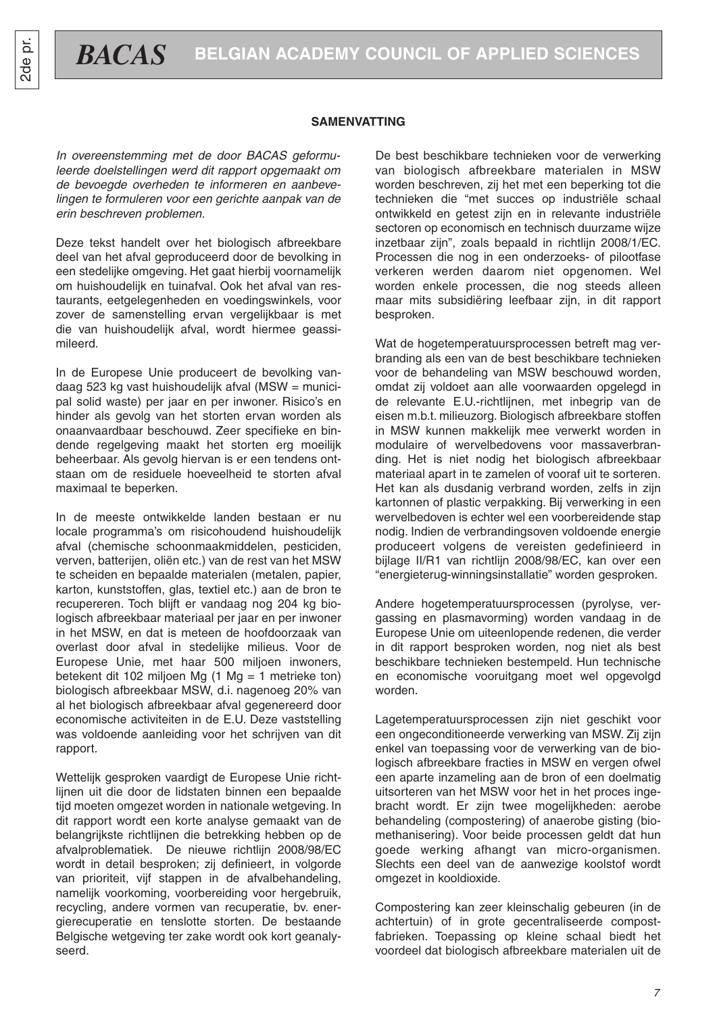## **SAMENVATTING**

*In overeenstemming met de door BACAS geformuleerde doelstellingen werd dit rapport opgemaakt om de bevoegde overheden te informeren en aanbevelingen te formuleren voor een gerichte aanpak van de erin beschreven problemen.*

ਨੂ  $\overline{\mathsf{e}}$ pr.

> Deze tekst handelt over het biologisch afbreekbare deel van het afval geproduceerd door de bevolking in een stedelijke omgeving. Het gaat hierbij voornamelijk om huishoudelijk en tuinafval. Ook het afval van restaurants, eetgelegenheden en voedingswinkels, voor zover de samenstelling ervan vergelijkbaar is met die van huishoudelijk afval, wordt hiermee geassimileerd.

> In de Europese Unie produceert de bevolking vandaag 523 kg vast huishoudelijk afval (MSW = municipal solid waste) per jaar en per inwoner. Risico's en hinder als gevolg van het storten ervan worden als onaanvaardbaar beschouwd. Zeer specifieke en bindende regelgeving maakt het storten erg moeilijk beheerbaar. Als gevolg hiervan is er een tendens ontstaan om de residuele hoeveelheid te storten afval maximaal te beperken.

> In de meeste ontwikkelde landen bestaan er nu locale programma's om risicohoudend huishoudelijk afval (chemische schoonmaakmiddelen, pesticiden, verven, batterijen, oliën etc.) van de rest van het MSW te scheiden en bepaalde materialen (metalen, papier, karton, kunststoffen, glas, textiel etc.) aan de bron te recupereren. Toch blijft er vandaag nog 204 kg biologisch afbreekbaar materiaal per jaar en per inwoner in het MSW, en dat is meteen de hoofdoorzaak van overlast door afval in stedelijke milieus. Voor de Europese Unie, met haar 500 miljoen inwoners, betekent dit 102 miljoen Mg (1 Mg = 1 metrieke ton) biologisch afbreekbaar MSW, d.i. nagenoeg 20% van al het biologisch afbreekbaar afval gegenereerd door economische activiteiten in de E.U. Deze vaststelling was voldoende aanleiding voor het schrijven van dit rapport.

> Wettelijk gesproken vaardigt de Europese Unie richtlijnen uit die door de lidstaten binnen een bepaalde tijd moeten omgezet worden in nationale wetgeving. In dit rapport wordt een korte analyse gemaakt van de belangrijkste richtlijnen die betrekking hebben op de afvalproblematiek. De nieuwe richtlijn 2008/98/EC wordt in detail besproken; zij definieert, in volgorde van prioriteit, vijf stappen in de afvalbehandeling, namelijk voorkoming, voorbereiding voor hergebruik, recycling, andere vormen van recuperatie, bv. energierecuperatie en tenslotte storten. De bestaande Belgische wetgeving ter zake wordt ook kort geanalyseerd.

De best beschikbare technieken voor de verwerking van biologisch afbreekbare materialen in MSW worden beschreven, zij het met een beperking tot die technieken die "met succes op industriële schaal ontwikkeld en getest zijn en in relevante industriële sectoren op economisch en technisch duurzame wijze inzetbaar zijn", zoals bepaald in richtlijn 2008/1/EC. Processen die nog in een onderzoeks- of pilootfase verkeren werden daarom niet opgenomen. Wel worden enkele processen, die nog steeds alleen maar mits subsidiëring leefbaar zijn, in dit rapport besproken.

Wat de hogetemperatuursprocessen betreft mag verbranding als een van de best beschikbare technieken voor de behandeling van MSW beschouwd worden, omdat zij voldoet aan alle voorwaarden opgelegd in de relevante E.U.-richtlijnen, met inbegrip van de eisen m.b.t. milieuzorg. Biologisch afbreekbare stoffen in MSW kunnen makkelijk mee verwerkt worden in modulaire of wervelbedovens voor massaverbranding. Het is niet nodig het biologisch afbreekbaar materiaal apart in te zamelen of vooraf uit te sorteren. Het kan als dusdanig verbrand worden, zelfs in zijn kartonnen of plastic verpakking. Bij verwerking in een wervelbedoven is echter wel een voorbereidende stap nodig. Indien de verbrandingsoven voldoende energie produceert volgens de vereisten gedefinieerd in bijlage II/R1 van richtlijn 2008/98/EC, kan over een "energieterug-winningsinstallatie" worden gesproken.

Andere hogetemperatuursprocessen (pyrolyse, vergassing en plasmavorming) worden vandaag in de Europese Unie om uiteenlopende redenen, die verder in dit rapport besproken worden, nog niet als best beschikbare technieken bestempeld. Hun technische en economische vooruitgang moet wel opgevolgd worden.

Lagetemperatuursprocessen zijn niet geschikt voor een ongeconditioneerde verwerking van MSW. Zij zijn enkel van toepassing voor de verwerking van de biologisch afbreekbare fracties in MSW en vergen ofwel een aparte inzameling aan de bron of een doelmatig uitsorteren van het MSW voor het in het proces ingebracht wordt. Er zijn twee mogelijkheden: aerobe behandeling (compostering) of anaerobe gisting (biomethanisering). Voor beide processen geldt dat hun goede werking afhangt van micro-organismen. Slechts een deel van de aanwezige koolstof wordt omgezet in kooldioxide.

Compostering kan zeer kleinschalig gebeuren (in de achtertuin) of in grote gecentraliseerde compostfabrieken. Toepassing op kleine schaal biedt het voordeel dat biologisch afbreekbare materialen uit de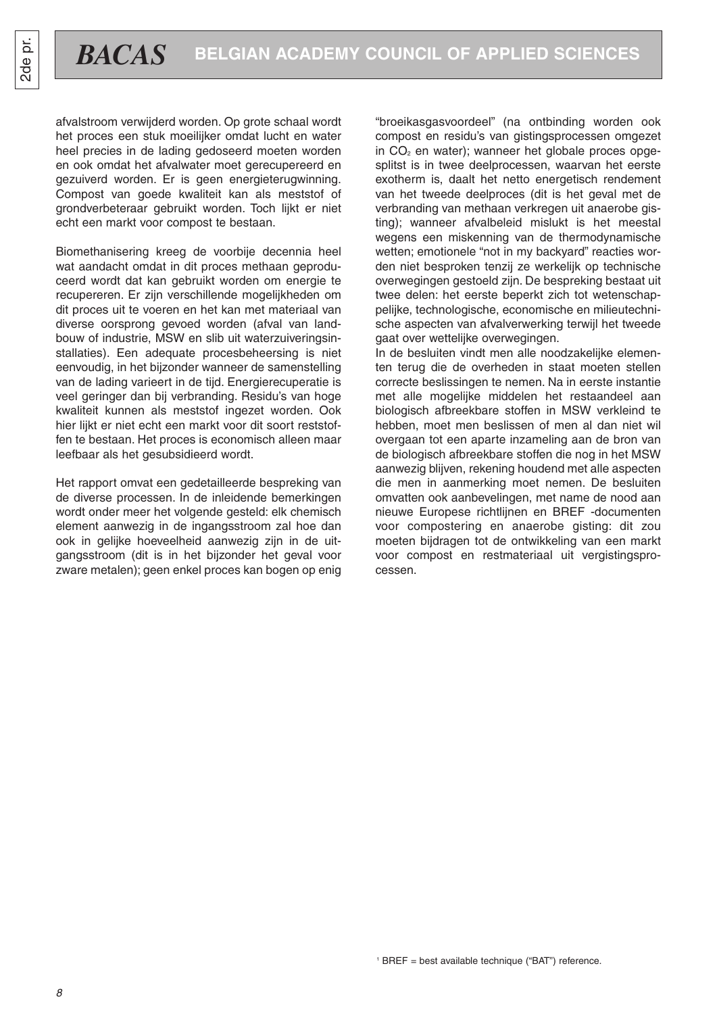afvalstroom verwijderd worden. Op grote schaal wordt het proces een stuk moeilijker omdat lucht en water heel precies in de lading gedoseerd moeten worden en ook omdat het afvalwater moet gerecupereerd en gezuiverd worden. Er is geen energieterugwinning. Compost van goede kwaliteit kan als meststof of grondverbeteraar gebruikt worden. Toch lijkt er niet echt een markt voor compost te bestaan.

ਨੂ  $\overline{\mathsf{e}}$ pr.

> Biomethanisering kreeg de voorbije decennia heel wat aandacht omdat in dit proces methaan geproduceerd wordt dat kan gebruikt worden om energie te recupereren. Er zijn verschillende mogelijkheden om dit proces uit te voeren en het kan met materiaal van diverse oorsprong gevoed worden (afval van landbouw of industrie, MSW en slib uit waterzuiveringsinstallaties). Een adequate procesbeheersing is niet eenvoudig, in het bijzonder wanneer de samenstelling van de lading varieert in de tijd. Energierecuperatie is veel geringer dan bij verbranding. Residu's van hoge kwaliteit kunnen als meststof ingezet worden. Ook hier lijkt er niet echt een markt voor dit soort reststoffen te bestaan. Het proces is economisch alleen maar leefbaar als het gesubsidieerd wordt.

> Het rapport omvat een gedetailleerde bespreking van de diverse processen. In de inleidende bemerkingen wordt onder meer het volgende gesteld: elk chemisch element aanwezig in de ingangsstroom zal hoe dan ook in gelijke hoeveelheid aanwezig zijn in de uitgangsstroom (dit is in het bijzonder het geval voor zware metalen); geen enkel proces kan bogen op enig

"broeikasgasvoordeel" (na ontbinding worden ook compost en residu's van gistingsprocessen omgezet in  $CO<sub>2</sub>$  en water); wanneer het globale proces opgesplitst is in twee deelprocessen, waarvan het eerste exotherm is, daalt het netto energetisch rendement van het tweede deelproces (dit is het geval met de verbranding van methaan verkregen uit anaerobe gisting); wanneer afvalbeleid mislukt is het meestal wegens een miskenning van de thermodynamische wetten; emotionele "not in my backyard" reacties worden niet besproken tenzij ze werkelijk op technische overwegingen gestoeld zijn. De bespreking bestaat uit twee delen: het eerste beperkt zich tot wetenschappelijke, technologische, economische en milieutechnische aspecten van afvalverwerking terwijl het tweede gaat over wettelijke overwegingen.

In de besluiten vindt men alle noodzakelijke elementen terug die de overheden in staat moeten stellen correcte beslissingen te nemen. Na in eerste instantie met alle mogelijke middelen het restaandeel aan biologisch afbreekbare stoffen in MSW verkleind te hebben, moet men beslissen of men al dan niet wil overgaan tot een aparte inzameling aan de bron van de biologisch afbreekbare stoffen die nog in het MSW aanwezig blijven, rekening houdend met alle aspecten die men in aanmerking moet nemen. De besluiten omvatten ook aanbevelingen, met name de nood aan nieuwe Europese richtlijnen en BREF -documenten voor compostering en anaerobe gisting: dit zou moeten bijdragen tot de ontwikkeling van een markt voor compost en restmateriaal uit vergistingsprocessen.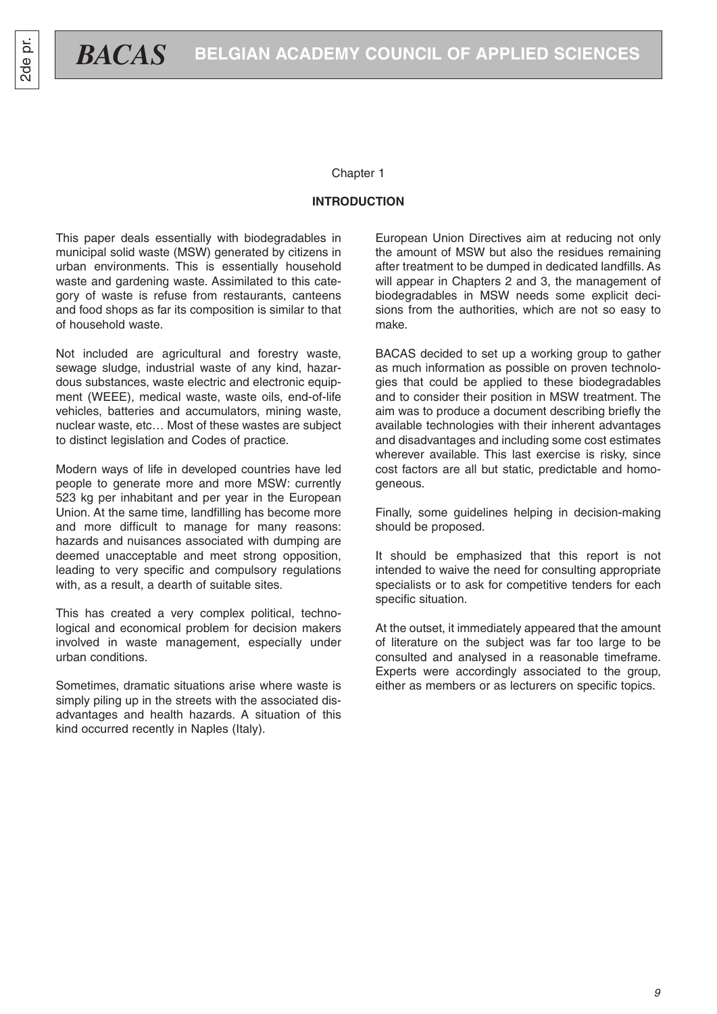#### Chapter 1

## **INTRODUCTION**

This paper deals essentially with biodegradables in municipal solid waste (MSW) generated by citizens in urban environments. This is essentially household waste and gardening waste. Assimilated to this category of waste is refuse from restaurants, canteens and food shops as far its composition is similar to that of household waste.

ਨੂ  $\overline{\mathsf{e}}$ pr.

> Not included are agricultural and forestry waste, sewage sludge, industrial waste of any kind, hazardous substances, waste electric and electronic equipment (WEEE), medical waste, waste oils, end-of-life vehicles, batteries and accumulators, mining waste, nuclear waste, etc… Most of these wastes are subject to distinct legislation and Codes of practice.

> Modern ways of life in developed countries have led people to generate more and more MSW: currently 523 kg per inhabitant and per year in the European Union. At the same time, landfilling has become more and more difficult to manage for many reasons: hazards and nuisances associated with dumping are deemed unacceptable and meet strong opposition, leading to very specific and compulsory regulations with, as a result, a dearth of suitable sites.

> This has created a very complex political, technological and economical problem for decision makers involved in waste management, especially under urban conditions.

> Sometimes, dramatic situations arise where waste is simply piling up in the streets with the associated disadvantages and health hazards. A situation of this kind occurred recently in Naples (Italy).

European Union Directives aim at reducing not only the amount of MSW but also the residues remaining after treatment to be dumped in dedicated landfills. As will appear in Chapters 2 and 3, the management of biodegradables in MSW needs some explicit decisions from the authorities, which are not so easy to make.

BACAS decided to set up a working group to gather as much information as possible on proven technologies that could be applied to these biodegradables and to consider their position in MSW treatment. The aim was to produce a document describing briefly the available technologies with their inherent advantages and disadvantages and including some cost estimates wherever available. This last exercise is risky, since cost factors are all but static, predictable and homogeneous.

Finally, some guidelines helping in decision-making should be proposed.

It should be emphasized that this report is not intended to waive the need for consulting appropriate specialists or to ask for competitive tenders for each specific situation.

At the outset, it immediately appeared that the amount of literature on the subject was far too large to be consulted and analysed in a reasonable timeframe. Experts were accordingly associated to the group, either as members or as lecturers on specific topics.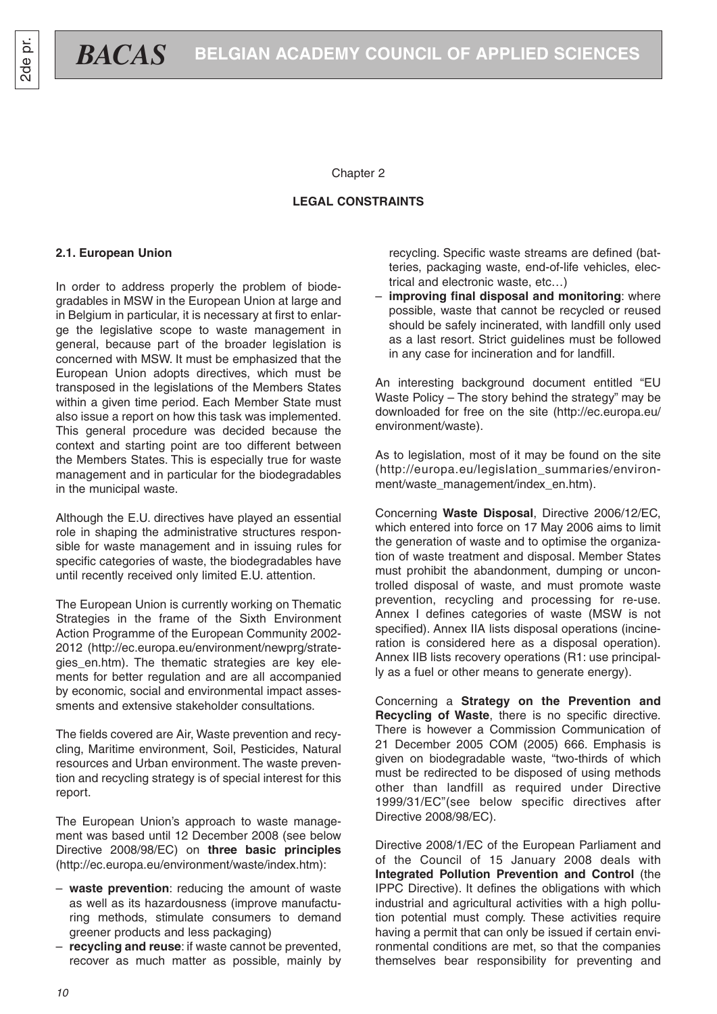### Chapter 2

# **LEGAL CONSTRAINTS**

# **2.1. European Union**

ਨੂ  $\overline{\mathsf{e}}$  $\overline{\circ}$ 

> In order to address properly the problem of biodegradables in MSW in the European Union at large and in Belgium in particular, it is necessary at first to enlarge the legislative scope to waste management in general, because part of the broader legislation is concerned with MSW. It must be emphasized that the European Union adopts directives, which must be transposed in the legislations of the Members States within a given time period. Each Member State must also issue a report on how this task was implemented. This general procedure was decided because the context and starting point are too different between the Members States. This is especially true for waste management and in particular for the biodegradables in the municipal waste.

> Although the E.U. directives have played an essential role in shaping the administrative structures responsible for waste management and in issuing rules for specific categories of waste, the biodegradables have until recently received only limited E.U. attention.

> The European Union is currently working on Thematic Strategies in the frame of the Sixth Environment Action Programme of the European Community 2002- 2012 (http://ec.europa.eu/environment/newprg/strategies en.htm). The thematic strategies are key elements for better regulation and are all accompanied by economic, social and environmental impact assessments and extensive stakeholder consultations.

> The fields covered are Air, Waste prevention and recycling, Maritime environment, Soil, Pesticides, Natural resources and Urban environment. The waste prevention and recycling strategy is of special interest for this report.

> The European Union's approach to waste management was based until 12 December 2008 (see below Directive 2008/98/EC) on **three basic principles** (http://ec.europa.eu/environment/waste/index.htm):

- **waste prevention**: reducing the amount of waste as well as its hazardousness (improve manufacturing methods, stimulate consumers to demand greener products and less packaging)
- **recycling and reuse**: if waste cannot be prevented, recover as much matter as possible, mainly by

recycling. Specific waste streams are defined (batteries, packaging waste, end-of-life vehicles, electrical and electronic waste, etc…)

– **improving final disposal and monitoring**: where possible, waste that cannot be recycled or reused should be safely incinerated, with landfill only used as a last resort. Strict guidelines must be followed in any case for incineration and for landfill.

An interesting background document entitled "EU Waste Policy – The story behind the strategy" may be downloaded for free on the site (http://ec.europa.eu/ environment/waste).

As to legislation, most of it may be found on the site (http://europa.eu/legislation\_summaries/environment/waste\_management/index\_en.htm).

Concerning **Waste Disposal**, Directive 2006/12/EC, which entered into force on 17 May 2006 aims to limit the generation of waste and to optimise the organization of waste treatment and disposal. Member States must prohibit the abandonment, dumping or uncontrolled disposal of waste, and must promote waste prevention, recycling and processing for re-use. Annex I defines categories of waste (MSW is not specified). Annex IIA lists disposal operations (incineration is considered here as a disposal operation). Annex IIB lists recovery operations (R1: use principally as a fuel or other means to generate energy).

Concerning a **Strategy on the Prevention and Recycling of Waste**, there is no specific directive. There is however a Commission Communication of 21 December 2005 COM (2005) 666. Emphasis is given on biodegradable waste, "two-thirds of which must be redirected to be disposed of using methods other than landfill as required under Directive 1999/31/EC"(see below specific directives after Directive 2008/98/EC).

Directive 2008/1/EC of the European Parliament and of the Council of 15 January 2008 deals with **Integrated Pollution Prevention and Control** (the IPPC Directive). It defines the obligations with which industrial and agricultural activities with a high pollution potential must comply. These activities require having a permit that can only be issued if certain environmental conditions are met, so that the companies themselves bear responsibility for preventing and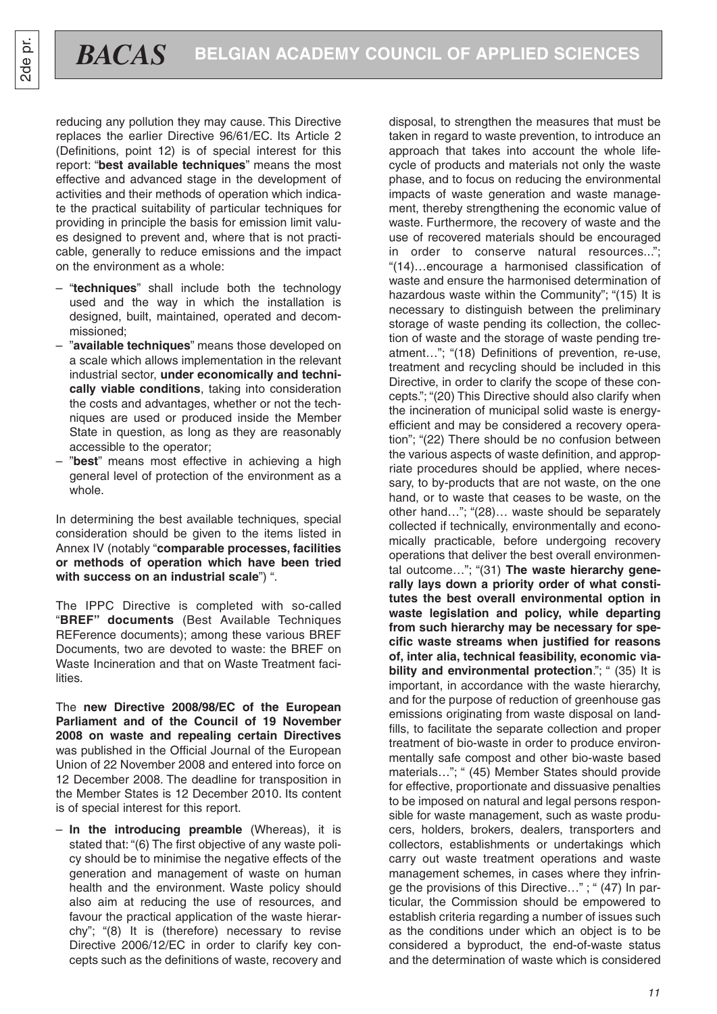reducing any pollution they may cause. This Directive replaces the earlier Directive 96/61/EC. Its Article 2 (Definitions, point 12) is of special interest for this report: "**best available techniques**" means the most effective and advanced stage in the development of activities and their methods of operation which indicate the practical suitability of particular techniques for providing in principle the basis for emission limit values designed to prevent and, where that is not practicable, generally to reduce emissions and the impact on the environment as a whole:

ਨੂ  $\overline{\mathsf{e}}$  $\overline{\circ}$ 

- "**techniques**" shall include both the technology used and the way in which the installation is designed, built, maintained, operated and decommissioned;
- "**available techniques**" means those developed on a scale which allows implementation in the relevant industrial sector, **under economically and technically viable conditions**, taking into consideration the costs and advantages, whether or not the techniques are used or produced inside the Member State in question, as long as they are reasonably accessible to the operator;
- "**best**" means most effective in achieving a high general level of protection of the environment as a whole.

In determining the best available techniques, special consideration should be given to the items listed in Annex IV (notably "**comparable processes, facilities or methods of operation which have been tried with success on an industrial scale**") ".

The IPPC Directive is completed with so-called "**BREF" documents** (Best Available Techniques REFerence documents); among these various BREF Documents, two are devoted to waste: the BREF on Waste Incineration and that on Waste Treatment facilities.

The **new Directive 2008/98/EC of the European Parliament and of the Council of 19 November 2008 on waste and repealing certain Directives** was published in the Official Journal of the European Union of 22 November 2008 and entered into force on 12 December 2008. The deadline for transposition in the Member States is 12 December 2010. Its content is of special interest for this report.

– **In the introducing preamble** (Whereas), it is stated that: "(6) The first objective of any waste policy should be to minimise the negative effects of the generation and management of waste on human health and the environment. Waste policy should also aim at reducing the use of resources, and favour the practical application of the waste hierarchy"; "(8) It is (therefore) necessary to revise Directive 2006/12/EC in order to clarify key concepts such as the definitions of waste, recovery and

disposal, to strengthen the measures that must be taken in regard to waste prevention, to introduce an approach that takes into account the whole lifecycle of products and materials not only the waste phase, and to focus on reducing the environmental impacts of waste generation and waste management, thereby strengthening the economic value of waste. Furthermore, the recovery of waste and the use of recovered materials should be encouraged in order to conserve natural resources..."; "(14)…encourage a harmonised classification of waste and ensure the harmonised determination of hazardous waste within the Community"; "(15) It is necessary to distinguish between the preliminary storage of waste pending its collection, the collection of waste and the storage of waste pending treatment…"; "(18) Definitions of prevention, re-use, treatment and recycling should be included in this Directive, in order to clarify the scope of these concepts."; "(20) This Directive should also clarify when the incineration of municipal solid waste is energyefficient and may be considered a recovery operation"; "(22) There should be no confusion between the various aspects of waste definition, and appropriate procedures should be applied, where necessary, to by-products that are not waste, on the one hand, or to waste that ceases to be waste, on the other hand…"; "(28)… waste should be separately collected if technically, environmentally and economically practicable, before undergoing recovery operations that deliver the best overall environmental outcome…"; "(31) **The waste hierarchy generally lays down a priority order of what constitutes the best overall environmental option in waste legislation and policy, while departing from such hierarchy may be necessary for specific waste streams when justified for reasons of, inter alia, technical feasibility, economic viability and environmental protection**."; " (35) It is important, in accordance with the waste hierarchy, and for the purpose of reduction of greenhouse gas emissions originating from waste disposal on landfills, to facilitate the separate collection and proper treatment of bio-waste in order to produce environmentally safe compost and other bio-waste based materials…"; " (45) Member States should provide for effective, proportionate and dissuasive penalties to be imposed on natural and legal persons responsible for waste management, such as waste producers, holders, brokers, dealers, transporters and collectors, establishments or undertakings which carry out waste treatment operations and waste management schemes, in cases where they infringe the provisions of this Directive…" ; " (47) In particular, the Commission should be empowered to establish criteria regarding a number of issues such as the conditions under which an object is to be considered a byproduct, the end-of-waste status and the determination of waste which is considered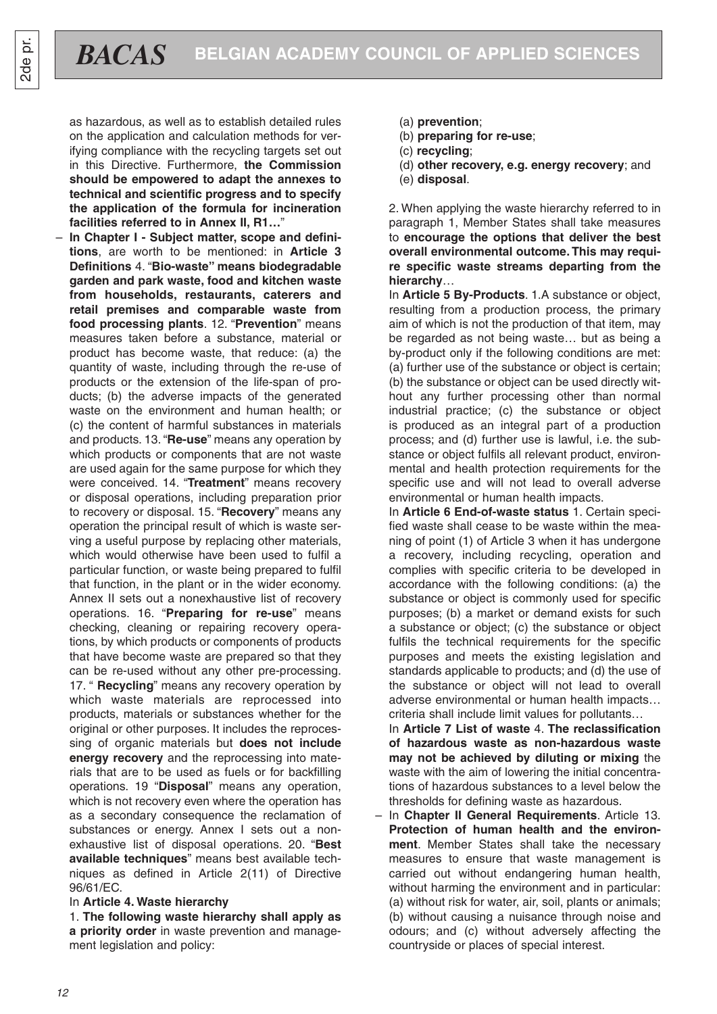as hazardous, as well as to establish detailed rules on the application and calculation methods for verifying compliance with the recycling targets set out in this Directive. Furthermore, **the Commission should be empowered to adapt the annexes to technical and scientific progress and to specify the application of the formula for incineration facilities referred to in Annex II, R1…**"

ਨੂ  $\overline{\mathsf{e}}$  $\overline{\circ}$ 

> – **In Chapter I - Subject matter, scope and definitions**, are worth to be mentioned: in **Article 3 Definitions** 4. "**Bio-waste" means biodegradable garden and park waste, food and kitchen waste from households, restaurants, caterers and retail premises and comparable waste from food processing plants**. 12. "**Prevention**" means measures taken before a substance, material or product has become waste, that reduce: (a) the quantity of waste, including through the re-use of products or the extension of the life-span of products; (b) the adverse impacts of the generated waste on the environment and human health; or (c) the content of harmful substances in materials and products. 13. "**Re-use**" means any operation by which products or components that are not waste are used again for the same purpose for which they were conceived. 14. "**Treatment**" means recovery or disposal operations, including preparation prior to recovery or disposal. 15. "**Recovery**" means any operation the principal result of which is waste serving a useful purpose by replacing other materials, which would otherwise have been used to fulfil a particular function, or waste being prepared to fulfil that function, in the plant or in the wider economy. Annex II sets out a nonexhaustive list of recovery operations. 16. "**Preparing for re-use**" means checking, cleaning or repairing recovery operations, by which products or components of products that have become waste are prepared so that they can be re-used without any other pre-processing. 17. " **Recycling**" means any recovery operation by which waste materials are reprocessed into products, materials or substances whether for the original or other purposes. It includes the reprocessing of organic materials but **does not include energy recovery** and the reprocessing into materials that are to be used as fuels or for backfilling operations. 19 "**Disposal**" means any operation, which is not recovery even where the operation has as a secondary consequence the reclamation of substances or energy. Annex I sets out a nonexhaustive list of disposal operations. 20. "**Best available techniques**" means best available techniques as defined in Article 2(11) of Directive 96/61/EC.

#### In **Article 4. Waste hierarchy**

1. **The following waste hierarchy shall apply as a priority order** in waste prevention and management legislation and policy:

- (a) **prevention**;
- (b) **preparing for re-use**;
- (c) **recycling**;
- (d) **other recovery, e.g. energy recovery**; and
- (e) **disposal**.

2. When applying the waste hierarchy referred to in paragraph 1, Member States shall take measures to **encourage the options that deliver the best overall environmental outcome.This may require specific waste streams departing from the hierarchy**…

In **Article 5 By-Products**. 1.A substance or object, resulting from a production process, the primary aim of which is not the production of that item, may be regarded as not being waste… but as being a by-product only if the following conditions are met: (a) further use of the substance or object is certain; (b) the substance or object can be used directly without any further processing other than normal industrial practice; (c) the substance or object is produced as an integral part of a production process; and (d) further use is lawful, i.e. the substance or object fulfils all relevant product, environmental and health protection requirements for the specific use and will not lead to overall adverse environmental or human health impacts.

In **Article 6 End-of-waste status** 1. Certain specified waste shall cease to be waste within the meaning of point (1) of Article 3 when it has undergone a recovery, including recycling, operation and complies with specific criteria to be developed in accordance with the following conditions: (a) the substance or object is commonly used for specific purposes; (b) a market or demand exists for such a substance or object; (c) the substance or object fulfils the technical requirements for the specific purposes and meets the existing legislation and standards applicable to products; and (d) the use of the substance or object will not lead to overall adverse environmental or human health impacts… criteria shall include limit values for pollutants…

In **Article 7 List of waste** 4. **The reclassification of hazardous waste as non-hazardous waste may not be achieved by diluting or mixing** the waste with the aim of lowering the initial concentrations of hazardous substances to a level below the thresholds for defining waste as hazardous.

– In **Chapter II General Requirements**. Article 13. **Protection of human health and the environment**. Member States shall take the necessary measures to ensure that waste management is carried out without endangering human health, without harming the environment and in particular: (a) without risk for water, air, soil, plants or animals; (b) without causing a nuisance through noise and odours; and (c) without adversely affecting the countryside or places of special interest.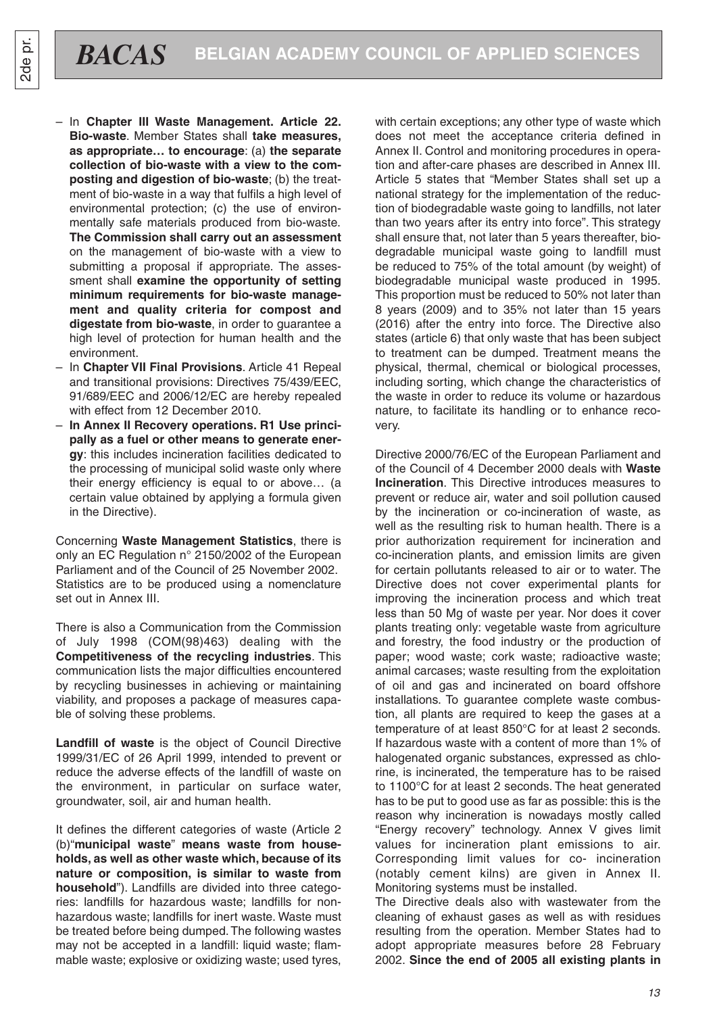– In **Chapter III Waste Management. Article 22. Bio-waste**. Member States shall **take measures, as appropriate… to encourage**: (a) **the separate collection of bio-waste with a view to the composting and digestion of bio-waste**; (b) the treatment of bio-waste in a way that fulfils a high level of environmental protection; (c) the use of environmentally safe materials produced from bio-waste. **The Commission shall carry out an assessment** on the management of bio-waste with a view to submitting a proposal if appropriate. The assessment shall **examine the opportunity of setting minimum requirements for bio-waste management and quality criteria for compost and digestate from bio-waste**, in order to guarantee a high level of protection for human health and the environment.

ਨੂ  $\overline{\mathsf{e}}$  $\overline{\circ}$ 

- In **Chapter VII Final Provisions**. Article 41 Repeal and transitional provisions: Directives 75/439/EEC, 91/689/EEC and 2006/12/EC are hereby repealed with effect from 12 December 2010.
- **In Annex II Recovery operations. R1 Use principally as a fuel or other means to generate energy**: this includes incineration facilities dedicated to the processing of municipal solid waste only where their energy efficiency is equal to or above… (a certain value obtained by applying a formula given in the Directive).

Concerning **Waste Management Statistics**, there is only an EC Regulation n° 2150/2002 of the European Parliament and of the Council of 25 November 2002. Statistics are to be produced using a nomenclature set out in Annex III.

There is also a Communication from the Commission of July 1998 (COM(98)463) dealing with the **Competitiveness of the recycling industries**. This communication lists the major difficulties encountered by recycling businesses in achieving or maintaining viability, and proposes a package of measures capable of solving these problems.

**Landfill of waste** is the object of Council Directive 1999/31/EC of 26 April 1999, intended to prevent or reduce the adverse effects of the landfill of waste on the environment, in particular on surface water, groundwater, soil, air and human health.

It defines the different categories of waste (Article 2 (b)"**municipal waste**" **means waste from households, as well as other waste which, because of its nature or composition, is similar to waste from household**"). Landfills are divided into three categories: landfills for hazardous waste; landfills for nonhazardous waste; landfills for inert waste. Waste must be treated before being dumped.The following wastes may not be accepted in a landfill: liquid waste; flammable waste; explosive or oxidizing waste; used tyres,

with certain exceptions; any other type of waste which does not meet the acceptance criteria defined in Annex II. Control and monitoring procedures in operation and after-care phases are described in Annex III. Article 5 states that "Member States shall set up a national strategy for the implementation of the reduction of biodegradable waste going to landfills, not later than two years after its entry into force". This strategy shall ensure that, not later than 5 years thereafter, biodegradable municipal waste going to landfill must be reduced to 75% of the total amount (by weight) of biodegradable municipal waste produced in 1995. This proportion must be reduced to 50% not later than 8 years (2009) and to 35% not later than 15 years (2016) after the entry into force. The Directive also states (article 6) that only waste that has been subject to treatment can be dumped. Treatment means the physical, thermal, chemical or biological processes, including sorting, which change the characteristics of the waste in order to reduce its volume or hazardous nature, to facilitate its handling or to enhance recovery.

Directive 2000/76/EC of the European Parliament and of the Council of 4 December 2000 deals with **Waste Incineration**. This Directive introduces measures to prevent or reduce air, water and soil pollution caused by the incineration or co-incineration of waste, as well as the resulting risk to human health. There is a prior authorization requirement for incineration and co-incineration plants, and emission limits are given for certain pollutants released to air or to water. The Directive does not cover experimental plants for improving the incineration process and which treat less than 50 Mg of waste per year. Nor does it cover plants treating only: vegetable waste from agriculture and forestry, the food industry or the production of paper; wood waste; cork waste; radioactive waste; animal carcases; waste resulting from the exploitation of oil and gas and incinerated on board offshore installations. To guarantee complete waste combustion, all plants are required to keep the gases at a temperature of at least 850°C for at least 2 seconds. If hazardous waste with a content of more than 1% of halogenated organic substances, expressed as chlorine, is incinerated, the temperature has to be raised to 1100°C for at least 2 seconds. The heat generated has to be put to good use as far as possible: this is the reason why incineration is nowadays mostly called "Energy recovery" technology. Annex V gives limit values for incineration plant emissions to air. Corresponding limit values for co- incineration (notably cement kilns) are given in Annex II. Monitoring systems must be installed.

The Directive deals also with wastewater from the cleaning of exhaust gases as well as with residues resulting from the operation. Member States had to adopt appropriate measures before 28 February 2002. **Since the end of 2005 all existing plants in**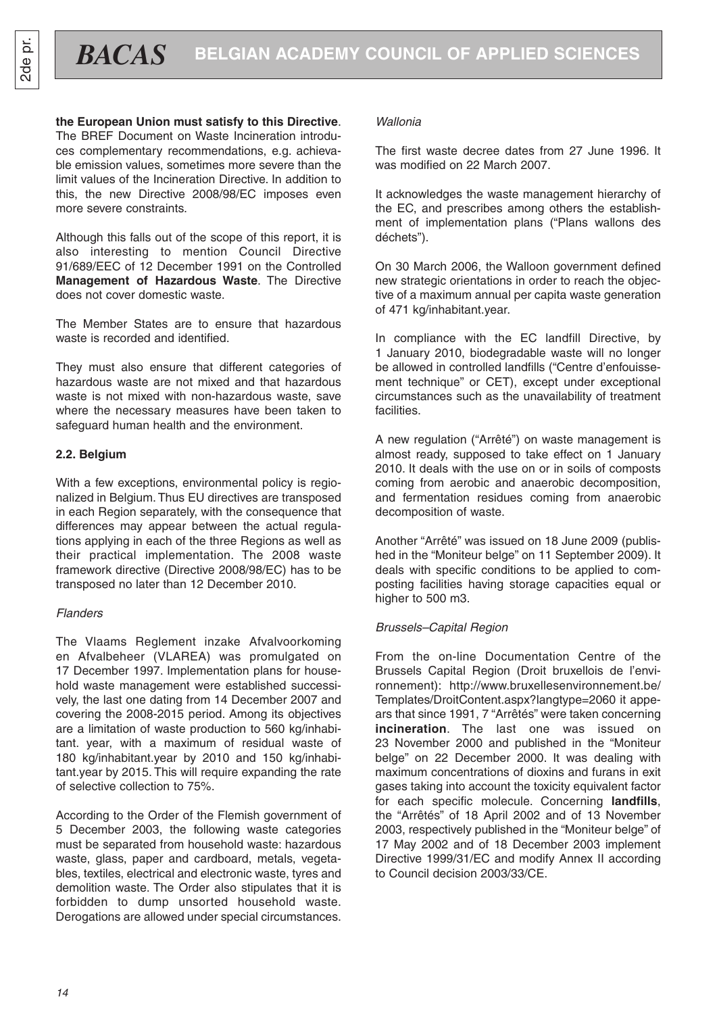## **the European Union must satisfy to this Directive**.

The BREF Document on Waste Incineration introduces complementary recommendations, e.g. achievable emission values, sometimes more severe than the limit values of the Incineration Directive. In addition to this, the new Directive 2008/98/EC imposes even more severe constraints.

Although this falls out of the scope of this report, it is also interesting to mention Council Directive 91/689/EEC of 12 December 1991 on the Controlled **Management of Hazardous Waste**. The Directive does not cover domestic waste.

The Member States are to ensure that hazardous waste is recorded and identified.

They must also ensure that different categories of hazardous waste are not mixed and that hazardous waste is not mixed with non-hazardous waste, save where the necessary measures have been taken to safeguard human health and the environment.

## **2.2. Belgium**

ਨੂ  $\overline{\mathsf{e}}$ pr.

> With a few exceptions, environmental policy is regionalized in Belgium.Thus EU directives are transposed in each Region separately, with the consequence that differences may appear between the actual regulations applying in each of the three Regions as well as their practical implementation. The 2008 waste framework directive (Directive 2008/98/EC) has to be transposed no later than 12 December 2010.

#### *Flanders*

The Vlaams Reglement inzake Afvalvoorkoming en Afvalbeheer (VLAREA) was promulgated on 17 December 1997. Implementation plans for household waste management were established successively, the last one dating from 14 December 2007 and covering the 2008-2015 period. Among its objectives are a limitation of waste production to 560 kg/inhabitant. year, with a maximum of residual waste of 180 kg/inhabitant.year by 2010 and 150 kg/inhabitant.year by 2015. This will require expanding the rate of selective collection to 75%.

According to the Order of the Flemish government of 5 December 2003, the following waste categories must be separated from household waste: hazardous waste, glass, paper and cardboard, metals, vegetables, textiles, electrical and electronic waste, tyres and demolition waste. The Order also stipulates that it is forbidden to dump unsorted household waste. Derogations are allowed under special circumstances.

#### *Wallonia*

The first waste decree dates from 27 June 1996. It was modified on 22 March 2007.

It acknowledges the waste management hierarchy of the EC, and prescribes among others the establishment of implementation plans ("Plans wallons des déchets").

On 30 March 2006, the Walloon government defined new strategic orientations in order to reach the objective of a maximum annual per capita waste generation of 471 kg/inhabitant.year.

In compliance with the EC landfill Directive, by 1 January 2010, biodegradable waste will no longer be allowed in controlled landfills ("Centre d'enfouissement technique" or CET), except under exceptional circumstances such as the unavailability of treatment facilities.

A new regulation ("Arrêté") on waste management is almost ready, supposed to take effect on 1 January 2010. It deals with the use on or in soils of composts coming from aerobic and anaerobic decomposition, and fermentation residues coming from anaerobic decomposition of waste.

Another "Arrêté" was issued on 18 June 2009 (published in the "Moniteur belge" on 11 September 2009). It deals with specific conditions to be applied to composting facilities having storage capacities equal or higher to 500 m3.

#### *Brussels–Capital Region*

From the on-line Documentation Centre of the Brussels Capital Region (Droit bruxellois de l'environnement): http://www.bruxellesenvironnement.be/ Templates/DroitContent.aspx?langtype=2060 it appears that since 1991, 7 "Arrêtés" were taken concerning **incineration**. The last one was issued on 23 November 2000 and published in the "Moniteur belge" on 22 December 2000. It was dealing with maximum concentrations of dioxins and furans in exit gases taking into account the toxicity equivalent factor for each specific molecule. Concerning **landfills**, the "Arrêtés" of 18 April 2002 and of 13 November 2003, respectively published in the "Moniteur belge" of 17 May 2002 and of 18 December 2003 implement Directive 1999/31/EC and modify Annex II according to Council decision 2003/33/CE.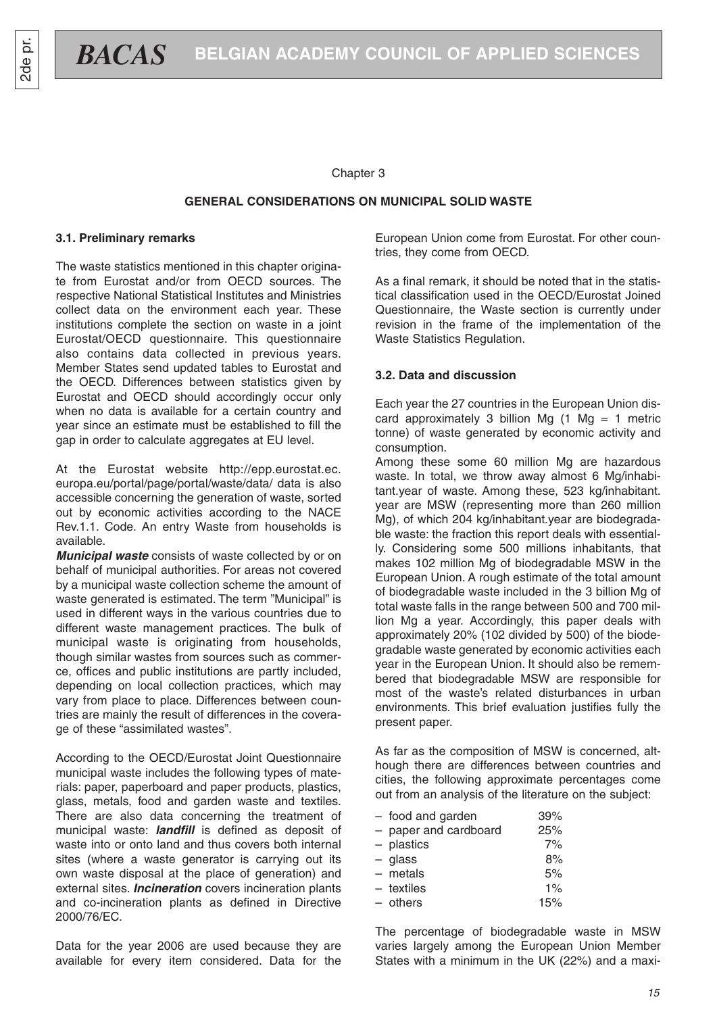## Chapter 3

## **GENERAL CONSIDERATIONS ON MUNICIPAL SOLID WASTE**

#### **3.1. Preliminary remarks**

The waste statistics mentioned in this chapter originate from Eurostat and/or from OECD sources. The respective National Statistical Institutes and Ministries collect data on the environment each year. These institutions complete the section on waste in a joint Eurostat/OECD questionnaire. This questionnaire also contains data collected in previous years. Member States send updated tables to Eurostat and the OECD. Differences between statistics given by Eurostat and OECD should accordingly occur only when no data is available for a certain country and year since an estimate must be established to fill the gap in order to calculate aggregates at EU level.

At the Eurostat website http://epp.eurostat.ec. europa.eu/portal/page/portal/waste/data/ data is also accessible concerning the generation of waste, sorted out by economic activities according to the NACE Rev.1.1. Code. An entry Waste from households is available.

*Municipal waste* consists of waste collected by or on behalf of municipal authorities. For areas not covered by a municipal waste collection scheme the amount of waste generated is estimated. The term "Municipal" is used in different ways in the various countries due to different waste management practices. The bulk of municipal waste is originating from households, though similar wastes from sources such as commerce, offices and public institutions are partly included, depending on local collection practices, which may vary from place to place. Differences between countries are mainly the result of differences in the coverage of these "assimilated wastes".

According to the OECD/Eurostat Joint Questionnaire municipal waste includes the following types of materials: paper, paperboard and paper products, plastics, glass, metals, food and garden waste and textiles. There are also data concerning the treatment of municipal waste: *landfill* is defined as deposit of waste into or onto land and thus covers both internal sites (where a waste generator is carrying out its own waste disposal at the place of generation) and external sites. *Incineration* covers incineration plants and co-incineration plants as defined in Directive 2000/76/EC.

Data for the year 2006 are used because they are available for every item considered. Data for the

European Union come from Eurostat. For other countries, they come from OECD.

As a final remark, it should be noted that in the statistical classification used in the OECD/Eurostat Joined Questionnaire, the Waste section is currently under revision in the frame of the implementation of the Waste Statistics Regulation.

#### **3.2. Data and discussion**

Each year the 27 countries in the European Union discard approximately 3 billion Mg  $(1 \text{ Mg} = 1 \text{ metric})$ tonne) of waste generated by economic activity and consumption.

Among these some 60 million Mg are hazardous waste. In total, we throw away almost 6 Mg/inhabitant.year of waste. Among these, 523 kg/inhabitant. year are MSW (representing more than 260 million Mg), of which 204 kg/inhabitant.year are biodegradable waste: the fraction this report deals with essentially. Considering some 500 millions inhabitants, that makes 102 million Mg of biodegradable MSW in the European Union. A rough estimate of the total amount of biodegradable waste included in the 3 billion Mg of total waste falls in the range between 500 and 700 million Mg a year. Accordingly, this paper deals with approximately 20% (102 divided by 500) of the biodegradable waste generated by economic activities each year in the European Union. It should also be remembered that biodegradable MSW are responsible for most of the waste's related disturbances in urban environments. This brief evaluation justifies fully the present paper.

As far as the composition of MSW is concerned, although there are differences between countries and cities, the following approximate percentages come out from an analysis of the literature on the subject:

| - food and garden     | 39%   |
|-----------------------|-------|
| - paper and cardboard | 25%   |
| $-$ plastics          | 7%    |
| - glass               | 8%    |
| - metals              | 5%    |
| - textiles            | $1\%$ |
| - others              | 15%   |

The percentage of biodegradable waste in MSW varies largely among the European Union Member States with a minimum in the UK (22%) and a maxi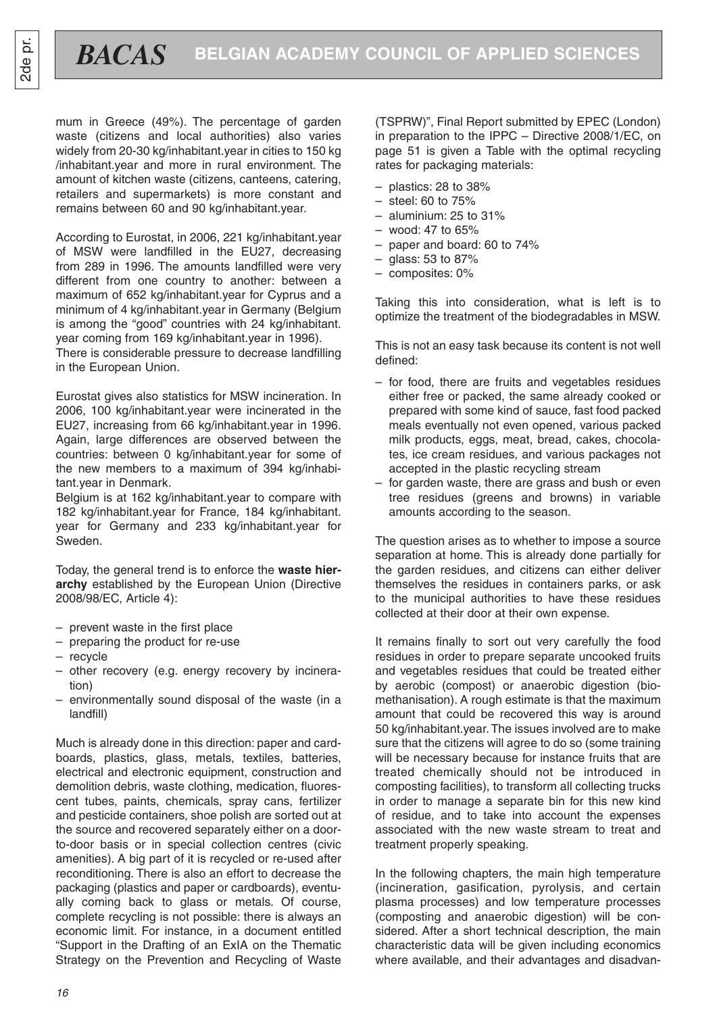mum in Greece (49%). The percentage of garden waste (citizens and local authorities) also varies widely from 20-30 kg/inhabitant.year in cities to 150 kg /inhabitant.year and more in rural environment. The amount of kitchen waste (citizens, canteens, catering, retailers and supermarkets) is more constant and remains between 60 and 90 kg/inhabitant.year.

According to Eurostat, in 2006, 221 kg/inhabitant.year of MSW were landfilled in the EU27, decreasing from 289 in 1996. The amounts landfilled were very different from one country to another: between a maximum of 652 kg/inhabitant.year for Cyprus and a minimum of 4 kg/inhabitant.year in Germany (Belgium is among the "good" countries with 24 kg/inhabitant. year coming from 169 kg/inhabitant.year in 1996).

There is considerable pressure to decrease landfilling in the European Union.

Eurostat gives also statistics for MSW incineration. In 2006, 100 kg/inhabitant.year were incinerated in the EU27, increasing from 66 kg/inhabitant.year in 1996. Again, large differences are observed between the countries: between 0 kg/inhabitant.year for some of the new members to a maximum of 394 kg/inhabitant.year in Denmark.

Belgium is at 162 kg/inhabitant.year to compare with 182 kg/inhabitant.year for France, 184 kg/inhabitant. year for Germany and 233 kg/inhabitant.year for Sweden.

Today, the general trend is to enforce the **waste hierarchy** established by the European Union (Directive 2008/98/EC, Article 4):

- prevent waste in the first place
- preparing the product for re-use
- recycle

ਨੂ  $\overline{\mathsf{e}}$ pr.

- other recovery (e.g. energy recovery by incineration)
- environmentally sound disposal of the waste (in a landfill)

Much is already done in this direction: paper and cardboards, plastics, glass, metals, textiles, batteries, electrical and electronic equipment, construction and demolition debris, waste clothing, medication, fluorescent tubes, paints, chemicals, spray cans, fertilizer and pesticide containers, shoe polish are sorted out at the source and recovered separately either on a doorto-door basis or in special collection centres (civic amenities). A big part of it is recycled or re-used after reconditioning. There is also an effort to decrease the packaging (plastics and paper or cardboards), eventually coming back to glass or metals. Of course, complete recycling is not possible: there is always an economic limit. For instance, in a document entitled "Support in the Drafting of an ExIA on the Thematic Strategy on the Prevention and Recycling of Waste

(TSPRW)", Final Report submitted by EPEC (London) in preparation to the IPPC – Directive 2008/1/EC, on page 51 is given a Table with the optimal recycling rates for packaging materials:

- plastics: 28 to 38%
- steel: 60 to 75%
- aluminium: 25 to 31%
- wood: 47 to 65%
- paper and board: 60 to 74%
- $-$  glass: 53 to 87%
- composites: 0%

Taking this into consideration, what is left is to optimize the treatment of the biodegradables in MSW.

This is not an easy task because its content is not well defined:

- for food, there are fruits and vegetables residues either free or packed, the same already cooked or prepared with some kind of sauce, fast food packed meals eventually not even opened, various packed milk products, eggs, meat, bread, cakes, chocolates, ice cream residues, and various packages not accepted in the plastic recycling stream
- for garden waste, there are grass and bush or even tree residues (greens and browns) in variable amounts according to the season.

The question arises as to whether to impose a source separation at home. This is already done partially for the garden residues, and citizens can either deliver themselves the residues in containers parks, or ask to the municipal authorities to have these residues collected at their door at their own expense.

It remains finally to sort out very carefully the food residues in order to prepare separate uncooked fruits and vegetables residues that could be treated either by aerobic (compost) or anaerobic digestion (biomethanisation). A rough estimate is that the maximum amount that could be recovered this way is around 50 kg/inhabitant.year.The issues involved are to make sure that the citizens will agree to do so (some training will be necessary because for instance fruits that are treated chemically should not be introduced in composting facilities), to transform all collecting trucks in order to manage a separate bin for this new kind of residue, and to take into account the expenses associated with the new waste stream to treat and treatment properly speaking.

In the following chapters, the main high temperature (incineration, gasification, pyrolysis, and certain plasma processes) and low temperature processes (composting and anaerobic digestion) will be considered. After a short technical description, the main characteristic data will be given including economics where available, and their advantages and disadvan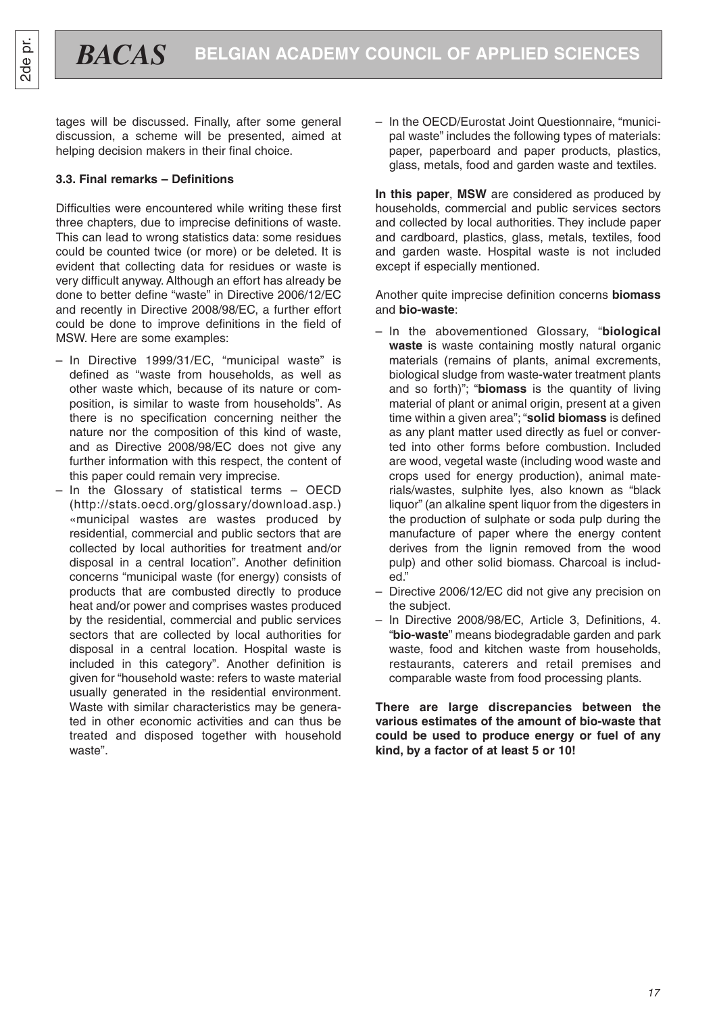tages will be discussed. Finally, after some general discussion, a scheme will be presented, aimed at helping decision makers in their final choice.

# **3.3. Final remarks – Definitions**

ਨੂ  $\overline{\mathsf{e}}$ pr.

> Difficulties were encountered while writing these first three chapters, due to imprecise definitions of waste. This can lead to wrong statistics data: some residues could be counted twice (or more) or be deleted. It is evident that collecting data for residues or waste is very difficult anyway. Although an effort has already be done to better define "waste" in Directive 2006/12/EC and recently in Directive 2008/98/EC, a further effort could be done to improve definitions in the field of MSW. Here are some examples:

- In Directive 1999/31/EC, "municipal waste" is defined as "waste from households, as well as other waste which, because of its nature or composition, is similar to waste from households". As there is no specification concerning neither the nature nor the composition of this kind of waste, and as Directive 2008/98/EC does not give any further information with this respect, the content of this paper could remain very imprecise.
- In the Glossary of statistical terms OECD (http://stats.oecd.org/glossary/download.asp.) «municipal wastes are wastes produced by residential, commercial and public sectors that are collected by local authorities for treatment and/or disposal in a central location". Another definition concerns "municipal waste (for energy) consists of products that are combusted directly to produce heat and/or power and comprises wastes produced by the residential, commercial and public services sectors that are collected by local authorities for disposal in a central location. Hospital waste is included in this category". Another definition is given for "household waste: refers to waste material usually generated in the residential environment. Waste with similar characteristics may be generated in other economic activities and can thus be treated and disposed together with household waste".

– In the OECD/Eurostat Joint Questionnaire, "municipal waste" includes the following types of materials: paper, paperboard and paper products, plastics, glass, metals, food and garden waste and textiles.

**In this paper**, **MSW** are considered as produced by households, commercial and public services sectors and collected by local authorities. They include paper and cardboard, plastics, glass, metals, textiles, food and garden waste. Hospital waste is not included except if especially mentioned.

Another quite imprecise definition concerns **biomass** and **bio-waste**:

- In the abovementioned Glossary, "**biological waste** is waste containing mostly natural organic materials (remains of plants, animal excrements, biological sludge from waste-water treatment plants and so forth)"; "**biomass** is the quantity of living material of plant or animal origin, present at a given time within a given area";"**solid biomass** is defined as any plant matter used directly as fuel or converted into other forms before combustion. Included are wood, vegetal waste (including wood waste and crops used for energy production), animal materials/wastes, sulphite lyes, also known as "black liquor" (an alkaline spent liquor from the digesters in the production of sulphate or soda pulp during the manufacture of paper where the energy content derives from the lignin removed from the wood pulp) and other solid biomass. Charcoal is included."
- Directive 2006/12/EC did not give any precision on the subject.
- In Directive 2008/98/EC, Article 3, Definitions, 4. "**bio-waste**" means biodegradable garden and park waste, food and kitchen waste from households, restaurants, caterers and retail premises and comparable waste from food processing plants.

**There are large discrepancies between the various estimates of the amount of bio-waste that could be used to produce energy or fuel of any kind, by a factor of at least 5 or 10!**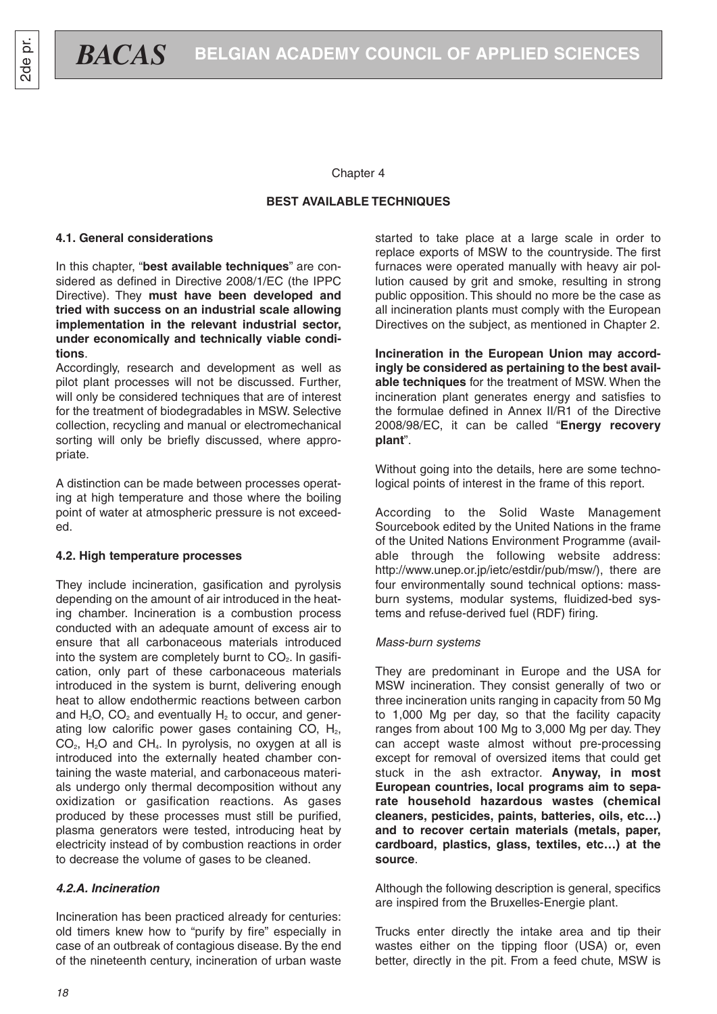### Chapter 4

#### **BEST AVAILABLE TECHNIQUES**

#### **4.1. General considerations**

ਨੂ  $\overline{\mathsf{e}}$  $\overline{\circ}$ 

> In this chapter, "**best available techniques**" are considered as defined in Directive 2008/1/EC (the IPPC Directive). They **must have been developed and tried with success on an industrial scale allowing implementation in the relevant industrial sector, under economically and technically viable conditions**.

> Accordingly, research and development as well as pilot plant processes will not be discussed. Further, will only be considered techniques that are of interest for the treatment of biodegradables in MSW. Selective collection, recycling and manual or electromechanical sorting will only be briefly discussed, where appropriate.

> A distinction can be made between processes operating at high temperature and those where the boiling point of water at atmospheric pressure is not exceeded.

#### **4.2. High temperature processes**

They include incineration, gasification and pyrolysis depending on the amount of air introduced in the heating chamber. Incineration is a combustion process conducted with an adequate amount of excess air to ensure that all carbonaceous materials introduced into the system are completely burnt to  $CO<sub>2</sub>$ . In gasification, only part of these carbonaceous materials introduced in the system is burnt, delivering enough heat to allow endothermic reactions between carbon and  $H_2O$ ,  $CO_2$  and eventually  $H_2$  to occur, and generating low calorific power gases containing CO,  $H<sub>2</sub>$ ,  $CO<sub>2</sub>$ , H<sub>2</sub>O and CH<sub>4</sub>. In pyrolysis, no oxygen at all is introduced into the externally heated chamber containing the waste material, and carbonaceous materials undergo only thermal decomposition without any oxidization or gasification reactions. As gases produced by these processes must still be purified, plasma generators were tested, introducing heat by electricity instead of by combustion reactions in order to decrease the volume of gases to be cleaned.

# *4.2.A. Incineration*

Incineration has been practiced already for centuries: old timers knew how to "purify by fire" especially in case of an outbreak of contagious disease. By the end of the nineteenth century, incineration of urban waste

started to take place at a large scale in order to replace exports of MSW to the countryside. The first furnaces were operated manually with heavy air pollution caused by grit and smoke, resulting in strong public opposition. This should no more be the case as all incineration plants must comply with the European Directives on the subject, as mentioned in Chapter 2.

**Incineration in the European Union may accordingly be considered as pertaining to the best available techniques** for the treatment of MSW. When the incineration plant generates energy and satisfies to the formulae defined in Annex II/R1 of the Directive 2008/98/EC, it can be called "**Energy recovery plant**".

Without going into the details, here are some technological points of interest in the frame of this report.

According to the Solid Waste Management Sourcebook edited by the United Nations in the frame of the United Nations Environment Programme (available through the following website address: http://www.unep.or.jp/ietc/estdir/pub/msw/), there are four environmentally sound technical options: massburn systems, modular systems, fluidized-bed systems and refuse-derived fuel (RDF) firing.

#### *Mass-burn systems*

They are predominant in Europe and the USA for MSW incineration. They consist generally of two or three incineration units ranging in capacity from 50 Mg to 1,000 Mg per day, so that the facility capacity ranges from about 100 Mg to 3,000 Mg per day. They can accept waste almost without pre-processing except for removal of oversized items that could get stuck in the ash extractor. **Anyway, in most European countries, local programs aim to separate household hazardous wastes (chemical cleaners, pesticides, paints, batteries, oils, etc…) and to recover certain materials (metals, paper, cardboard, plastics, glass, textiles, etc…) at the source**.

Although the following description is general, specifics are inspired from the Bruxelles-Energie plant.

Trucks enter directly the intake area and tip their wastes either on the tipping floor (USA) or, even better, directly in the pit. From a feed chute, MSW is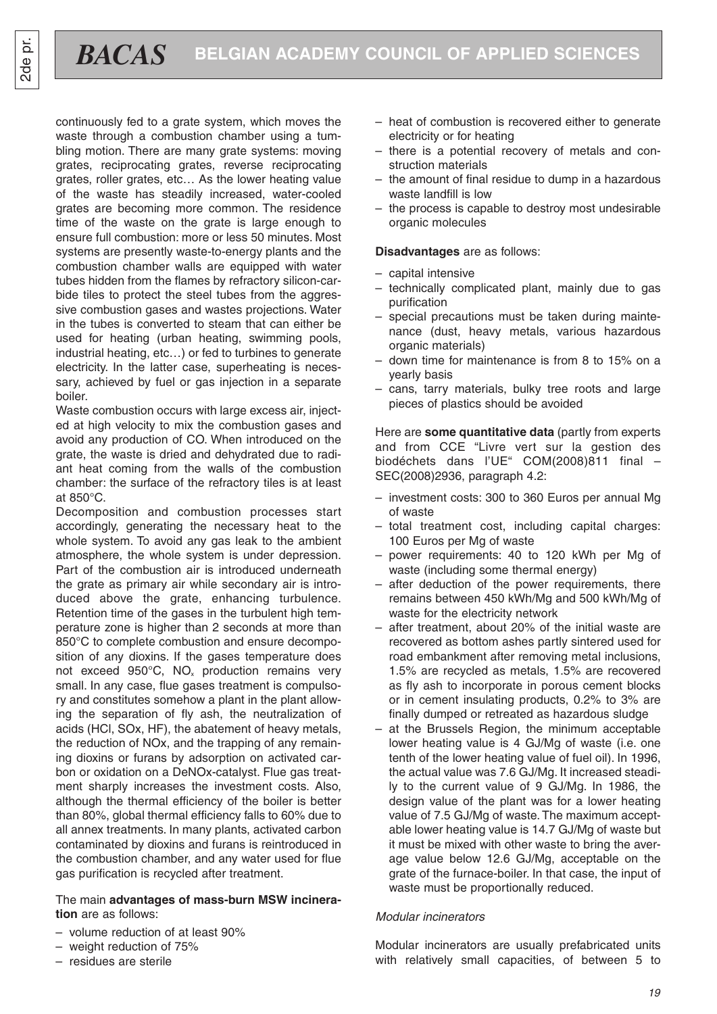continuously fed to a grate system, which moves the waste through a combustion chamber using a tumbling motion. There are many grate systems: moving grates, reciprocating grates, reverse reciprocating grates, roller grates, etc… As the lower heating value of the waste has steadily increased, water-cooled grates are becoming more common. The residence time of the waste on the grate is large enough to ensure full combustion: more or less 50 minutes. Most systems are presently waste-to-energy plants and the combustion chamber walls are equipped with water tubes hidden from the flames by refractory silicon-carbide tiles to protect the steel tubes from the aggressive combustion gases and wastes projections. Water in the tubes is converted to steam that can either be used for heating (urban heating, swimming pools, industrial heating, etc…) or fed to turbines to generate electricity. In the latter case, superheating is necessary, achieved by fuel or gas injection in a separate boiler.

ਨੂ  $\overline{\mathsf{e}}$  $\overline{\circ}$ 

> Waste combustion occurs with large excess air, injected at high velocity to mix the combustion gases and avoid any production of CO. When introduced on the grate, the waste is dried and dehydrated due to radiant heat coming from the walls of the combustion chamber: the surface of the refractory tiles is at least at 850°C.

> Decomposition and combustion processes start accordingly, generating the necessary heat to the whole system. To avoid any gas leak to the ambient atmosphere, the whole system is under depression. Part of the combustion air is introduced underneath the grate as primary air while secondary air is introduced above the grate, enhancing turbulence. Retention time of the gases in the turbulent high temperature zone is higher than 2 seconds at more than 850°C to complete combustion and ensure decomposition of any dioxins. If the gases temperature does not exceed  $950^{\circ}$ C, NO<sub>x</sub> production remains very small. In any case, flue gases treatment is compulsory and constitutes somehow a plant in the plant allowing the separation of fly ash, the neutralization of acids (HCl, SOx, HF), the abatement of heavy metals, the reduction of NOx, and the trapping of any remaining dioxins or furans by adsorption on activated carbon or oxidation on a DeNOx-catalyst. Flue gas treatment sharply increases the investment costs. Also, although the thermal efficiency of the boiler is better than 80%, global thermal efficiency falls to 60% due to all annex treatments. In many plants, activated carbon contaminated by dioxins and furans is reintroduced in the combustion chamber, and any water used for flue gas purification is recycled after treatment.

# The main **advantages of mass-burn MSW incineration** are as follows:

- volume reduction of at least 90%
- weight reduction of 75%
- residues are sterile
- heat of combustion is recovered either to generate electricity or for heating
- there is a potential recovery of metals and construction materials
- the amount of final residue to dump in a hazardous waste landfill is low
- the process is capable to destroy most undesirable organic molecules

## **Disadvantages** are as follows:

- capital intensive
- technically complicated plant, mainly due to gas purification
- special precautions must be taken during maintenance (dust, heavy metals, various hazardous organic materials)
- down time for maintenance is from 8 to 15% on a yearly basis
- cans, tarry materials, bulky tree roots and large pieces of plastics should be avoided

Here are **some quantitative data** (partly from experts and from CCE "Livre vert sur la gestion des biodéchets dans l'UE" COM(2008)811 final – SEC(2008)2936, paragraph 4.2:

- investment costs: 300 to 360 Euros per annual Mg of waste
- total treatment cost, including capital charges: 100 Euros per Mg of waste
- power requirements: 40 to 120 kWh per Mg of waste (including some thermal energy)
- after deduction of the power requirements, there remains between 450 kWh/Mg and 500 kWh/Mg of waste for the electricity network
- after treatment, about 20% of the initial waste are recovered as bottom ashes partly sintered used for road embankment after removing metal inclusions, 1.5% are recycled as metals, 1.5% are recovered as fly ash to incorporate in porous cement blocks or in cement insulating products, 0.2% to 3% are finally dumped or retreated as hazardous sludge
- at the Brussels Region, the minimum acceptable lower heating value is 4 GJ/Mg of waste (i.e. one tenth of the lower heating value of fuel oil). In 1996, the actual value was 7.6 GJ/Mg. It increased steadily to the current value of 9 GJ/Mg. In 1986, the design value of the plant was for a lower heating value of 7.5 GJ/Mg of waste. The maximum acceptable lower heating value is 14.7 GJ/Mg of waste but it must be mixed with other waste to bring the average value below 12.6 GJ/Mg, acceptable on the grate of the furnace-boiler. In that case, the input of waste must be proportionally reduced.

### *Modular incinerators*

Modular incinerators are usually prefabricated units with relatively small capacities, of between 5 to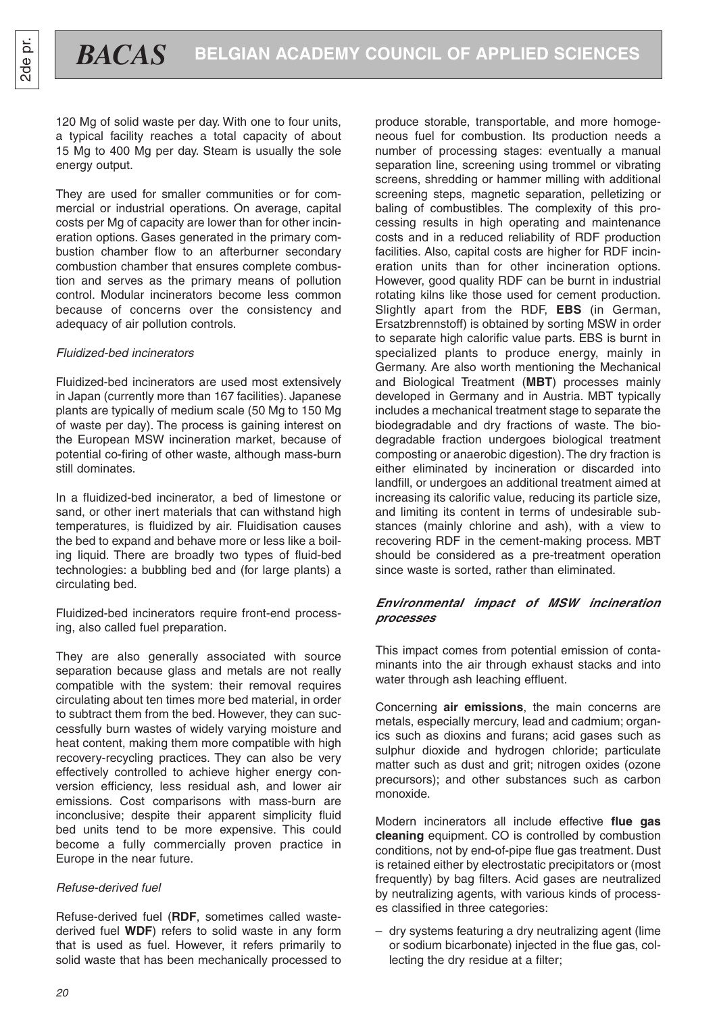120 Mg of solid waste per day. With one to four units, a typical facility reaches a total capacity of about 15 Mg to 400 Mg per day. Steam is usually the sole energy output.

They are used for smaller communities or for commercial or industrial operations. On average, capital costs per Mg of capacity are lower than for other incineration options. Gases generated in the primary combustion chamber flow to an afterburner secondary combustion chamber that ensures complete combustion and serves as the primary means of pollution control. Modular incinerators become less common because of concerns over the consistency and adequacy of air pollution controls.

## *Fluidized-bed incinerators*

ਨੂ  $\overline{\mathsf{e}}$ pr.

> Fluidized-bed incinerators are used most extensively in Japan (currently more than 167 facilities). Japanese plants are typically of medium scale (50 Mg to 150 Mg of waste per day). The process is gaining interest on the European MSW incineration market, because of potential co-firing of other waste, although mass-burn still dominates.

> In a fluidized-bed incinerator, a bed of limestone or sand, or other inert materials that can withstand high temperatures, is fluidized by air. Fluidisation causes the bed to expand and behave more or less like a boiling liquid. There are broadly two types of fluid-bed technologies: a bubbling bed and (for large plants) a circulating bed.

> Fluidized-bed incinerators require front-end processing, also called fuel preparation.

They are also generally associated with source separation because glass and metals are not really compatible with the system: their removal requires circulating about ten times more bed material, in order to subtract them from the bed. However, they can successfully burn wastes of widely varying moisture and heat content, making them more compatible with high recovery-recycling practices. They can also be very effectively controlled to achieve higher energy conversion efficiency, less residual ash, and lower air emissions. Cost comparisons with mass-burn are inconclusive; despite their apparent simplicity fluid bed units tend to be more expensive. This could become a fully commercially proven practice in Europe in the near future.

# *Refuse-derived fuel*

Refuse-derived fuel (**RDF**, sometimes called wastederived fuel **WDF**) refers to solid waste in any form that is used as fuel. However, it refers primarily to solid waste that has been mechanically processed to

produce storable, transportable, and more homogeneous fuel for combustion. Its production needs a number of processing stages: eventually a manual separation line, screening using trommel or vibrating screens, shredding or hammer milling with additional screening steps, magnetic separation, pelletizing or baling of combustibles. The complexity of this processing results in high operating and maintenance costs and in a reduced reliability of RDF production facilities. Also, capital costs are higher for RDF incineration units than for other incineration options. However, good quality RDF can be burnt in industrial rotating kilns like those used for cement production. Slightly apart from the RDF, **EBS** (in German, Ersatzbrennstoff) is obtained by sorting MSW in order to separate high calorific value parts. EBS is burnt in specialized plants to produce energy, mainly in Germany. Are also worth mentioning the Mechanical and Biological Treatment (**MBT**) processes mainly developed in Germany and in Austria. MBT typically includes a mechanical treatment stage to separate the biodegradable and dry fractions of waste. The biodegradable fraction undergoes biological treatment composting or anaerobic digestion).The dry fraction is either eliminated by incineration or discarded into landfill, or undergoes an additional treatment aimed at increasing its calorific value, reducing its particle size, and limiting its content in terms of undesirable substances (mainly chlorine and ash), with a view to recovering RDF in the cement-making process. MBT should be considered as a pre-treatment operation since waste is sorted, rather than eliminated.

## *Environmental impact of MSW incineration processes*

This impact comes from potential emission of contaminants into the air through exhaust stacks and into water through ash leaching effluent.

Concerning **air emissions**, the main concerns are metals, especially mercury, lead and cadmium; organics such as dioxins and furans; acid gases such as sulphur dioxide and hydrogen chloride; particulate matter such as dust and grit; nitrogen oxides (ozone precursors); and other substances such as carbon monoxide.

Modern incinerators all include effective **flue gas cleaning** equipment. CO is controlled by combustion conditions, not by end-of-pipe flue gas treatment. Dust is retained either by electrostatic precipitators or (most frequently) by bag filters. Acid gases are neutralized by neutralizing agents, with various kinds of processes classified in three categories:

– dry systems featuring a dry neutralizing agent (lime or sodium bicarbonate) injected in the flue gas, collecting the dry residue at a filter;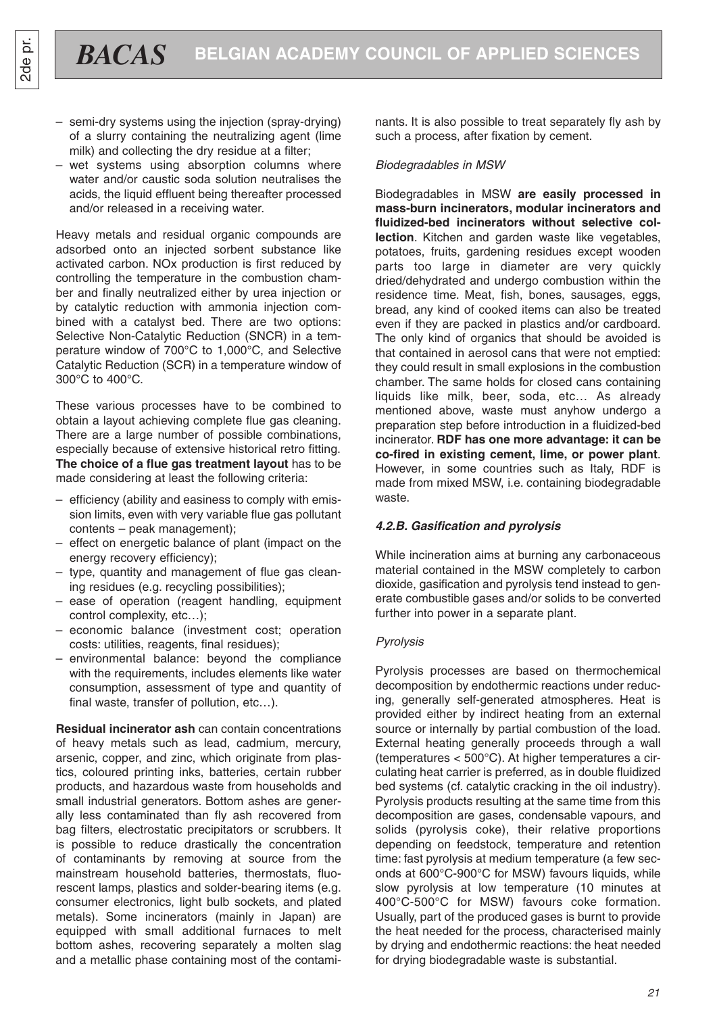– semi-dry systems using the injection (spray-drying) of a slurry containing the neutralizing agent (lime milk) and collecting the dry residue at a filter;

ਨੂ  $\overline{\mathsf{e}}$ pr.

> – wet systems using absorption columns where water and/or caustic soda solution neutralises the acids, the liquid effluent being thereafter processed and/or released in a receiving water.

> Heavy metals and residual organic compounds are adsorbed onto an injected sorbent substance like activated carbon. NOx production is first reduced by controlling the temperature in the combustion chamber and finally neutralized either by urea injection or by catalytic reduction with ammonia injection combined with a catalyst bed. There are two options: Selective Non-Catalytic Reduction (SNCR) in a temperature window of 700°C to 1,000°C, and Selective Catalytic Reduction (SCR) in a temperature window of 300°C to 400°C.

> These various processes have to be combined to obtain a layout achieving complete flue gas cleaning. There are a large number of possible combinations, especially because of extensive historical retro fitting. **The choice of a flue gas treatment layout** has to be made considering at least the following criteria:

- efficiency (ability and easiness to comply with emission limits, even with very variable flue gas pollutant contents – peak management);
- effect on energetic balance of plant (impact on the energy recovery efficiency);
- type, quantity and management of flue gas cleaning residues (e.g. recycling possibilities);
- ease of operation (reagent handling, equipment control complexity, etc…);
- economic balance (investment cost; operation costs: utilities, reagents, final residues);
- environmental balance: beyond the compliance with the requirements, includes elements like water consumption, assessment of type and quantity of final waste, transfer of pollution, etc…).

**Residual incinerator ash** can contain concentrations of heavy metals such as lead, cadmium, mercury, arsenic, copper, and zinc, which originate from plastics, coloured printing inks, batteries, certain rubber products, and hazardous waste from households and small industrial generators. Bottom ashes are generally less contaminated than fly ash recovered from bag filters, electrostatic precipitators or scrubbers. It is possible to reduce drastically the concentration of contaminants by removing at source from the mainstream household batteries, thermostats, fluorescent lamps, plastics and solder-bearing items (e.g. consumer electronics, light bulb sockets, and plated metals). Some incinerators (mainly in Japan) are equipped with small additional furnaces to melt bottom ashes, recovering separately a molten slag and a metallic phase containing most of the contaminants. It is also possible to treat separately fly ash by such a process, after fixation by cement.

## *Biodegradables in MSW*

Biodegradables in MSW **are easily processed in mass-burn incinerators, modular incinerators and fluidized-bed incinerators without selective collection**. Kitchen and garden waste like vegetables, potatoes, fruits, gardening residues except wooden parts too large in diameter are very quickly dried/dehydrated and undergo combustion within the residence time. Meat, fish, bones, sausages, eggs, bread, any kind of cooked items can also be treated even if they are packed in plastics and/or cardboard. The only kind of organics that should be avoided is that contained in aerosol cans that were not emptied: they could result in small explosions in the combustion chamber. The same holds for closed cans containing liquids like milk, beer, soda, etc… As already mentioned above, waste must anyhow undergo a preparation step before introduction in a fluidized-bed incinerator. **RDF has one more advantage: it can be co-fired in existing cement, lime, or power plant**. However, in some countries such as Italy, RDF is made from mixed MSW, i.e. containing biodegradable waste.

# *4.2.B. Gasification and pyrolysis*

While incineration aims at burning any carbonaceous material contained in the MSW completely to carbon dioxide, gasification and pyrolysis tend instead to generate combustible gases and/or solids to be converted further into power in a separate plant.

# *Pyrolysis*

Pyrolysis processes are based on thermochemical decomposition by endothermic reactions under reducing, generally self-generated atmospheres. Heat is provided either by indirect heating from an external source or internally by partial combustion of the load. External heating generally proceeds through a wall (temperatures < 500°C). At higher temperatures a circulating heat carrier is preferred, as in double fluidized bed systems (cf. catalytic cracking in the oil industry). Pyrolysis products resulting at the same time from this decomposition are gases, condensable vapours, and solids (pyrolysis coke), their relative proportions depending on feedstock, temperature and retention time: fast pyrolysis at medium temperature (a few seconds at 600°C-900°C for MSW) favours liquids, while slow pyrolysis at low temperature (10 minutes at 400°C-500°C for MSW) favours coke formation. Usually, part of the produced gases is burnt to provide the heat needed for the process, characterised mainly by drying and endothermic reactions: the heat needed for drying biodegradable waste is substantial.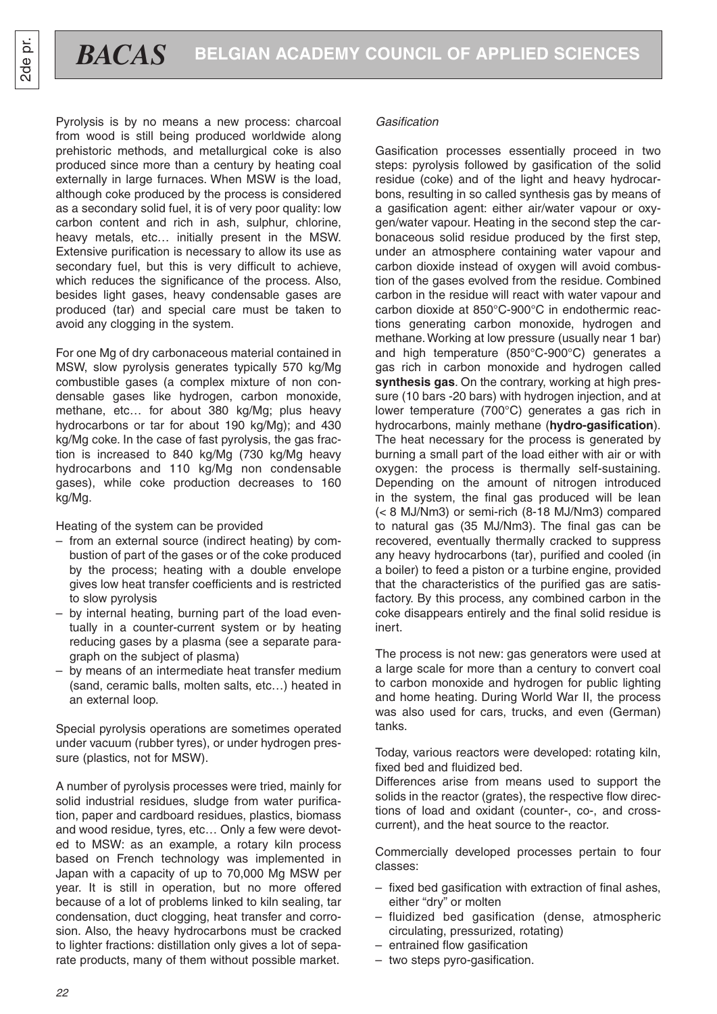Pyrolysis is by no means a new process: charcoal from wood is still being produced worldwide along prehistoric methods, and metallurgical coke is also produced since more than a century by heating coal externally in large furnaces. When MSW is the load, although coke produced by the process is considered as a secondary solid fuel, it is of very poor quality: low carbon content and rich in ash, sulphur, chlorine, heavy metals, etc… initially present in the MSW. Extensive purification is necessary to allow its use as secondary fuel, but this is very difficult to achieve, which reduces the significance of the process. Also, besides light gases, heavy condensable gases are produced (tar) and special care must be taken to avoid any clogging in the system.

ਨੂ  $\overline{\mathsf{e}}$ pr.

> For one Mg of dry carbonaceous material contained in MSW, slow pyrolysis generates typically 570 kg/Mg combustible gases (a complex mixture of non condensable gases like hydrogen, carbon monoxide, methane, etc… for about 380 kg/Mg; plus heavy hydrocarbons or tar for about 190 kg/Mg); and 430 kg/Mg coke. In the case of fast pyrolysis, the gas fraction is increased to 840 kg/Mg (730 kg/Mg heavy hydrocarbons and 110 kg/Mg non condensable gases), while coke production decreases to 160 kg/Mg.

Heating of the system can be provided

- from an external source (indirect heating) by combustion of part of the gases or of the coke produced by the process; heating with a double envelope gives low heat transfer coefficients and is restricted to slow pyrolysis
- by internal heating, burning part of the load eventually in a counter-current system or by heating reducing gases by a plasma (see a separate paragraph on the subject of plasma)
- by means of an intermediate heat transfer medium (sand, ceramic balls, molten salts, etc…) heated in an external loop.

Special pyrolysis operations are sometimes operated under vacuum (rubber tyres), or under hydrogen pressure (plastics, not for MSW).

A number of pyrolysis processes were tried, mainly for solid industrial residues, sludge from water purification, paper and cardboard residues, plastics, biomass and wood residue, tyres, etc… Only a few were devoted to MSW: as an example, a rotary kiln process based on French technology was implemented in Japan with a capacity of up to 70,000 Mg MSW per year. It is still in operation, but no more offered because of a lot of problems linked to kiln sealing, tar condensation, duct clogging, heat transfer and corrosion. Also, the heavy hydrocarbons must be cracked to lighter fractions: distillation only gives a lot of separate products, many of them without possible market.

#### *Gasification*

Gasification processes essentially proceed in two steps: pyrolysis followed by gasification of the solid residue (coke) and of the light and heavy hydrocarbons, resulting in so called synthesis gas by means of a gasification agent: either air/water vapour or oxygen/water vapour. Heating in the second step the carbonaceous solid residue produced by the first step, under an atmosphere containing water vapour and carbon dioxide instead of oxygen will avoid combustion of the gases evolved from the residue. Combined carbon in the residue will react with water vapour and carbon dioxide at 850°C-900°C in endothermic reactions generating carbon monoxide, hydrogen and methane.Working at low pressure (usually near 1 bar) and high temperature (850°C-900°C) generates a gas rich in carbon monoxide and hydrogen called **synthesis gas**. On the contrary, working at high pressure (10 bars -20 bars) with hydrogen injection, and at lower temperature (700°C) generates a gas rich in hydrocarbons, mainly methane (**hydro-gasification**). The heat necessary for the process is generated by burning a small part of the load either with air or with oxygen: the process is thermally self-sustaining. Depending on the amount of nitrogen introduced in the system, the final gas produced will be lean (< 8 MJ/Nm3) or semi-rich (8-18 MJ/Nm3) compared to natural gas (35 MJ/Nm3). The final gas can be recovered, eventually thermally cracked to suppress any heavy hydrocarbons (tar), purified and cooled (in a boiler) to feed a piston or a turbine engine, provided that the characteristics of the purified gas are satisfactory. By this process, any combined carbon in the coke disappears entirely and the final solid residue is inert.

The process is not new: gas generators were used at a large scale for more than a century to convert coal to carbon monoxide and hydrogen for public lighting and home heating. During World War II, the process was also used for cars, trucks, and even (German) tanks.

Today, various reactors were developed: rotating kiln, fixed bed and fluidized bed.

Differences arise from means used to support the solids in the reactor (grates), the respective flow directions of load and oxidant (counter-, co-, and crosscurrent), and the heat source to the reactor.

Commercially developed processes pertain to four classes:

- fixed bed gasification with extraction of final ashes, either "dry" or molten
- fluidized bed gasification (dense, atmospheric circulating, pressurized, rotating)
- entrained flow gasification
- two steps pyro-gasification.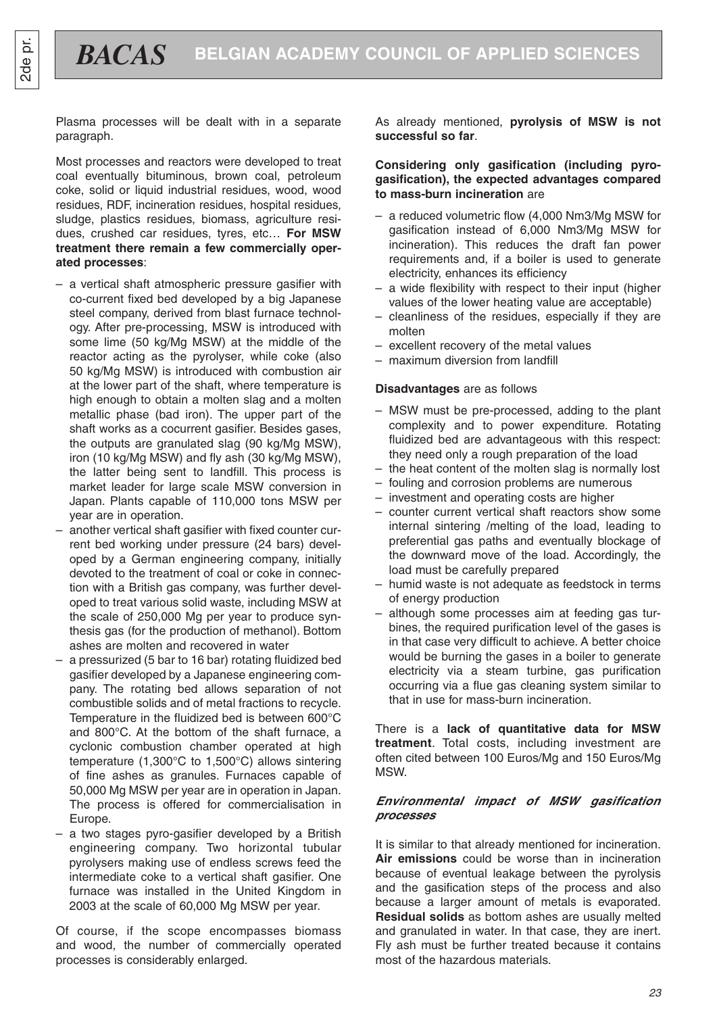Plasma processes will be dealt with in a separate paragraph.

ਨੂ  $\overline{\mathsf{e}}$  $\overline{\circ}$ 

> Most processes and reactors were developed to treat coal eventually bituminous, brown coal, petroleum coke, solid or liquid industrial residues, wood, wood residues, RDF, incineration residues, hospital residues, sludge, plastics residues, biomass, agriculture residues, crushed car residues, tyres, etc… **For MSW treatment there remain a few commercially operated processes**:

- a vertical shaft atmospheric pressure gasifier with co-current fixed bed developed by a big Japanese steel company, derived from blast furnace technology. After pre-processing, MSW is introduced with some lime (50 kg/Mg MSW) at the middle of the reactor acting as the pyrolyser, while coke (also 50 kg/Mg MSW) is introduced with combustion air at the lower part of the shaft, where temperature is high enough to obtain a molten slag and a molten metallic phase (bad iron). The upper part of the shaft works as a cocurrent gasifier. Besides gases, the outputs are granulated slag (90 kg/Mg MSW), iron (10 kg/Mg MSW) and fly ash (30 kg/Mg MSW), the latter being sent to landfill. This process is market leader for large scale MSW conversion in Japan. Plants capable of 110,000 tons MSW per year are in operation.
- another vertical shaft gasifier with fixed counter current bed working under pressure (24 bars) developed by a German engineering company, initially devoted to the treatment of coal or coke in connection with a British gas company, was further developed to treat various solid waste, including MSW at the scale of 250,000 Mg per year to produce synthesis gas (for the production of methanol). Bottom ashes are molten and recovered in water
- a pressurized (5 bar to 16 bar) rotating fluidized bed gasifier developed by a Japanese engineering company. The rotating bed allows separation of not combustible solids and of metal fractions to recycle. Temperature in the fluidized bed is between 600°C and 800°C. At the bottom of the shaft furnace, a cyclonic combustion chamber operated at high temperature (1,300°C to 1,500°C) allows sintering of fine ashes as granules. Furnaces capable of 50,000 Mg MSW per year are in operation in Japan. The process is offered for commercialisation in Europe.
- a two stages pyro-gasifier developed by a British engineering company. Two horizontal tubular pyrolysers making use of endless screws feed the intermediate coke to a vertical shaft gasifier. One furnace was installed in the United Kingdom in 2003 at the scale of 60,000 Mg MSW per year.

Of course, if the scope encompasses biomass and wood, the number of commercially operated processes is considerably enlarged.

As already mentioned, **pyrolysis of MSW is not successful so far**.

## **Considering only gasification (including pyrogasification), the expected advantages compared to mass-burn incineration** are

- a reduced volumetric flow (4,000 Nm3/Mg MSW for gasification instead of 6,000 Nm3/Mg MSW for incineration). This reduces the draft fan power requirements and, if a boiler is used to generate electricity, enhances its efficiency
- a wide flexibility with respect to their input (higher values of the lower heating value are acceptable)
- cleanliness of the residues, especially if they are molten
- excellent recovery of the metal values
- maximum diversion from landfill

### **Disadvantages** are as follows

- MSW must be pre-processed, adding to the plant complexity and to power expenditure. Rotating fluidized bed are advantageous with this respect: they need only a rough preparation of the load
- the heat content of the molten slag is normally lost
- fouling and corrosion problems are numerous
- investment and operating costs are higher
- counter current vertical shaft reactors show some internal sintering /melting of the load, leading to preferential gas paths and eventually blockage of the downward move of the load. Accordingly, the load must be carefully prepared
- humid waste is not adequate as feedstock in terms of energy production
- although some processes aim at feeding gas turbines, the required purification level of the gases is in that case very difficult to achieve. A better choice would be burning the gases in a boiler to generate electricity via a steam turbine, gas purification occurring via a flue gas cleaning system similar to that in use for mass-burn incineration.

There is a **lack of quantitative data for MSW treatment**. Total costs, including investment are often cited between 100 Euros/Mg and 150 Euros/Mg MSW.

# *Environmental impact of MSW gasification processes*

It is similar to that already mentioned for incineration. **Air emissions** could be worse than in incineration because of eventual leakage between the pyrolysis and the gasification steps of the process and also because a larger amount of metals is evaporated. **Residual solids** as bottom ashes are usually melted and granulated in water. In that case, they are inert. Fly ash must be further treated because it contains most of the hazardous materials.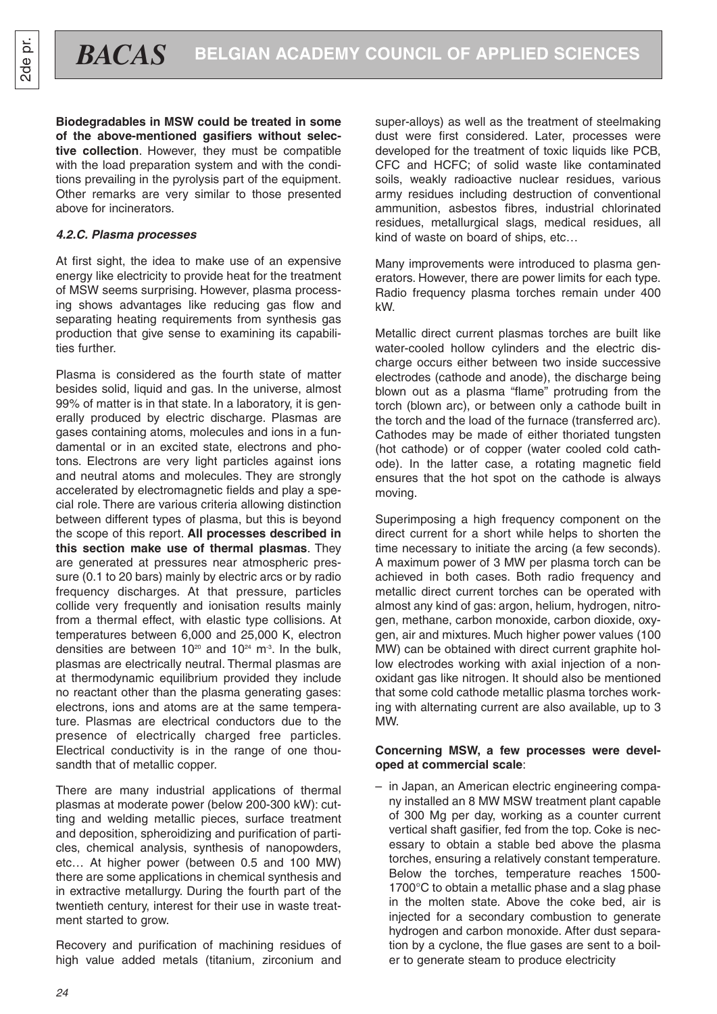**Biodegradables in MSW could be treated in some of the above-mentioned gasifiers without selective collection**. However, they must be compatible with the load preparation system and with the conditions prevailing in the pyrolysis part of the equipment. Other remarks are very similar to those presented above for incinerators.

# *4.2.C. Plasma processes*

ਨੂ  $\overline{\mathsf{e}}$ pr.

> At first sight, the idea to make use of an expensive energy like electricity to provide heat for the treatment of MSW seems surprising. However, plasma processing shows advantages like reducing gas flow and separating heating requirements from synthesis gas production that give sense to examining its capabilities further.

> Plasma is considered as the fourth state of matter besides solid, liquid and gas. In the universe, almost 99% of matter is in that state. In a laboratory, it is generally produced by electric discharge. Plasmas are gases containing atoms, molecules and ions in a fundamental or in an excited state, electrons and photons. Electrons are very light particles against ions and neutral atoms and molecules. They are strongly accelerated by electromagnetic fields and play a special role. There are various criteria allowing distinction between different types of plasma, but this is beyond the scope of this report. **All processes described in this section make use of thermal plasmas**. They are generated at pressures near atmospheric pressure (0.1 to 20 bars) mainly by electric arcs or by radio frequency discharges. At that pressure, particles collide very frequently and ionisation results mainly from a thermal effect, with elastic type collisions. At temperatures between 6,000 and 25,000 K, electron densities are between  $10^{20}$  and  $10^{24}$  m<sup>-3</sup>. In the bulk, plasmas are electrically neutral. Thermal plasmas are at thermodynamic equilibrium provided they include no reactant other than the plasma generating gases: electrons, ions and atoms are at the same temperature. Plasmas are electrical conductors due to the presence of electrically charged free particles. Electrical conductivity is in the range of one thousandth that of metallic copper.

> There are many industrial applications of thermal plasmas at moderate power (below 200-300 kW): cutting and welding metallic pieces, surface treatment and deposition, spheroidizing and purification of particles, chemical analysis, synthesis of nanopowders, etc… At higher power (between 0.5 and 100 MW) there are some applications in chemical synthesis and in extractive metallurgy. During the fourth part of the twentieth century, interest for their use in waste treatment started to grow.

> Recovery and purification of machining residues of high value added metals (titanium, zirconium and

super-alloys) as well as the treatment of steelmaking dust were first considered. Later, processes were developed for the treatment of toxic liquids like PCB, CFC and HCFC; of solid waste like contaminated soils, weakly radioactive nuclear residues, various army residues including destruction of conventional ammunition, asbestos fibres, industrial chlorinated residues, metallurgical slags, medical residues, all kind of waste on board of ships, etc…

Many improvements were introduced to plasma generators. However, there are power limits for each type. Radio frequency plasma torches remain under 400 kW.

Metallic direct current plasmas torches are built like water-cooled hollow cylinders and the electric discharge occurs either between two inside successive electrodes (cathode and anode), the discharge being blown out as a plasma "flame" protruding from the torch (blown arc), or between only a cathode built in the torch and the load of the furnace (transferred arc). Cathodes may be made of either thoriated tungsten (hot cathode) or of copper (water cooled cold cathode). In the latter case, a rotating magnetic field ensures that the hot spot on the cathode is always moving.

Superimposing a high frequency component on the direct current for a short while helps to shorten the time necessary to initiate the arcing (a few seconds). A maximum power of 3 MW per plasma torch can be achieved in both cases. Both radio frequency and metallic direct current torches can be operated with almost any kind of gas: argon, helium, hydrogen, nitrogen, methane, carbon monoxide, carbon dioxide, oxygen, air and mixtures. Much higher power values (100 MW) can be obtained with direct current graphite hollow electrodes working with axial injection of a nonoxidant gas like nitrogen. It should also be mentioned that some cold cathode metallic plasma torches working with alternating current are also available, up to 3 MW.

# **Concerning MSW, a few processes were developed at commercial scale**:

– in Japan, an American electric engineering company installed an 8 MW MSW treatment plant capable of 300 Mg per day, working as a counter current vertical shaft gasifier, fed from the top. Coke is necessary to obtain a stable bed above the plasma torches, ensuring a relatively constant temperature. Below the torches, temperature reaches 1500- 1700°C to obtain a metallic phase and a slag phase in the molten state. Above the coke bed, air is injected for a secondary combustion to generate hydrogen and carbon monoxide. After dust separation by a cyclone, the flue gases are sent to a boiler to generate steam to produce electricity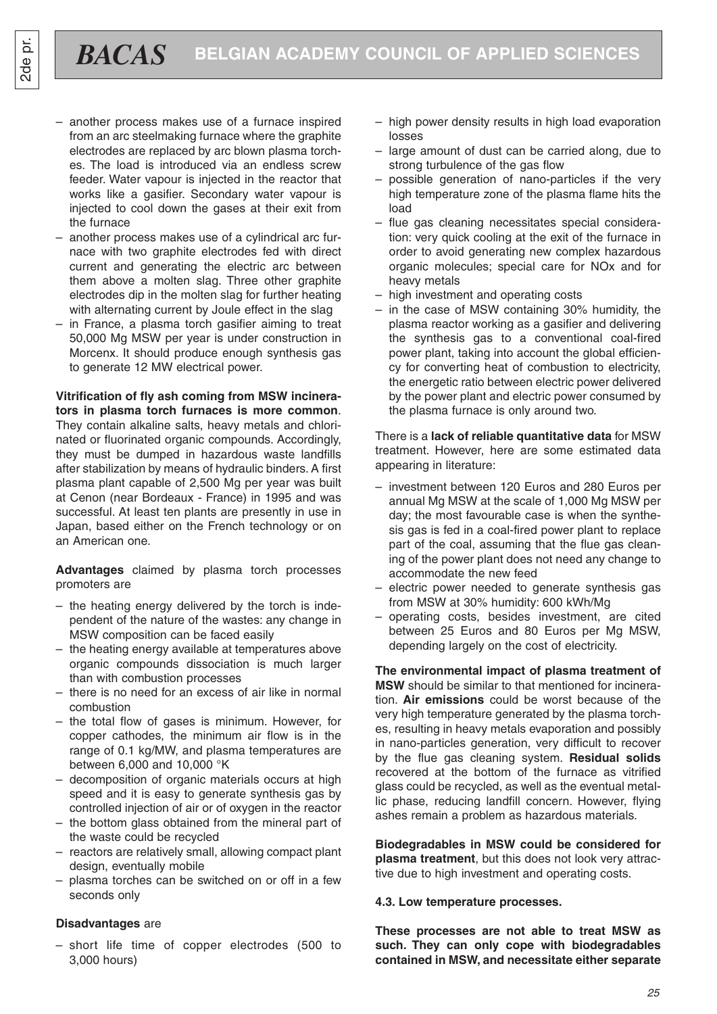– another process makes use of a furnace inspired from an arc steelmaking furnace where the graphite electrodes are replaced by arc blown plasma torches. The load is introduced via an endless screw feeder. Water vapour is injected in the reactor that works like a gasifier. Secondary water vapour is injected to cool down the gases at their exit from the furnace

ਨੂ  $\overline{\mathsf{e}}$  $\overline{\circ}$ 

- another process makes use of a cylindrical arc furnace with two graphite electrodes fed with direct current and generating the electric arc between them above a molten slag. Three other graphite electrodes dip in the molten slag for further heating with alternating current by Joule effect in the slag
- in France, a plasma torch gasifier aiming to treat 50,000 Mg MSW per year is under construction in Morcenx. It should produce enough synthesis gas to generate 12 MW electrical power.

**Vitrification of fly ash coming from MSW incinerators in plasma torch furnaces is more common**. They contain alkaline salts, heavy metals and chlorinated or fluorinated organic compounds. Accordingly, they must be dumped in hazardous waste landfills after stabilization by means of hydraulic binders. A first plasma plant capable of 2,500 Mg per year was built at Cenon (near Bordeaux - France) in 1995 and was successful. At least ten plants are presently in use in Japan, based either on the French technology or on an American one.

**Advantages** claimed by plasma torch processes promoters are

- the heating energy delivered by the torch is independent of the nature of the wastes: any change in MSW composition can be faced easily
- the heating energy available at temperatures above organic compounds dissociation is much larger than with combustion processes
- there is no need for an excess of air like in normal combustion
- the total flow of gases is minimum. However, for copper cathodes, the minimum air flow is in the range of 0.1 kg/MW, and plasma temperatures are between 6,000 and 10,000 °K
- decomposition of organic materials occurs at high speed and it is easy to generate synthesis gas by controlled injection of air or of oxygen in the reactor
- the bottom glass obtained from the mineral part of the waste could be recycled
- reactors are relatively small, allowing compact plant design, eventually mobile
- plasma torches can be switched on or off in a few seconds only

#### **Disadvantages** are

– short life time of copper electrodes (500 to 3,000 hours)

- high power density results in high load evaporation losses
- large amount of dust can be carried along, due to strong turbulence of the gas flow
- possible generation of nano-particles if the very high temperature zone of the plasma flame hits the load
- flue gas cleaning necessitates special consideration: very quick cooling at the exit of the furnace in order to avoid generating new complex hazardous organic molecules; special care for NOx and for heavy metals
- high investment and operating costs
- in the case of MSW containing 30% humidity, the plasma reactor working as a gasifier and delivering the synthesis gas to a conventional coal-fired power plant, taking into account the global efficiency for converting heat of combustion to electricity, the energetic ratio between electric power delivered by the power plant and electric power consumed by the plasma furnace is only around two.

There is a **lack of reliable quantitative data** for MSW treatment. However, here are some estimated data appearing in literature:

- investment between 120 Euros and 280 Euros per annual Mg MSW at the scale of 1,000 Mg MSW per day; the most favourable case is when the synthesis gas is fed in a coal-fired power plant to replace part of the coal, assuming that the flue gas cleaning of the power plant does not need any change to accommodate the new feed
- electric power needed to generate synthesis gas from MSW at 30% humidity: 600 kWh/Mg
- operating costs, besides investment, are cited between 25 Euros and 80 Euros per Mg MSW, depending largely on the cost of electricity.

**The environmental impact of plasma treatment of MSW** should be similar to that mentioned for incineration. **Air emissions** could be worst because of the very high temperature generated by the plasma torches, resulting in heavy metals evaporation and possibly in nano-particles generation, very difficult to recover by the flue gas cleaning system. **Residual solids** recovered at the bottom of the furnace as vitrified glass could be recycled, as well as the eventual metallic phase, reducing landfill concern. However, flying ashes remain a problem as hazardous materials.

**Biodegradables in MSW could be considered for plasma treatment**, but this does not look very attractive due to high investment and operating costs.

# **4.3. Low temperature processes.**

**These processes are not able to treat MSW as such. They can only cope with biodegradables contained in MSW, and necessitate either separate**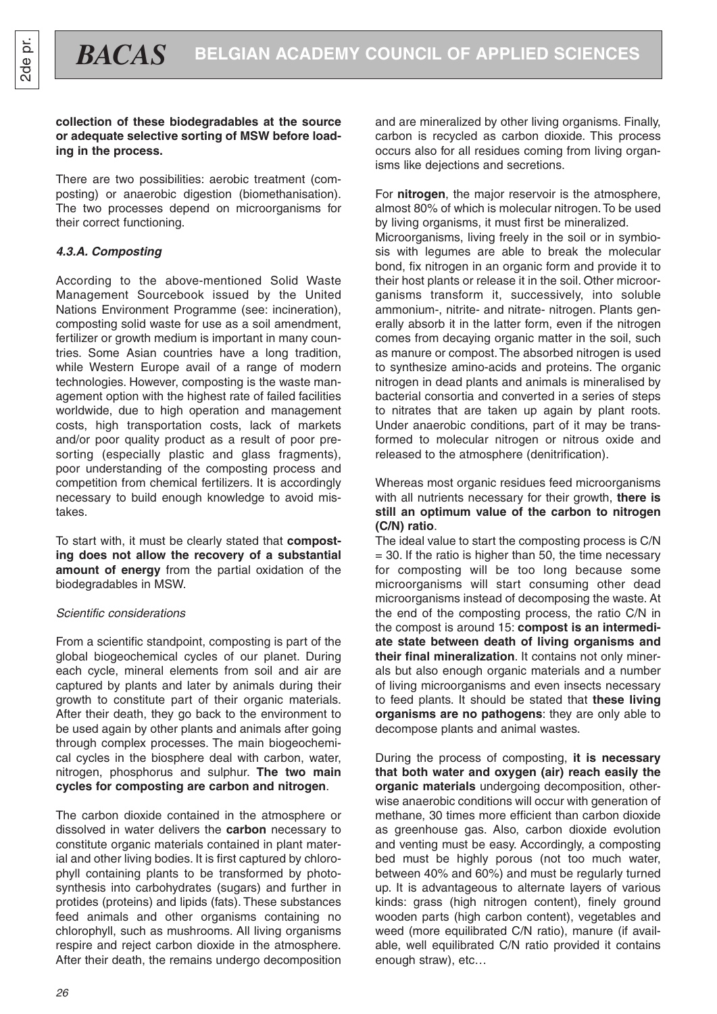## **collection of these biodegradables at the source or adequate selective sorting of MSW before loading in the process.**

There are two possibilities: aerobic treatment (composting) or anaerobic digestion (biomethanisation). The two processes depend on microorganisms for their correct functioning.

# *4.3.A. Composting*

According to the above-mentioned Solid Waste Management Sourcebook issued by the United Nations Environment Programme (see: incineration), composting solid waste for use as a soil amendment, fertilizer or growth medium is important in many countries. Some Asian countries have a long tradition, while Western Europe avail of a range of modern technologies. However, composting is the waste management option with the highest rate of failed facilities worldwide, due to high operation and management costs, high transportation costs, lack of markets and/or poor quality product as a result of poor presorting (especially plastic and glass fragments), poor understanding of the composting process and competition from chemical fertilizers. It is accordingly necessary to build enough knowledge to avoid mistakes.

To start with, it must be clearly stated that **composting does not allow the recovery of a substantial amount of energy** from the partial oxidation of the biodegradables in MSW.

# *Scientific considerations*

From a scientific standpoint, composting is part of the global biogeochemical cycles of our planet. During each cycle, mineral elements from soil and air are captured by plants and later by animals during their growth to constitute part of their organic materials. After their death, they go back to the environment to be used again by other plants and animals after going through complex processes. The main biogeochemical cycles in the biosphere deal with carbon, water, nitrogen, phosphorus and sulphur. **The two main cycles for composting are carbon and nitrogen**.

The carbon dioxide contained in the atmosphere or dissolved in water delivers the **carbon** necessary to constitute organic materials contained in plant material and other living bodies. It is first captured by chlorophyll containing plants to be transformed by photosynthesis into carbohydrates (sugars) and further in protides (proteins) and lipids (fats). These substances feed animals and other organisms containing no chlorophyll, such as mushrooms. All living organisms respire and reject carbon dioxide in the atmosphere. After their death, the remains undergo decomposition

and are mineralized by other living organisms. Finally, carbon is recycled as carbon dioxide. This process occurs also for all residues coming from living organisms like dejections and secretions.

For **nitrogen**, the major reservoir is the atmosphere, almost 80% of which is molecular nitrogen.To be used by living organisms, it must first be mineralized. Microorganisms, living freely in the soil or in symbiosis with legumes are able to break the molecular bond, fix nitrogen in an organic form and provide it to their host plants or release it in the soil. Other microorganisms transform it, successively, into soluble ammonium-, nitrite- and nitrate- nitrogen. Plants generally absorb it in the latter form, even if the nitrogen comes from decaying organic matter in the soil, such as manure or compost.The absorbed nitrogen is used to synthesize amino-acids and proteins. The organic nitrogen in dead plants and animals is mineralised by bacterial consortia and converted in a series of steps to nitrates that are taken up again by plant roots. Under anaerobic conditions, part of it may be transformed to molecular nitrogen or nitrous oxide and released to the atmosphere (denitrification).

Whereas most organic residues feed microorganisms with all nutrients necessary for their growth, **there is still an optimum value of the carbon to nitrogen (C/N) ratio**.

The ideal value to start the composting process is C/N = 30. If the ratio is higher than 50, the time necessary for composting will be too long because some microorganisms will start consuming other dead microorganisms instead of decomposing the waste. At the end of the composting process, the ratio C/N in the compost is around 15: **compost is an intermediate state between death of living organisms and their final mineralization**. It contains not only minerals but also enough organic materials and a number of living microorganisms and even insects necessary to feed plants. It should be stated that **these living organisms are no pathogens**: they are only able to decompose plants and animal wastes.

During the process of composting, **it is necessary that both water and oxygen (air) reach easily the organic materials** undergoing decomposition, otherwise anaerobic conditions will occur with generation of methane, 30 times more efficient than carbon dioxide as greenhouse gas. Also, carbon dioxide evolution and venting must be easy. Accordingly, a composting bed must be highly porous (not too much water, between 40% and 60%) and must be regularly turned up. It is advantageous to alternate layers of various kinds: grass (high nitrogen content), finely ground wooden parts (high carbon content), vegetables and weed (more equilibrated C/N ratio), manure (if available, well equilibrated C/N ratio provided it contains enough straw), etc…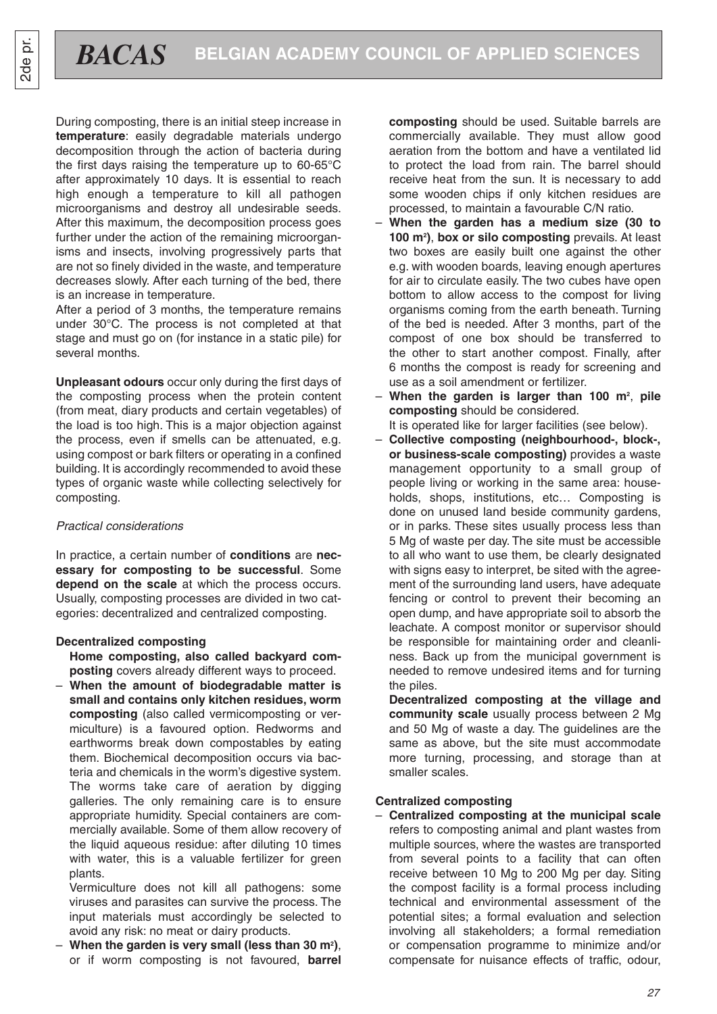During composting, there is an initial steep increase in **temperature**: easily degradable materials undergo decomposition through the action of bacteria during the first days raising the temperature up to 60-65°C after approximately 10 days. It is essential to reach high enough a temperature to kill all pathogen microorganisms and destroy all undesirable seeds. After this maximum, the decomposition process goes further under the action of the remaining microorganisms and insects, involving progressively parts that are not so finely divided in the waste, and temperature decreases slowly. After each turning of the bed, there is an increase in temperature.

After a period of 3 months, the temperature remains under 30°C. The process is not completed at that stage and must go on (for instance in a static pile) for several months.

**Unpleasant odours** occur only during the first days of the composting process when the protein content (from meat, diary products and certain vegetables) of the load is too high. This is a major objection against the process, even if smells can be attenuated, e.g. using compost or bark filters or operating in a confined building. It is accordingly recommended to avoid these types of organic waste while collecting selectively for composting.

# *Practical considerations*

ਨੂ  $\overline{\mathsf{e}}$  $\overline{\circ}$ 

> In practice, a certain number of **conditions** are **necessary for composting to be successful**. Some **depend on the scale** at which the process occurs. Usually, composting processes are divided in two categories: decentralized and centralized composting.

# **Decentralized composting**

**Home composting, also called backyard composting** covers already different ways to proceed.

– **When the amount of biodegradable matter is small and contains only kitchen residues, worm composting** (also called vermicomposting or vermiculture) is a favoured option. Redworms and earthworms break down compostables by eating them. Biochemical decomposition occurs via bacteria and chemicals in the worm's digestive system. The worms take care of aeration by digging galleries. The only remaining care is to ensure appropriate humidity. Special containers are commercially available. Some of them allow recovery of the liquid aqueous residue: after diluting 10 times with water, this is a valuable fertilizer for green plants.

Vermiculture does not kill all pathogens: some viruses and parasites can survive the process. The input materials must accordingly be selected to avoid any risk: no meat or dairy products.

– **When the garden is very small (less than 30 m2 )**, or if worm composting is not favoured, **barrel** **composting** should be used. Suitable barrels are commercially available. They must allow good aeration from the bottom and have a ventilated lid to protect the load from rain. The barrel should receive heat from the sun. It is necessary to add some wooden chips if only kitchen residues are processed, to maintain a favourable C/N ratio.

- **When the garden has a medium size (30 to 100 m2 )**, **box or silo composting** prevails. At least two boxes are easily built one against the other e.g. with wooden boards, leaving enough apertures for air to circulate easily. The two cubes have open bottom to allow access to the compost for living organisms coming from the earth beneath. Turning of the bed is needed. After 3 months, part of the compost of one box should be transferred to the other to start another compost. Finally, after 6 months the compost is ready for screening and use as a soil amendment or fertilizer.
- **When the garden is larger than 100 m2** , **pile composting** should be considered.

It is operated like for larger facilities (see below).

– **Collective composting (neighbourhood-, block-, or business-scale composting)** provides a waste management opportunity to a small group of people living or working in the same area: households, shops, institutions, etc… Composting is done on unused land beside community gardens, or in parks. These sites usually process less than 5 Mg of waste per day. The site must be accessible to all who want to use them, be clearly designated with signs easy to interpret, be sited with the agreement of the surrounding land users, have adequate fencing or control to prevent their becoming an open dump, and have appropriate soil to absorb the leachate. A compost monitor or supervisor should be responsible for maintaining order and cleanliness. Back up from the municipal government is needed to remove undesired items and for turning the piles.

**Decentralized composting at the village and community scale** usually process between 2 Mg and 50 Mg of waste a day. The guidelines are the same as above, but the site must accommodate more turning, processing, and storage than at smaller scales.

# **Centralized composting**

– **Centralized composting at the municipal scale** refers to composting animal and plant wastes from multiple sources, where the wastes are transported from several points to a facility that can often receive between 10 Mg to 200 Mg per day. Siting the compost facility is a formal process including technical and environmental assessment of the potential sites; a formal evaluation and selection involving all stakeholders; a formal remediation or compensation programme to minimize and/or compensate for nuisance effects of traffic, odour,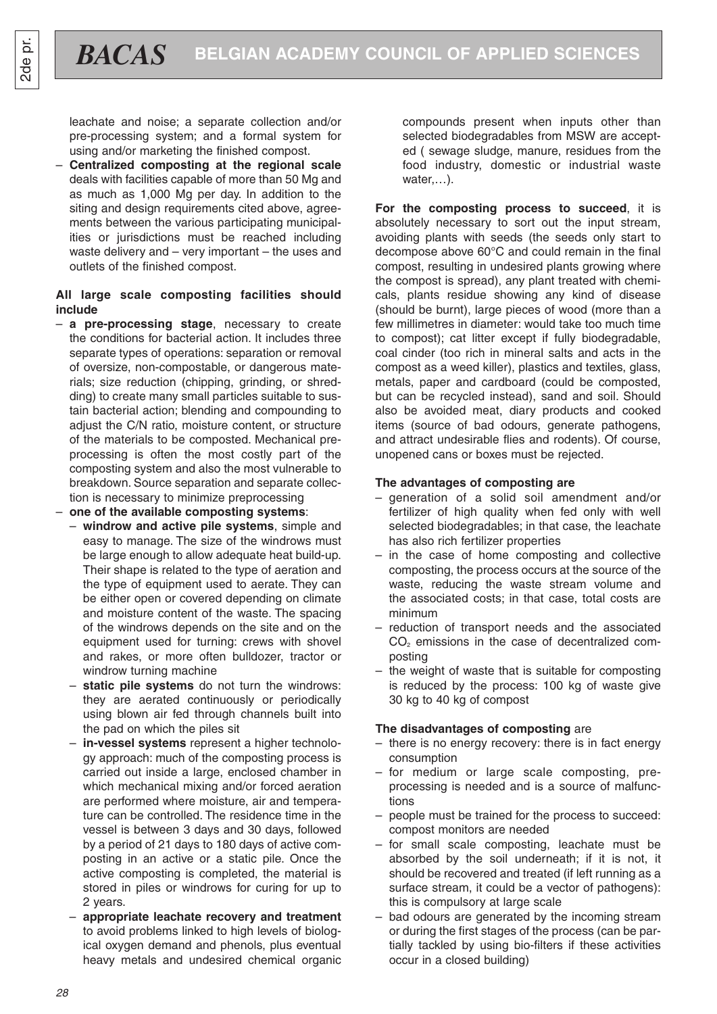leachate and noise; a separate collection and/or pre-processing system; and a formal system for using and/or marketing the finished compost.

ਨੂ  $\overline{\mathsf{e}}$  $\overline{\circ}$ 

> – **Centralized composting at the regional scale** deals with facilities capable of more than 50 Mg and as much as 1,000 Mg per day. In addition to the siting and design requirements cited above, agreements between the various participating municipalities or jurisdictions must be reached including waste delivery and – very important – the uses and outlets of the finished compost.

# **All large scale composting facilities should include**

– **a pre-processing stage**, necessary to create the conditions for bacterial action. It includes three separate types of operations: separation or removal of oversize, non-compostable, or dangerous materials; size reduction (chipping, grinding, or shredding) to create many small particles suitable to sustain bacterial action; blending and compounding to adjust the C/N ratio, moisture content, or structure of the materials to be composted. Mechanical preprocessing is often the most costly part of the composting system and also the most vulnerable to breakdown. Source separation and separate collection is necessary to minimize preprocessing

– **one of the available composting systems**:

- **windrow and active pile systems**, simple and easy to manage. The size of the windrows must be large enough to allow adequate heat build-up. Their shape is related to the type of aeration and the type of equipment used to aerate. They can be either open or covered depending on climate and moisture content of the waste. The spacing of the windrows depends on the site and on the equipment used for turning: crews with shovel and rakes, or more often bulldozer, tractor or windrow turning machine
- **static pile systems** do not turn the windrows: they are aerated continuously or periodically using blown air fed through channels built into the pad on which the piles sit
- **in-vessel systems** represent a higher technology approach: much of the composting process is carried out inside a large, enclosed chamber in which mechanical mixing and/or forced aeration are performed where moisture, air and temperature can be controlled. The residence time in the vessel is between 3 days and 30 days, followed by a period of 21 days to 180 days of active composting in an active or a static pile. Once the active composting is completed, the material is stored in piles or windrows for curing for up to 2 years.
- **appropriate leachate recovery and treatment** to avoid problems linked to high levels of biological oxygen demand and phenols, plus eventual heavy metals and undesired chemical organic

compounds present when inputs other than selected biodegradables from MSW are accepted ( sewage sludge, manure, residues from the food industry, domestic or industrial waste water,…).

**For the composting process to succeed**, it is absolutely necessary to sort out the input stream, avoiding plants with seeds (the seeds only start to decompose above 60°C and could remain in the final compost, resulting in undesired plants growing where the compost is spread), any plant treated with chemicals, plants residue showing any kind of disease (should be burnt), large pieces of wood (more than a few millimetres in diameter: would take too much time to compost); cat litter except if fully biodegradable, coal cinder (too rich in mineral salts and acts in the compost as a weed killer), plastics and textiles, glass, metals, paper and cardboard (could be composted, but can be recycled instead), sand and soil. Should also be avoided meat, diary products and cooked items (source of bad odours, generate pathogens, and attract undesirable flies and rodents). Of course, unopened cans or boxes must be rejected.

# **The advantages of composting are**

- generation of a solid soil amendment and/or fertilizer of high quality when fed only with well selected biodegradables; in that case, the leachate has also rich fertilizer properties
- in the case of home composting and collective composting, the process occurs at the source of the waste, reducing the waste stream volume and the associated costs; in that case, total costs are minimum
- reduction of transport needs and the associated  $CO<sub>2</sub>$  emissions in the case of decentralized composting
- the weight of waste that is suitable for composting is reduced by the process: 100 kg of waste give 30 kg to 40 kg of compost

# **The disadvantages of composting** are

- there is no energy recovery: there is in fact energy consumption
- for medium or large scale composting, preprocessing is needed and is a source of malfunctions
- people must be trained for the process to succeed: compost monitors are needed
- for small scale composting, leachate must be absorbed by the soil underneath; if it is not, it should be recovered and treated (if left running as a surface stream, it could be a vector of pathogens): this is compulsory at large scale
- bad odours are generated by the incoming stream or during the first stages of the process (can be partially tackled by using bio-filters if these activities occur in a closed building)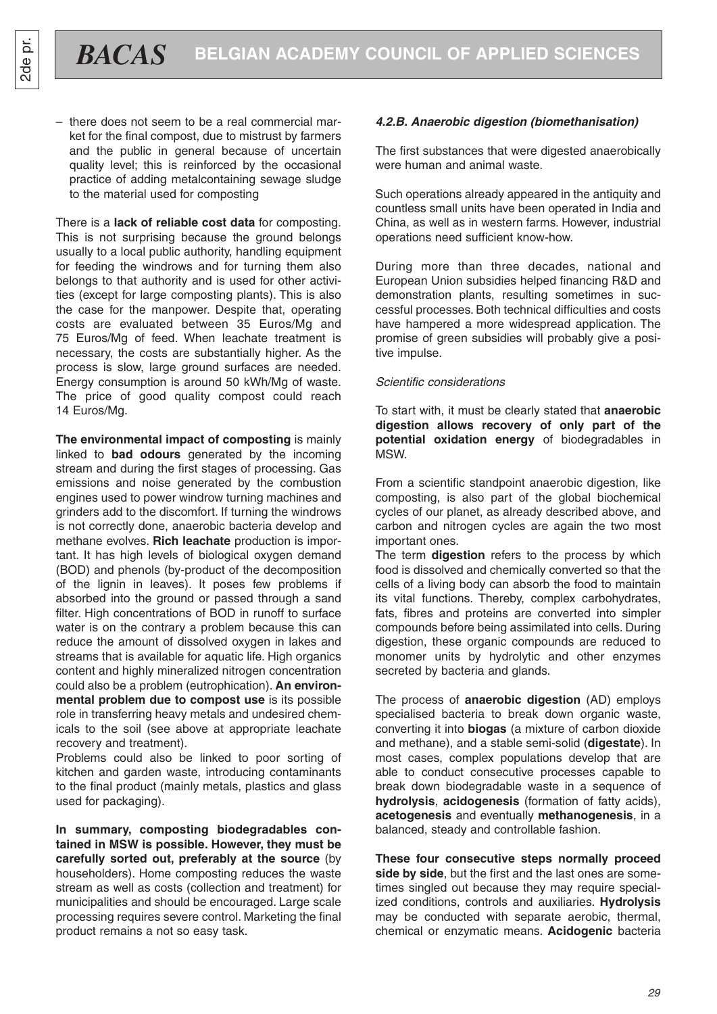– there does not seem to be a real commercial market for the final compost, due to mistrust by farmers and the public in general because of uncertain quality level; this is reinforced by the occasional practice of adding metalcontaining sewage sludge to the material used for composting

ਨੂ  $\overline{\mathsf{e}}$ pr.

> There is a **lack of reliable cost data** for composting. This is not surprising because the ground belongs usually to a local public authority, handling equipment for feeding the windrows and for turning them also belongs to that authority and is used for other activities (except for large composting plants). This is also the case for the manpower. Despite that, operating costs are evaluated between 35 Euros/Mg and 75 Euros/Mg of feed. When leachate treatment is necessary, the costs are substantially higher. As the process is slow, large ground surfaces are needed. Energy consumption is around 50 kWh/Mg of waste. The price of good quality compost could reach 14 Euros/Mg.

> **The environmental impact of composting** is mainly linked to **bad odours** generated by the incoming stream and during the first stages of processing. Gas emissions and noise generated by the combustion engines used to power windrow turning machines and grinders add to the discomfort. If turning the windrows is not correctly done, anaerobic bacteria develop and methane evolves. **Rich leachate** production is important. It has high levels of biological oxygen demand (BOD) and phenols (by-product of the decomposition of the lignin in leaves). It poses few problems if absorbed into the ground or passed through a sand filter. High concentrations of BOD in runoff to surface water is on the contrary a problem because this can reduce the amount of dissolved oxygen in lakes and streams that is available for aquatic life. High organics content and highly mineralized nitrogen concentration could also be a problem (eutrophication). **An environmental problem due to compost use** is its possible role in transferring heavy metals and undesired chemicals to the soil (see above at appropriate leachate recovery and treatment).

Problems could also be linked to poor sorting of kitchen and garden waste, introducing contaminants to the final product (mainly metals, plastics and glass used for packaging).

**In summary, composting biodegradables contained in MSW is possible. However, they must be carefully sorted out, preferably at the source** (by householders). Home composting reduces the waste stream as well as costs (collection and treatment) for municipalities and should be encouraged. Large scale processing requires severe control. Marketing the final product remains a not so easy task.

# *4.2.B. Anaerobic digestion (biomethanisation)*

The first substances that were digested anaerobically were human and animal waste.

Such operations already appeared in the antiquity and countless small units have been operated in India and China, as well as in western farms. However, industrial operations need sufficient know-how.

During more than three decades, national and European Union subsidies helped financing R&D and demonstration plants, resulting sometimes in successful processes. Both technical difficulties and costs have hampered a more widespread application. The promise of green subsidies will probably give a positive impulse.

## *Scientific considerations*

To start with, it must be clearly stated that **anaerobic digestion allows recovery of only part of the potential oxidation energy** of biodegradables in MSW.

From a scientific standpoint anaerobic digestion, like composting, is also part of the global biochemical cycles of our planet, as already described above, and carbon and nitrogen cycles are again the two most important ones.

The term **digestion** refers to the process by which food is dissolved and chemically converted so that the cells of a living body can absorb the food to maintain its vital functions. Thereby, complex carbohydrates, fats, fibres and proteins are converted into simpler compounds before being assimilated into cells. During digestion, these organic compounds are reduced to monomer units by hydrolytic and other enzymes secreted by bacteria and glands.

The process of **anaerobic digestion** (AD) employs specialised bacteria to break down organic waste, converting it into **biogas** (a mixture of carbon dioxide and methane), and a stable semi-solid (**digestate**). In most cases, complex populations develop that are able to conduct consecutive processes capable to break down biodegradable waste in a sequence of **hydrolysis**, **acidogenesis** (formation of fatty acids), **acetogenesis** and eventually **methanogenesis**, in a balanced, steady and controllable fashion.

**These four consecutive steps normally proceed side by side**, but the first and the last ones are sometimes singled out because they may require specialized conditions, controls and auxiliaries. **Hydrolysis** may be conducted with separate aerobic, thermal, chemical or enzymatic means. **Acidogenic** bacteria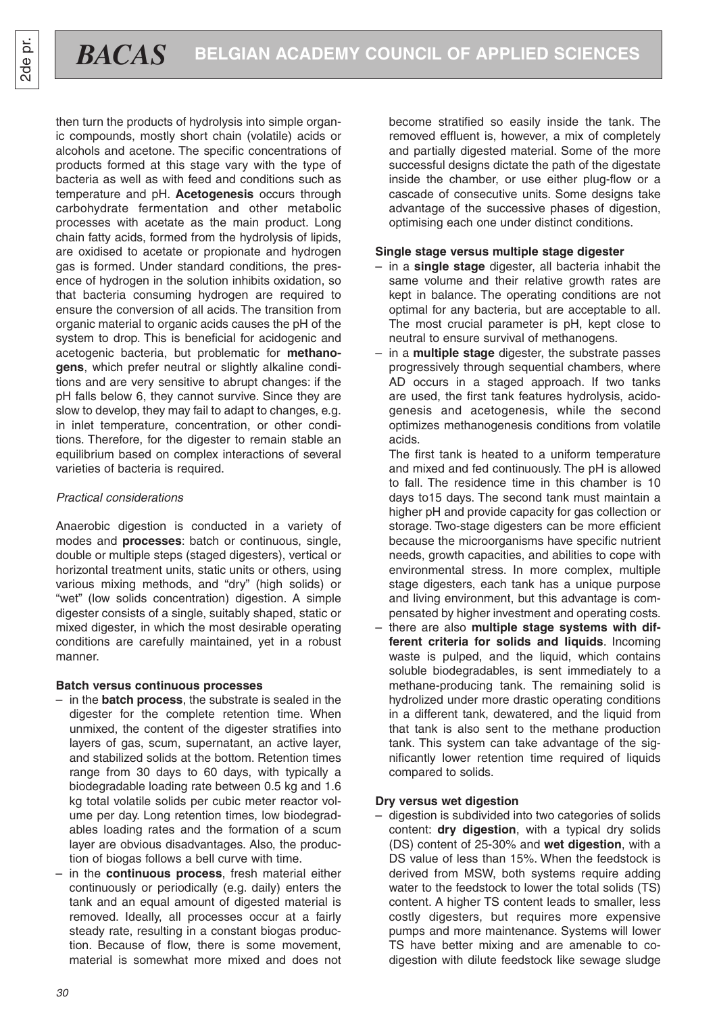then turn the products of hydrolysis into simple organic compounds, mostly short chain (volatile) acids or alcohols and acetone. The specific concentrations of products formed at this stage vary with the type of bacteria as well as with feed and conditions such as temperature and pH. **Acetogenesis** occurs through carbohydrate fermentation and other metabolic processes with acetate as the main product. Long chain fatty acids, formed from the hydrolysis of lipids, are oxidised to acetate or propionate and hydrogen gas is formed. Under standard conditions, the presence of hydrogen in the solution inhibits oxidation, so that bacteria consuming hydrogen are required to ensure the conversion of all acids. The transition from organic material to organic acids causes the pH of the system to drop. This is beneficial for acidogenic and acetogenic bacteria, but problematic for **methanogens**, which prefer neutral or slightly alkaline conditions and are very sensitive to abrupt changes: if the pH falls below 6, they cannot survive. Since they are slow to develop, they may fail to adapt to changes, e.g. in inlet temperature, concentration, or other conditions. Therefore, for the digester to remain stable an equilibrium based on complex interactions of several varieties of bacteria is required.

# *Practical considerations*

ਨੂ  $\overline{\mathsf{e}}$  $\overline{\circ}$ 

> Anaerobic digestion is conducted in a variety of modes and **processes**: batch or continuous, single, double or multiple steps (staged digesters), vertical or horizontal treatment units, static units or others, using various mixing methods, and "dry" (high solids) or "wet" (low solids concentration) digestion. A simple digester consists of a single, suitably shaped, static or mixed digester, in which the most desirable operating conditions are carefully maintained, yet in a robust manner.

# **Batch versus continuous processes**

- in the **batch process**, the substrate is sealed in the digester for the complete retention time. When unmixed, the content of the digester stratifies into layers of gas, scum, supernatant, an active layer, and stabilized solids at the bottom. Retention times range from 30 days to 60 days, with typically a biodegradable loading rate between 0.5 kg and 1.6 kg total volatile solids per cubic meter reactor volume per day. Long retention times, low biodegradables loading rates and the formation of a scum layer are obvious disadvantages. Also, the production of biogas follows a bell curve with time.
- in the **continuous process**, fresh material either continuously or periodically (e.g. daily) enters the tank and an equal amount of digested material is removed. Ideally, all processes occur at a fairly steady rate, resulting in a constant biogas production. Because of flow, there is some movement, material is somewhat more mixed and does not

become stratified so easily inside the tank. The removed effluent is, however, a mix of completely and partially digested material. Some of the more successful designs dictate the path of the digestate inside the chamber, or use either plug-flow or a cascade of consecutive units. Some designs take advantage of the successive phases of digestion, optimising each one under distinct conditions.

# **Single stage versus multiple stage digester**

- in a **single stage** digester, all bacteria inhabit the same volume and their relative growth rates are kept in balance. The operating conditions are not optimal for any bacteria, but are acceptable to all. The most crucial parameter is pH, kept close to neutral to ensure survival of methanogens.
- in a **multiple stage** digester, the substrate passes progressively through sequential chambers, where AD occurs in a staged approach. If two tanks are used, the first tank features hydrolysis, acidogenesis and acetogenesis, while the second optimizes methanogenesis conditions from volatile acids.

The first tank is heated to a uniform temperature and mixed and fed continuously. The pH is allowed to fall. The residence time in this chamber is 10 days to15 days. The second tank must maintain a higher pH and provide capacity for gas collection or storage. Two-stage digesters can be more efficient because the microorganisms have specific nutrient needs, growth capacities, and abilities to cope with environmental stress. In more complex, multiple stage digesters, each tank has a unique purpose and living environment, but this advantage is compensated by higher investment and operating costs.

– there are also **multiple stage systems with different criteria for solids and liquids**. Incoming waste is pulped, and the liquid, which contains soluble biodegradables, is sent immediately to a methane-producing tank. The remaining solid is hydrolized under more drastic operating conditions in a different tank, dewatered, and the liquid from that tank is also sent to the methane production tank. This system can take advantage of the significantly lower retention time required of liquids compared to solids.

# **Dry versus wet digestion**

– digestion is subdivided into two categories of solids content: **dry digestion**, with a typical dry solids (DS) content of 25-30% and **wet digestion**, with a DS value of less than 15%. When the feedstock is derived from MSW, both systems require adding water to the feedstock to lower the total solids (TS) content. A higher TS content leads to smaller, less costly digesters, but requires more expensive pumps and more maintenance. Systems will lower TS have better mixing and are amenable to codigestion with dilute feedstock like sewage sludge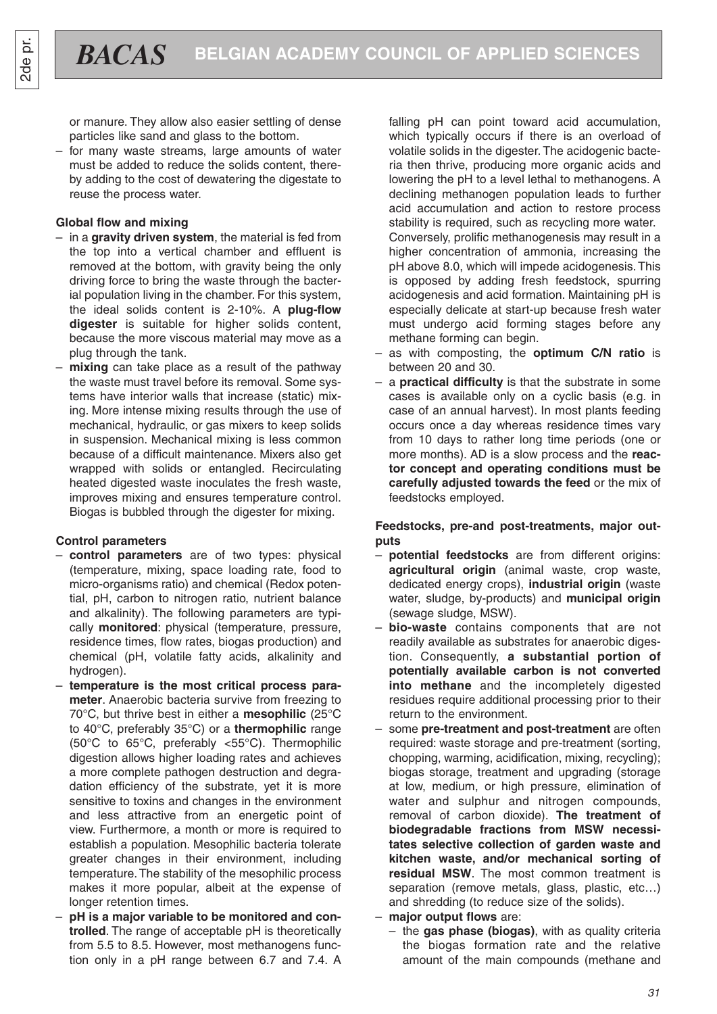or manure. They allow also easier settling of dense particles like sand and glass to the bottom.

for many waste streams, large amounts of water must be added to reduce the solids content, thereby adding to the cost of dewatering the digestate to reuse the process water.

## **Global flow and mixing**

ਨੂ  $\overline{\mathsf{e}}$  $\overline{\circ}$ 

- in a **gravity driven system**, the material is fed from the top into a vertical chamber and effluent is removed at the bottom, with gravity being the only driving force to bring the waste through the bacterial population living in the chamber. For this system, the ideal solids content is 2-10%. A **plug-flow digester** is suitable for higher solids content, because the more viscous material may move as a plug through the tank.
- mixing can take place as a result of the pathway the waste must travel before its removal. Some systems have interior walls that increase (static) mixing. More intense mixing results through the use of mechanical, hydraulic, or gas mixers to keep solids in suspension. Mechanical mixing is less common because of a difficult maintenance. Mixers also get wrapped with solids or entangled. Recirculating heated digested waste inoculates the fresh waste, improves mixing and ensures temperature control. Biogas is bubbled through the digester for mixing.

# **Control parameters**

- **control parameters** are of two types: physical (temperature, mixing, space loading rate, food to micro-organisms ratio) and chemical (Redox potential, pH, carbon to nitrogen ratio, nutrient balance and alkalinity). The following parameters are typically **monitored**: physical (temperature, pressure, residence times, flow rates, biogas production) and chemical (pH, volatile fatty acids, alkalinity and hydrogen).
- **temperature is the most critical process parameter**. Anaerobic bacteria survive from freezing to 70°C, but thrive best in either a **mesophilic** (25°C to 40°C, preferably 35°C) or a **thermophilic** range (50°C to 65°C, preferably <55°C). Thermophilic digestion allows higher loading rates and achieves a more complete pathogen destruction and degradation efficiency of the substrate, yet it is more sensitive to toxins and changes in the environment and less attractive from an energetic point of view. Furthermore, a month or more is required to establish a population. Mesophilic bacteria tolerate greater changes in their environment, including temperature.The stability of the mesophilic process makes it more popular, albeit at the expense of longer retention times.
- **pH is a major variable to be monitored and controlled**. The range of acceptable pH is theoretically from 5.5 to 8.5. However, most methanogens function only in a pH range between 6.7 and 7.4. A

falling pH can point toward acid accumulation, which typically occurs if there is an overload of volatile solids in the digester.The acidogenic bacteria then thrive, producing more organic acids and lowering the pH to a level lethal to methanogens. A declining methanogen population leads to further acid accumulation and action to restore process stability is required, such as recycling more water. Conversely, prolific methanogenesis may result in a higher concentration of ammonia, increasing the pH above 8.0, which will impede acidogenesis. This is opposed by adding fresh feedstock, spurring acidogenesis and acid formation. Maintaining pH is especially delicate at start-up because fresh water must undergo acid forming stages before any methane forming can begin.

- as with composting, the **optimum C/N ratio** is between 20 and 30.
- a **practical difficulty** is that the substrate in some cases is available only on a cyclic basis (e.g. in case of an annual harvest). In most plants feeding occurs once a day whereas residence times vary from 10 days to rather long time periods (one or more months). AD is a slow process and the **reactor concept and operating conditions must be carefully adjusted towards the feed** or the mix of feedstocks employed.

**Feedstocks, pre-and post-treatments, major outputs**

- **potential feedstocks** are from different origins: **agricultural origin** (animal waste, crop waste, dedicated energy crops), **industrial origin** (waste water, sludge, by-products) and **municipal origin** (sewage sludge, MSW).
- **bio-waste** contains components that are not readily available as substrates for anaerobic digestion. Consequently, **a substantial portion of potentially available carbon is not converted into methane** and the incompletely digested residues require additional processing prior to their return to the environment.
- some **pre-treatment and post-treatment** are often required: waste storage and pre-treatment (sorting, chopping, warming, acidification, mixing, recycling); biogas storage, treatment and upgrading (storage at low, medium, or high pressure, elimination of water and sulphur and nitrogen compounds, removal of carbon dioxide). **The treatment of biodegradable fractions from MSW necessitates selective collection of garden waste and kitchen waste, and/or mechanical sorting of residual MSW**. The most common treatment is separation (remove metals, glass, plastic, etc…) and shredding (to reduce size of the solids).
- **major output flows** are:
	- the **gas phase (biogas)**, with as quality criteria the biogas formation rate and the relative amount of the main compounds (methane and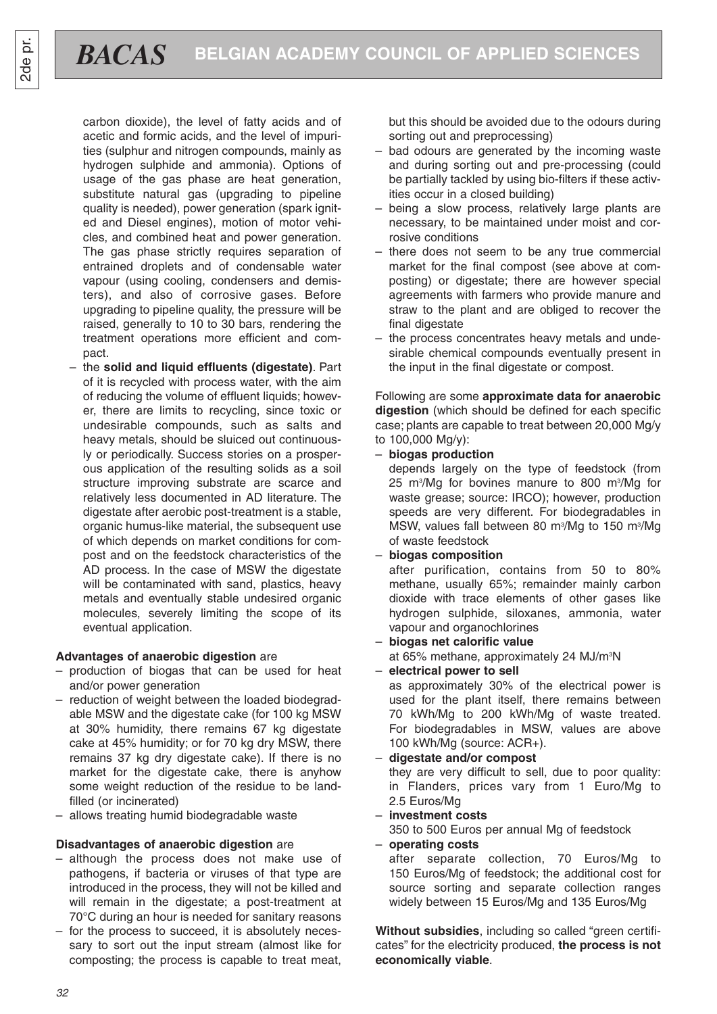carbon dioxide), the level of fatty acids and of acetic and formic acids, and the level of impurities (sulphur and nitrogen compounds, mainly as hydrogen sulphide and ammonia). Options of usage of the gas phase are heat generation, substitute natural gas (upgrading to pipeline quality is needed), power generation (spark ignited and Diesel engines), motion of motor vehicles, and combined heat and power generation. The gas phase strictly requires separation of entrained droplets and of condensable water vapour (using cooling, condensers and demisters), and also of corrosive gases. Before upgrading to pipeline quality, the pressure will be raised, generally to 10 to 30 bars, rendering the treatment operations more efficient and compact.

– the **solid and liquid effluents (digestate)**. Part of it is recycled with process water, with the aim of reducing the volume of effluent liquids; however, there are limits to recycling, since toxic or undesirable compounds, such as salts and heavy metals, should be sluiced out continuously or periodically. Success stories on a prosperous application of the resulting solids as a soil structure improving substrate are scarce and relatively less documented in AD literature. The digestate after aerobic post-treatment is a stable, organic humus-like material, the subsequent use of which depends on market conditions for compost and on the feedstock characteristics of the AD process. In the case of MSW the digestate will be contaminated with sand, plastics, heavy metals and eventually stable undesired organic molecules, severely limiting the scope of its eventual application.

# **Advantages of anaerobic digestion** are

- production of biogas that can be used for heat and/or power generation
- reduction of weight between the loaded biodegradable MSW and the digestate cake (for 100 kg MSW at 30% humidity, there remains 67 kg digestate cake at 45% humidity; or for 70 kg dry MSW, there remains 37 kg dry digestate cake). If there is no market for the digestate cake, there is anyhow some weight reduction of the residue to be landfilled (or incinerated)
- allows treating humid biodegradable waste

# **Disadvantages of anaerobic digestion** are

- although the process does not make use of pathogens, if bacteria or viruses of that type are introduced in the process, they will not be killed and will remain in the digestate; a post-treatment at 70°C during an hour is needed for sanitary reasons
- for the process to succeed, it is absolutely necessary to sort out the input stream (almost like for composting; the process is capable to treat meat,

but this should be avoided due to the odours during sorting out and preprocessing)

- bad odours are generated by the incoming waste and during sorting out and pre-processing (could be partially tackled by using bio-filters if these activities occur in a closed building)
- being a slow process, relatively large plants are necessary, to be maintained under moist and corrosive conditions
- there does not seem to be any true commercial market for the final compost (see above at composting) or digestate; there are however special agreements with farmers who provide manure and straw to the plant and are obliged to recover the final digestate
- the process concentrates heavy metals and undesirable chemical compounds eventually present in the input in the final digestate or compost.

Following are some **approximate data for anaerobic digestion** (which should be defined for each specific case; plants are capable to treat between 20,000 Mg/y to 100,000 Mg/y):

– **biogas production**

depends largely on the type of feedstock (from 25 m3 /Mg for bovines manure to 800 m3 /Mg for waste grease; source: IRCO); however, production speeds are very different. For biodegradables in MSW, values fall between 80 m<sup>3</sup>/Mg to 150 m<sup>3</sup>/Mg of waste feedstock

– **biogas composition**

after purification, contains from 50 to 80% methane, usually 65%; remainder mainly carbon dioxide with trace elements of other gases like hydrogen sulphide, siloxanes, ammonia, water vapour and organochlorines

- **biogas net calorific value** at 65% methane, approximately 24 MJ/m<sup>3</sup>N
- **electrical power to sell**

as approximately 30% of the electrical power is used for the plant itself, there remains between 70 kWh/Mg to 200 kWh/Mg of waste treated. For biodegradables in MSW, values are above 100 kWh/Mg (source: ACR+).

– **digestate and/or compost**

they are very difficult to sell, due to poor quality: in Flanders, prices vary from 1 Euro/Mg to 2.5 Euros/Mg

– **investment costs**

350 to 500 Euros per annual Mg of feedstock

– **operating costs**

after separate collection, 70 Euros/Mg to 150 Euros/Mg of feedstock; the additional cost for source sorting and separate collection ranges widely between 15 Euros/Mg and 135 Euros/Mg

**Without subsidies**, including so called "green certificates" for the electricity produced, **the process is not economically viable**.

ਨੂ  $\overline{\mathsf{e}}$  $\overline{\circ}$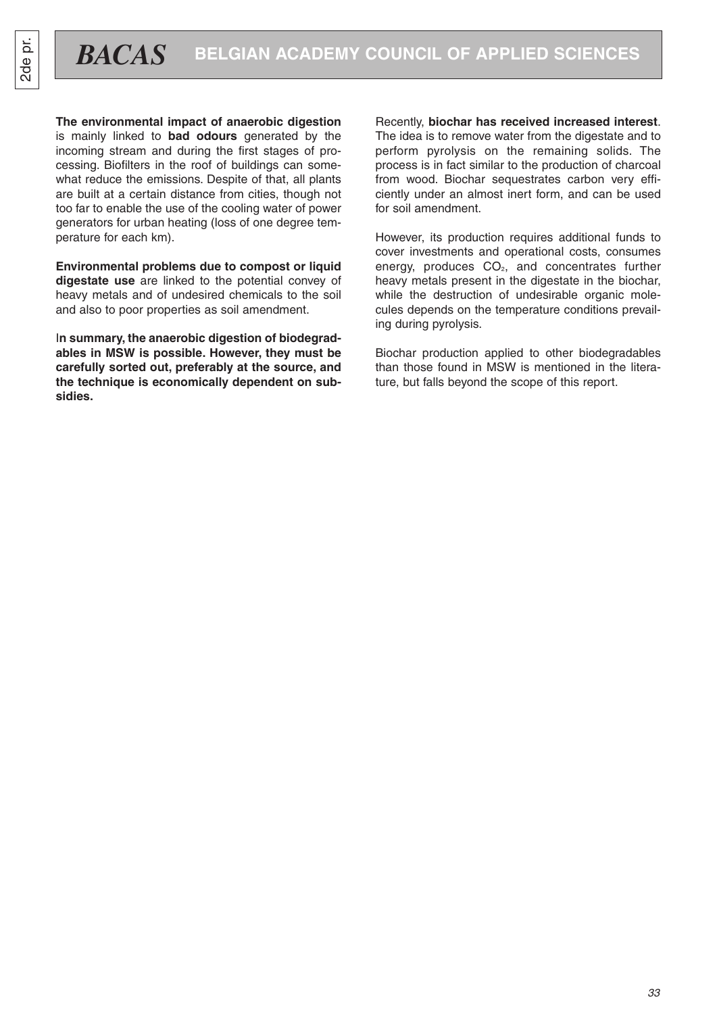**The environmental impact of anaerobic digestion** is mainly linked to **bad odours** generated by the incoming stream and during the first stages of processing. Biofilters in the roof of buildings can somewhat reduce the emissions. Despite of that, all plants are built at a certain distance from cities, though not too far to enable the use of the cooling water of power generators for urban heating (loss of one degree temperature for each km).

ਨੂ  $\overline{\mathsf{e}}$ pr.

> **Environmental problems due to compost or liquid digestate use** are linked to the potential convey of heavy metals and of undesired chemicals to the soil and also to poor properties as soil amendment.

> I**n summary, the anaerobic digestion of biodegradables in MSW is possible. However, they must be carefully sorted out, preferably at the source, and the technique is economically dependent on subsidies.**

Recently, **biochar has received increased interest**. The idea is to remove water from the digestate and to perform pyrolysis on the remaining solids. The process is in fact similar to the production of charcoal from wood. Biochar sequestrates carbon very efficiently under an almost inert form, and can be used for soil amendment.

However, its production requires additional funds to cover investments and operational costs, consumes energy, produces  $CO<sub>2</sub>$ , and concentrates further heavy metals present in the digestate in the biochar, while the destruction of undesirable organic molecules depends on the temperature conditions prevailing during pyrolysis.

Biochar production applied to other biodegradables than those found in MSW is mentioned in the literature, but falls beyond the scope of this report.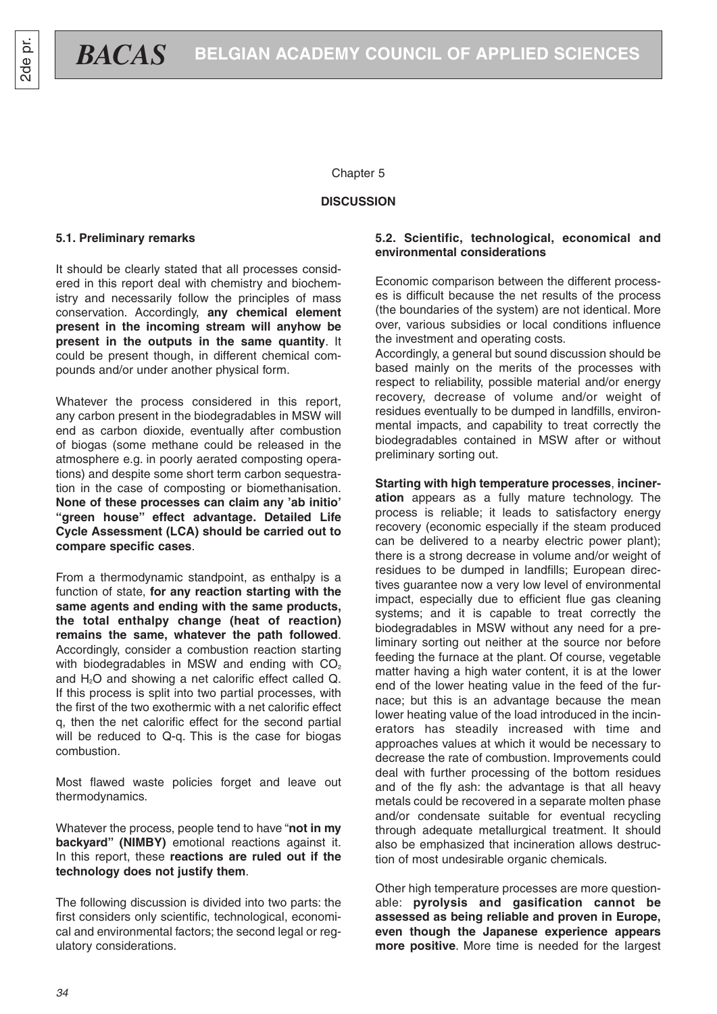### Chapter 5

## **DISCUSSION**

### **5.1. Preliminary remarks**

ਨੂ  $\overline{\mathsf{e}}$  $\overline{\circ}$ 

> It should be clearly stated that all processes considered in this report deal with chemistry and biochemistry and necessarily follow the principles of mass conservation. Accordingly, **any chemical element present in the incoming stream will anyhow be present in the outputs in the same quantity**. It could be present though, in different chemical compounds and/or under another physical form.

> Whatever the process considered in this report, any carbon present in the biodegradables in MSW will end as carbon dioxide, eventually after combustion of biogas (some methane could be released in the atmosphere e.g. in poorly aerated composting operations) and despite some short term carbon sequestration in the case of composting or biomethanisation. **None of these processes can claim any 'ab initio' "green house" effect advantage. Detailed Life Cycle Assessment (LCA) should be carried out to compare specific cases**.

> From a thermodynamic standpoint, as enthalpy is a function of state, **for any reaction starting with the same agents and ending with the same products, the total enthalpy change (heat of reaction) remains the same, whatever the path followed**. Accordingly, consider a combustion reaction starting with biodegradables in MSW and ending with  $CO<sub>2</sub>$ and  $H_2O$  and showing a net calorific effect called  $Q$ . If this process is split into two partial processes, with the first of the two exothermic with a net calorific effect q, then the net calorific effect for the second partial will be reduced to Q-q. This is the case for biogas combustion.

Most flawed waste policies forget and leave out thermodynamics.

Whatever the process, people tend to have "**not in my backyard" (NIMBY)** emotional reactions against it. In this report, these **reactions are ruled out if the technology does not justify them**.

The following discussion is divided into two parts: the first considers only scientific, technological, economical and environmental factors; the second legal or regulatory considerations.

### **5.2. Scientific, technological, economical and environmental considerations**

Economic comparison between the different processes is difficult because the net results of the process (the boundaries of the system) are not identical. More over, various subsidies or local conditions influence the investment and operating costs.

Accordingly, a general but sound discussion should be based mainly on the merits of the processes with respect to reliability, possible material and/or energy recovery, decrease of volume and/or weight of residues eventually to be dumped in landfills, environmental impacts, and capability to treat correctly the biodegradables contained in MSW after or without preliminary sorting out.

**Starting with high temperature processes**, **incineration** appears as a fully mature technology. The process is reliable; it leads to satisfactory energy recovery (economic especially if the steam produced can be delivered to a nearby electric power plant); there is a strong decrease in volume and/or weight of residues to be dumped in landfills; European directives guarantee now a very low level of environmental impact, especially due to efficient flue gas cleaning systems; and it is capable to treat correctly the biodegradables in MSW without any need for a preliminary sorting out neither at the source nor before feeding the furnace at the plant. Of course, vegetable matter having a high water content, it is at the lower end of the lower heating value in the feed of the furnace; but this is an advantage because the mean lower heating value of the load introduced in the incinerators has steadily increased with time and approaches values at which it would be necessary to decrease the rate of combustion. Improvements could deal with further processing of the bottom residues and of the fly ash: the advantage is that all heavy metals could be recovered in a separate molten phase and/or condensate suitable for eventual recycling through adequate metallurgical treatment. It should also be emphasized that incineration allows destruction of most undesirable organic chemicals.

Other high temperature processes are more questionable: **pyrolysis and gasification cannot be assessed as being reliable and proven in Europe, even though the Japanese experience appears more positive**. More time is needed for the largest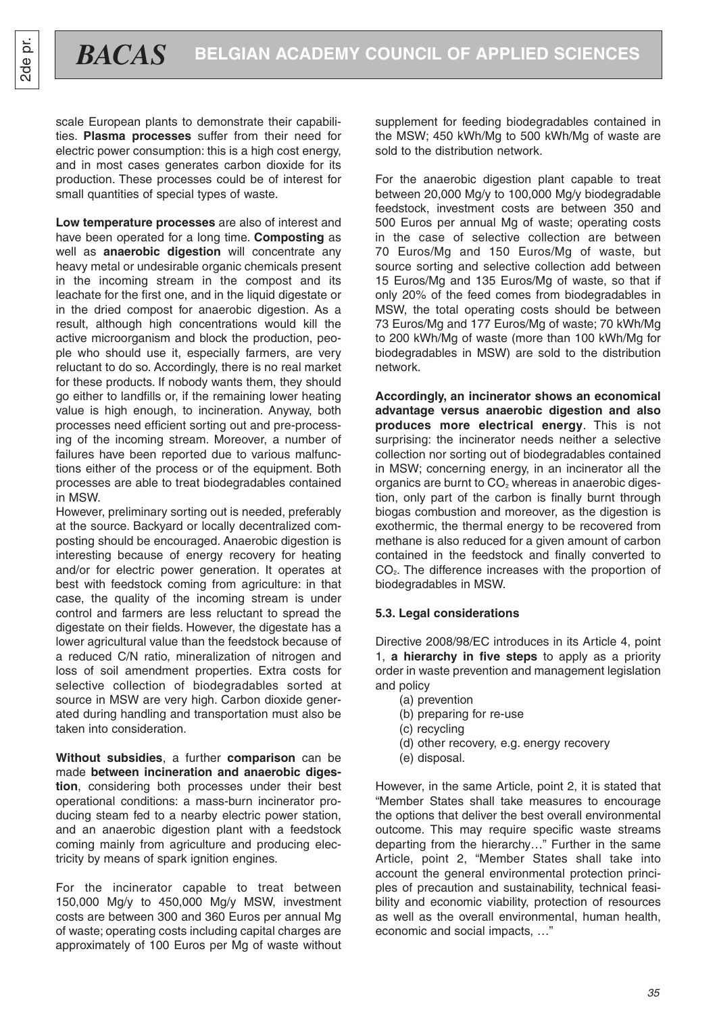scale European plants to demonstrate their capabilities. **Plasma processes** suffer from their need for electric power consumption: this is a high cost energy, and in most cases generates carbon dioxide for its production. These processes could be of interest for small quantities of special types of waste.

ਨੂ  $\overline{\mathsf{e}}$ pr.

> **Low temperature processes** are also of interest and have been operated for a long time. **Composting** as well as **anaerobic digestion** will concentrate any heavy metal or undesirable organic chemicals present in the incoming stream in the compost and its leachate for the first one, and in the liquid digestate or in the dried compost for anaerobic digestion. As a result, although high concentrations would kill the active microorganism and block the production, people who should use it, especially farmers, are very reluctant to do so. Accordingly, there is no real market for these products. If nobody wants them, they should go either to landfills or, if the remaining lower heating value is high enough, to incineration. Anyway, both processes need efficient sorting out and pre-processing of the incoming stream. Moreover, a number of failures have been reported due to various malfunctions either of the process or of the equipment. Both processes are able to treat biodegradables contained in MSW.

> However, preliminary sorting out is needed, preferably at the source. Backyard or locally decentralized composting should be encouraged. Anaerobic digestion is interesting because of energy recovery for heating and/or for electric power generation. It operates at best with feedstock coming from agriculture: in that case, the quality of the incoming stream is under control and farmers are less reluctant to spread the digestate on their fields. However, the digestate has a lower agricultural value than the feedstock because of a reduced C/N ratio, mineralization of nitrogen and loss of soil amendment properties. Extra costs for selective collection of biodegradables sorted at source in MSW are very high. Carbon dioxide generated during handling and transportation must also be taken into consideration.

> **Without subsidies**, a further **comparison** can be made **between incineration and anaerobic digestion**, considering both processes under their best operational conditions: a mass-burn incinerator producing steam fed to a nearby electric power station, and an anaerobic digestion plant with a feedstock coming mainly from agriculture and producing electricity by means of spark ignition engines.

> For the incinerator capable to treat between 150,000 Mg/y to 450,000 Mg/y MSW, investment costs are between 300 and 360 Euros per annual Mg of waste; operating costs including capital charges are approximately of 100 Euros per Mg of waste without

supplement for feeding biodegradables contained in the MSW; 450 kWh/Mg to 500 kWh/Mg of waste are sold to the distribution network.

For the anaerobic digestion plant capable to treat between 20,000 Mg/y to 100,000 Mg/y biodegradable feedstock, investment costs are between 350 and 500 Euros per annual Mg of waste; operating costs in the case of selective collection are between 70 Euros/Mg and 150 Euros/Mg of waste, but source sorting and selective collection add between 15 Euros/Mg and 135 Euros/Mg of waste, so that if only 20% of the feed comes from biodegradables in MSW, the total operating costs should be between 73 Euros/Mg and 177 Euros/Mg of waste; 70 kWh/Mg to 200 kWh/Mg of waste (more than 100 kWh/Mg for biodegradables in MSW) are sold to the distribution network.

**Accordingly, an incinerator shows an economical advantage versus anaerobic digestion and also produces more electrical energy**. This is not surprising: the incinerator needs neither a selective collection nor sorting out of biodegradables contained in MSW; concerning energy, in an incinerator all the organics are burnt to  $CO<sub>2</sub>$  whereas in anaerobic digestion, only part of the carbon is finally burnt through biogas combustion and moreover, as the digestion is exothermic, the thermal energy to be recovered from methane is also reduced for a given amount of carbon contained in the feedstock and finally converted to CO<sub>2</sub>. The difference increases with the proportion of biodegradables in MSW.

#### **5.3. Legal considerations**

Directive 2008/98/EC introduces in its Article 4, point 1, **a hierarchy in five steps** to apply as a priority order in waste prevention and management legislation and policy

- (a) prevention
- (b) preparing for re-use
- (c) recycling
- (d) other recovery, e.g. energy recovery
- (e) disposal.

However, in the same Article, point 2, it is stated that "Member States shall take measures to encourage the options that deliver the best overall environmental outcome. This may require specific waste streams departing from the hierarchy…" Further in the same Article, point 2, "Member States shall take into account the general environmental protection principles of precaution and sustainability, technical feasibility and economic viability, protection of resources as well as the overall environmental, human health, economic and social impacts, …"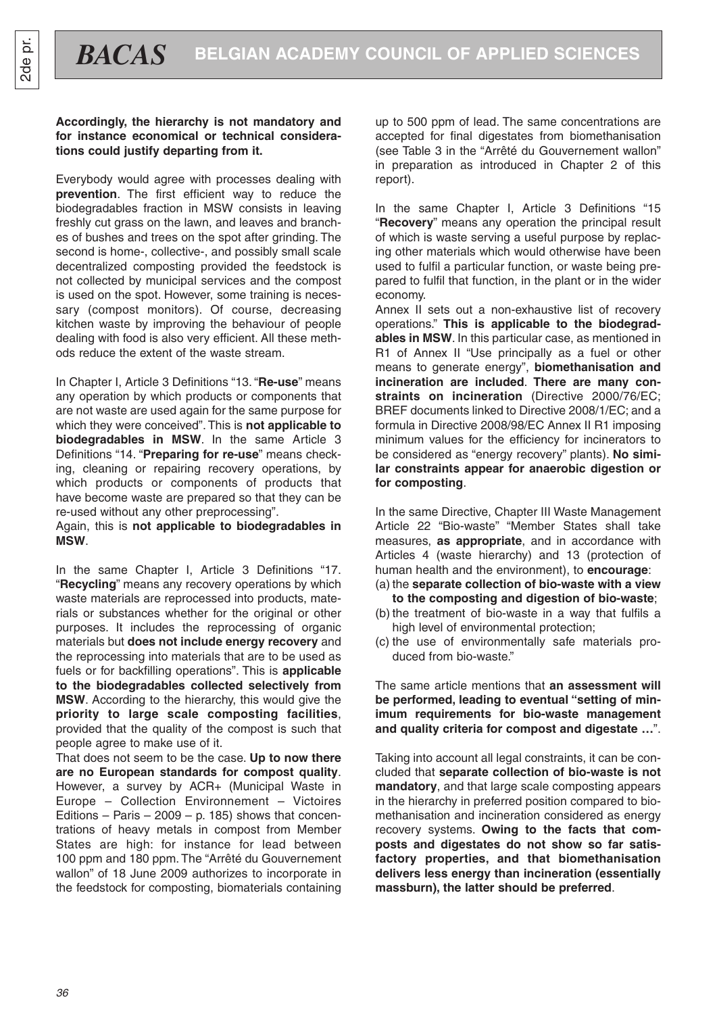### **Accordingly, the hierarchy is not mandatory and for instance economical or technical considerations could justify departing from it.**

ਨੂ  $\overline{\mathsf{e}}$ pr.

> Everybody would agree with processes dealing with **prevention**. The first efficient way to reduce the biodegradables fraction in MSW consists in leaving freshly cut grass on the lawn, and leaves and branches of bushes and trees on the spot after grinding. The second is home-, collective-, and possibly small scale decentralized composting provided the feedstock is not collected by municipal services and the compost is used on the spot. However, some training is necessary (compost monitors). Of course, decreasing kitchen waste by improving the behaviour of people dealing with food is also very efficient. All these methods reduce the extent of the waste stream.

> In Chapter I, Article 3 Definitions "13. "**Re-use**" means any operation by which products or components that are not waste are used again for the same purpose for which they were conceived". This is **not applicable to biodegradables in MSW**. In the same Article 3 Definitions "14. "**Preparing for re-use**" means checking, cleaning or repairing recovery operations, by which products or components of products that have become waste are prepared so that they can be re-used without any other preprocessing".

> Again, this is **not applicable to biodegradables in MSW**.

In the same Chapter I, Article 3 Definitions "17. "**Recycling**" means any recovery operations by which waste materials are reprocessed into products, materials or substances whether for the original or other purposes. It includes the reprocessing of organic materials but **does not include energy recovery** and the reprocessing into materials that are to be used as fuels or for backfilling operations". This is **applicable to the biodegradables collected selectively from MSW**. According to the hierarchy, this would give the **priority to large scale composting facilities**, provided that the quality of the compost is such that people agree to make use of it.

That does not seem to be the case. **Up to now there are no European standards for compost quality**. However, a survey by ACR+ (Municipal Waste in Europe – Collection Environnement – Victoires Editions – Paris –  $2009$  – p. 185) shows that concentrations of heavy metals in compost from Member States are high: for instance for lead between 100 ppm and 180 ppm. The "Arrêté du Gouvernement wallon" of 18 June 2009 authorizes to incorporate in the feedstock for composting, biomaterials containing up to 500 ppm of lead. The same concentrations are accepted for final digestates from biomethanisation (see Table 3 in the "Arrêté du Gouvernement wallon" in preparation as introduced in Chapter 2 of this report).

In the same Chapter I, Article 3 Definitions "15 "**Recovery**" means any operation the principal result of which is waste serving a useful purpose by replacing other materials which would otherwise have been used to fulfil a particular function, or waste being prepared to fulfil that function, in the plant or in the wider economy.

Annex II sets out a non-exhaustive list of recovery operations." **This is applicable to the biodegradables in MSW**. In this particular case, as mentioned in R1 of Annex II "Use principally as a fuel or other means to generate energy", **biomethanisation and incineration are included**. **There are many constraints on incineration** (Directive 2000/76/EC; BREF documents linked to Directive 2008/1/EC; and a formula in Directive 2008/98/EC Annex II R1 imposing minimum values for the efficiency for incinerators to be considered as "energy recovery" plants). **No similar constraints appear for anaerobic digestion or for composting**.

In the same Directive, Chapter III Waste Management Article 22 "Bio-waste" "Member States shall take measures, **as appropriate**, and in accordance with Articles 4 (waste hierarchy) and 13 (protection of human health and the environment), to **encourage**:

- (a) the **separate collection of bio-waste with a view to the composting and digestion of bio-waste**;
- (b) the treatment of bio-waste in a way that fulfils a high level of environmental protection;
- (c) the use of environmentally safe materials produced from bio-waste."

The same article mentions that **an assessment will be performed, leading to eventual "setting of minimum requirements for bio-waste management and quality criteria for compost and digestate …**".

Taking into account all legal constraints, it can be concluded that **separate collection of bio-waste is not mandatory**, and that large scale composting appears in the hierarchy in preferred position compared to biomethanisation and incineration considered as energy recovery systems. **Owing to the facts that composts and digestates do not show so far satisfactory properties, and that biomethanisation delivers less energy than incineration (essentially massburn), the latter should be preferred**.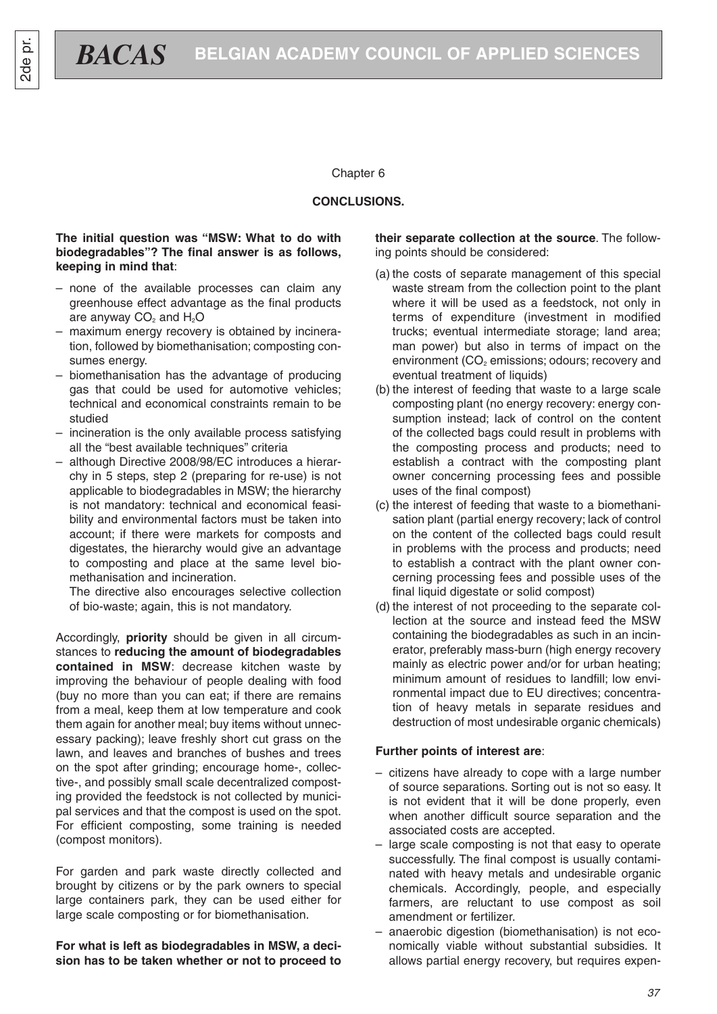## Chapter 6

# **CONCLUSIONS.**

# **The initial question was "MSW: What to do with biodegradables"? The final answer is as follows, keeping in mind that**:

ਨੂ  $\overline{\mathsf{e}}$  $\overline{\circ}$ 

- none of the available processes can claim any greenhouse effect advantage as the final products are anyway  $CO<sub>2</sub>$  and  $H<sub>2</sub>O$
- maximum energy recovery is obtained by incineration, followed by biomethanisation; composting consumes energy.
- biomethanisation has the advantage of producing gas that could be used for automotive vehicles; technical and economical constraints remain to be studied
- incineration is the only available process satisfying all the "best available techniques" criteria
- although Directive 2008/98/EC introduces a hierarchy in 5 steps, step 2 (preparing for re-use) is not applicable to biodegradables in MSW; the hierarchy is not mandatory: technical and economical feasibility and environmental factors must be taken into account; if there were markets for composts and digestates, the hierarchy would give an advantage to composting and place at the same level biomethanisation and incineration.

The directive also encourages selective collection of bio-waste; again, this is not mandatory.

Accordingly, **priority** should be given in all circumstances to **reducing the amount of biodegradables contained in MSW**: decrease kitchen waste by improving the behaviour of people dealing with food (buy no more than you can eat; if there are remains from a meal, keep them at low temperature and cook them again for another meal; buy items without unnecessary packing); leave freshly short cut grass on the lawn, and leaves and branches of bushes and trees on the spot after grinding; encourage home-, collective-, and possibly small scale decentralized composting provided the feedstock is not collected by municipal services and that the compost is used on the spot. For efficient composting, some training is needed (compost monitors).

For garden and park waste directly collected and brought by citizens or by the park owners to special large containers park, they can be used either for large scale composting or for biomethanisation.

**For what is left as biodegradables in MSW, a decision has to be taken whether or not to proceed to** **their separate collection at the source**. The following points should be considered:

- (a) the costs of separate management of this special waste stream from the collection point to the plant where it will be used as a feedstock, not only in terms of expenditure (investment in modified trucks; eventual intermediate storage; land area; man power) but also in terms of impact on the environment  $(CO<sub>2</sub>$  emissions; odours; recovery and eventual treatment of liquids)
- (b) the interest of feeding that waste to a large scale composting plant (no energy recovery: energy consumption instead; lack of control on the content of the collected bags could result in problems with the composting process and products; need to establish a contract with the composting plant owner concerning processing fees and possible uses of the final compost)
- (c) the interest of feeding that waste to a biomethanisation plant (partial energy recovery; lack of control on the content of the collected bags could result in problems with the process and products; need to establish a contract with the plant owner concerning processing fees and possible uses of the final liquid digestate or solid compost)
- (d) the interest of not proceeding to the separate collection at the source and instead feed the MSW containing the biodegradables as such in an incinerator, preferably mass-burn (high energy recovery mainly as electric power and/or for urban heating; minimum amount of residues to landfill; low environmental impact due to EU directives; concentration of heavy metals in separate residues and destruction of most undesirable organic chemicals)

# **Further points of interest are**:

- citizens have already to cope with a large number of source separations. Sorting out is not so easy. It is not evident that it will be done properly, even when another difficult source separation and the associated costs are accepted.
- large scale composting is not that easy to operate successfully. The final compost is usually contaminated with heavy metals and undesirable organic chemicals. Accordingly, people, and especially farmers, are reluctant to use compost as soil amendment or fertilizer.
- anaerobic digestion (biomethanisation) is not economically viable without substantial subsidies. It allows partial energy recovery, but requires expen-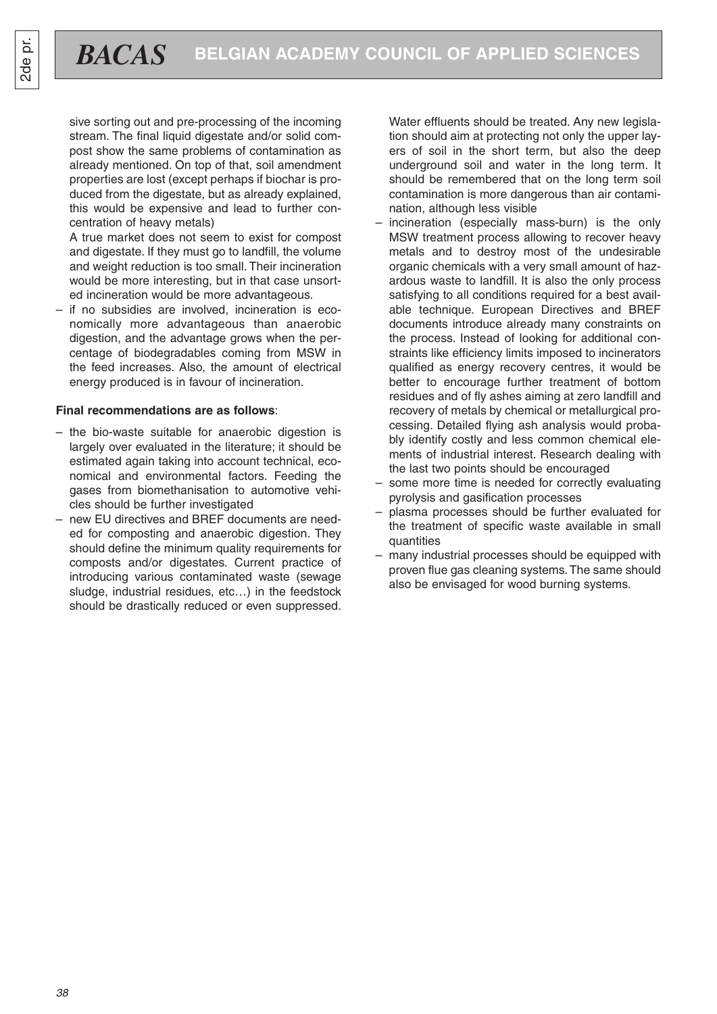sive sorting out and pre-processing of the incoming stream. The final liquid digestate and/or solid compost show the same problems of contamination as already mentioned. On top of that, soil amendment properties are lost (except perhaps if biochar is produced from the digestate, but as already explained, this would be expensive and lead to further concentration of heavy metals)

ਨੂ  $\overline{\mathsf{e}}$ pr.

> A true market does not seem to exist for compost and digestate. If they must go to landfill, the volume and weight reduction is too small. Their incineration would be more interesting, but in that case unsorted incineration would be more advantageous.

if no subsidies are involved, incineration is economically more advantageous than anaerobic digestion, and the advantage grows when the percentage of biodegradables coming from MSW in the feed increases. Also, the amount of electrical energy produced is in favour of incineration.

# **Final recommendations are as follows**:

- the bio-waste suitable for anaerobic digestion is largely over evaluated in the literature; it should be estimated again taking into account technical, economical and environmental factors. Feeding the gases from biomethanisation to automotive vehicles should be further investigated
- new EU directives and BREF documents are needed for composting and anaerobic digestion. They should define the minimum quality requirements for composts and/or digestates. Current practice of introducing various contaminated waste (sewage sludge, industrial residues, etc…) in the feedstock should be drastically reduced or even suppressed.

Water effluents should be treated. Any new legislation should aim at protecting not only the upper layers of soil in the short term, but also the deep underground soil and water in the long term. It should be remembered that on the long term soil contamination is more dangerous than air contamination, although less visible

- incineration (especially mass-burn) is the only MSW treatment process allowing to recover heavy metals and to destroy most of the undesirable organic chemicals with a very small amount of hazardous waste to landfill. It is also the only process satisfying to all conditions required for a best available technique. European Directives and BREF documents introduce already many constraints on the process. Instead of looking for additional constraints like efficiency limits imposed to incinerators qualified as energy recovery centres, it would be better to encourage further treatment of bottom residues and of fly ashes aiming at zero landfill and recovery of metals by chemical or metallurgical processing. Detailed flying ash analysis would probably identify costly and less common chemical elements of industrial interest. Research dealing with the last two points should be encouraged
- some more time is needed for correctly evaluating pyrolysis and gasification processes
- plasma processes should be further evaluated for the treatment of specific waste available in small quantities
- many industrial processes should be equipped with proven flue gas cleaning systems.The same should also be envisaged for wood burning systems.